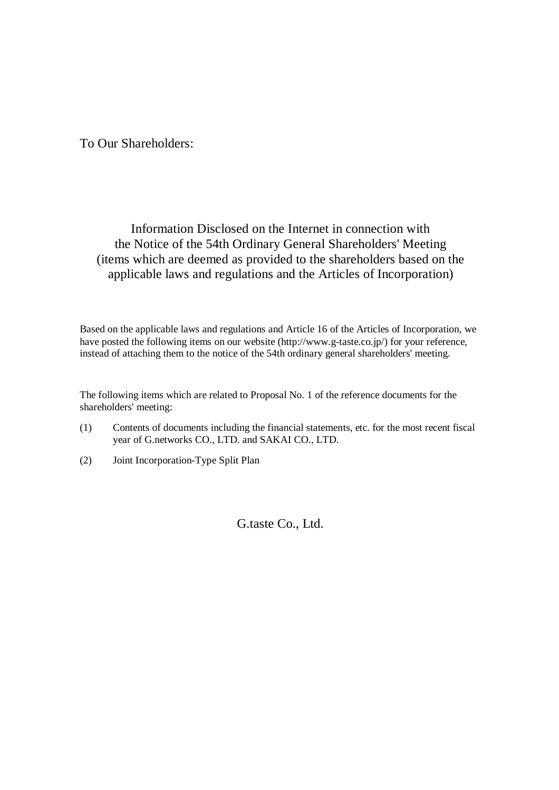To Our Shareholders:

# Information Disclosed on the Internet in connection with the Notice of the 54th Ordinary General Shareholders' Meeting (items which are deemed as provided to the shareholders based on the applicable laws and regulations and the Articles of Incorporation)

Based on the applicable laws and regulations and Article 16 of the Articles of Incorporation, we have posted the following items on our website (http://www.g-taste.co.jp/) for your reference, instead of attaching them to the notice of the 54th ordinary general shareholders' meeting.

The following items which are related to Proposal No. 1 of the reference documents for the shareholders' meeting:

- (1) Contents of documents including the financial statements, etc. for the most recent fiscal year of G.networks CO., LTD. and SAKAI CO., LTD.
- (2) Joint Incorporation-Type Split Plan

G.taste Co., Ltd.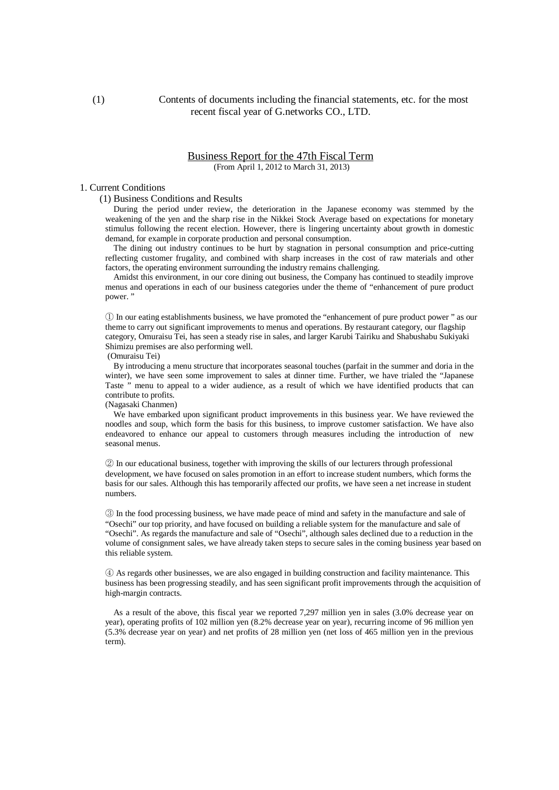(1) Contents of documents including the financial statements, etc. for the most recent fiscal year of G.networks CO., LTD.

#### Business Report for the 47th Fiscal Term (From April 1, 2012 to March 31, 2013)

### 1. Current Conditions

(1) Business Conditions and Results

During the period under review, the deterioration in the Japanese economy was stemmed by the weakening of the yen and the sharp rise in the Nikkei Stock Average based on expectations for monetary stimulus following the recent election. However, there is lingering uncertainty about growth in domestic demand, for example in corporate production and personal consumption.

The dining out industry continues to be hurt by stagnation in personal consumption and price-cutting reflecting customer frugality, and combined with sharp increases in the cost of raw materials and other factors, the operating environment surrounding the industry remains challenging.

Amidst this environment, in our core dining out business, the Company has continued to steadily improve menus and operations in each of our business categories under the theme of "enhancement of pure product power. "

① In our eating establishments business, we have promoted the "enhancement of pure product power " as our theme to carry out significant improvements to menus and operations. By restaurant category, our flagship category, Omuraisu Tei, has seen a steady rise in sales, and larger Karubi Tairiku and Shabushabu Sukiyaki Shimizu premises are also performing well.

(Omuraisu Tei)

By introducing a menu structure that incorporates seasonal touches (parfait in the summer and doria in the winter), we have seen some improvement to sales at dinner time. Further, we have trialed the "Japanese Taste " menu to appeal to a wider audience, as a result of which we have identified products that can contribute to profits.

(Nagasaki Chanmen)

We have embarked upon significant product improvements in this business year. We have reviewed the noodles and soup, which form the basis for this business, to improve customer satisfaction. We have also endeavored to enhance our appeal to customers through measures including the introduction of new seasonal menus.

② In our educational business, together with improving the skills of our lecturers through professional development, we have focused on sales promotion in an effort to increase student numbers, which forms the basis for our sales. Although this has temporarily affected our profits, we have seen a net increase in student numbers.

③ In the food processing business, we have made peace of mind and safety in the manufacture and sale of "Osechi" our top priority, and have focused on building a reliable system for the manufacture and sale of "Osechi". As regards the manufacture and sale of "Osechi", although sales declined due to a reduction in the volume of consignment sales, we have already taken steps to secure sales in the coming business year based on this reliable system.

④ As regards other businesses, we are also engaged in building construction and facility maintenance. This business has been progressing steadily, and has seen significant profit improvements through the acquisition of high-margin contracts.

As a result of the above, this fiscal year we reported 7,297 million yen in sales (3.0% decrease year on year), operating profits of 102 million yen (8.2% decrease year on year), recurring income of 96 million yen (5.3% decrease year on year) and net profits of 28 million yen (net loss of 465 million yen in the previous term).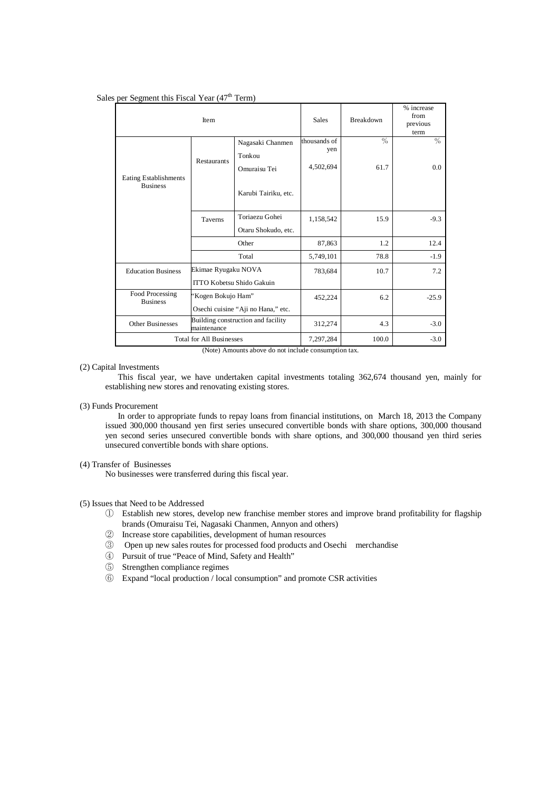#### Sales per Segment this Fiscal Year  $(47<sup>th</sup> Term)$

| Item                                     |                                                   |                      | <b>Sales</b> | Breakdown | % increase<br>from<br>previous<br>term |
|------------------------------------------|---------------------------------------------------|----------------------|--------------|-----------|----------------------------------------|
|                                          |                                                   | Nagasaki Chanmen     | thousands of | $\%$      | $\%$                                   |
|                                          | <b>Restaurants</b>                                | Tonkou               | yen          |           |                                        |
|                                          |                                                   | Omuraisu Tei         | 4,502,694    | 61.7      | $0.0^{\circ}$                          |
| Eating Establishments<br><b>Business</b> |                                                   | Karubi Tairiku, etc. |              |           |                                        |
|                                          | Taverns                                           | Toriaezu Gohei       | 1,158,542    | 15.9      | $-9.3$                                 |
|                                          |                                                   |                      |              |           |                                        |
|                                          | Other                                             |                      | 87,863       | 1.2       | 12.4                                   |
|                                          | Total                                             |                      | 5,749,101    | 78.8      | $-1.9$                                 |
| <b>Education Business</b>                | Ekimae Ryugaku NOVA                               |                      | 783,684      | 10.7      | 7.2                                    |
|                                          | ITTO Kobetsu Shido Gakuin                         |                      |              |           |                                        |
| Food Processing<br><b>Business</b>       | 'Kogen Bokujo Ham''                               |                      | 452,224      | 6.2       | $-25.9$                                |
|                                          | Osechi cuisine "Aji no Hana," etc.                |                      |              |           |                                        |
| Other Businesses                         | Building construction and facility<br>maintenance |                      | 312,274      | 4.3       | $-3.0$                                 |
| <b>Total for All Businesses</b>          |                                                   |                      | 7,297,284    | 100.0     | $-3.0$                                 |

(Note) Amounts above do not include consumption tax.

#### (2) Capital Investments

This fiscal year, we have undertaken capital investments totaling 362,674 thousand yen, mainly for establishing new stores and renovating existing stores.

#### (3) Funds Procurement

In order to appropriate funds to repay loans from financial institutions, on March 18, 2013 the Company issued 300,000 thousand yen first series unsecured convertible bonds with share options, 300,000 thousand yen second series unsecured convertible bonds with share options, and 300,000 thousand yen third series unsecured convertible bonds with share options.

#### (4) Transfer of Businesses

No businesses were transferred during this fiscal year.

#### (5) Issues that Need to be Addressed

- ① Establish new stores, develop new franchise member stores and improve brand profitability for flagship brands (Omuraisu Tei, Nagasaki Chanmen, Annyon and others)
- ② Increase store capabilities, development of human resources
- ③ Open up new sales routes for processed food products and Osechi merchandise
- ④ Pursuit of true "Peace of Mind, Safety and Health"
- ⑤ Strengthen compliance regimes
- ⑥ Expand "local production / local consumption" and promote CSR activities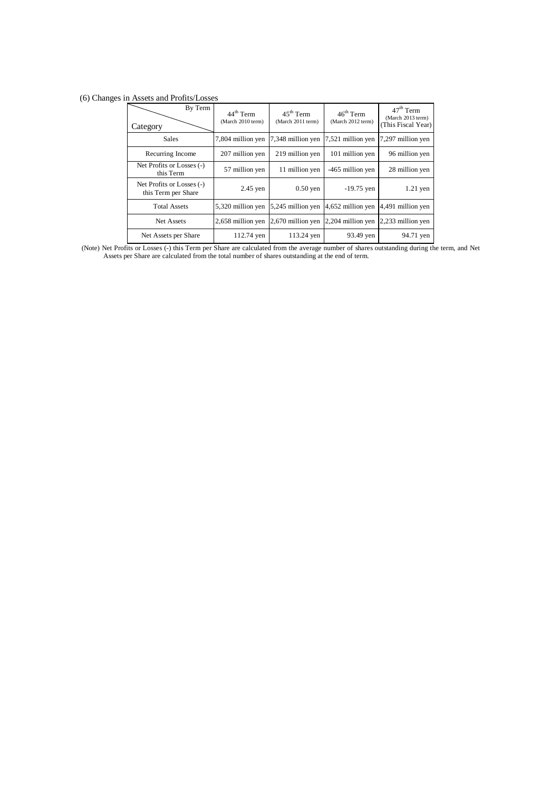## (6) Changes in Assets and Profits/Losses

| By Term<br>Category                              | 44 <sup>th</sup> Term<br>(March 2010 term) | $45^{\text{th}}$ Term<br>(March 2011 term) | $46^{\text{th}}$ Term<br>(March 2012 term) | $47th$ Term<br>(March 2013 term)<br>(This Fiscal Year) |
|--------------------------------------------------|--------------------------------------------|--------------------------------------------|--------------------------------------------|--------------------------------------------------------|
| <b>Sales</b>                                     | 7,804 million yen                          | 7,348 million yen                          | 7,521 million yen                          | 7,297 million yen                                      |
| Recurring Income                                 | 207 million yen                            | 219 million yen                            | 101 million yen                            | 96 million yen                                         |
| Net Profits or Losses (-)<br>this Term           | 57 million yen                             | 11 million yen                             | -465 million yen                           | 28 million yen                                         |
| Net Profits or Losses (-)<br>this Term per Share | $2.45$ yen                                 | $0.50$ yen                                 | $-19.75$ yen                               | $1.21$ yen                                             |
| <b>Total Assets</b>                              | 5,320 million yen                          | 5,245 million yen                          | 4,652 million yen                          | 4,491 million yen                                      |
| Net Assets                                       | 2,658 million yen                          | 2,670 million yen                          | 2,204 million yen                          | 2,233 million yen                                      |
| Net Assets per Share                             | 112.74 yen                                 | 113.24 yen                                 | 93.49 yen                                  | 94.71 yen                                              |

 (Note) Net Profits or Losses (-) this Term per Share are calculated from the average number of shares outstanding during the term, and Net Assets per Share are calculated from the total number of shares outstanding at the end of term.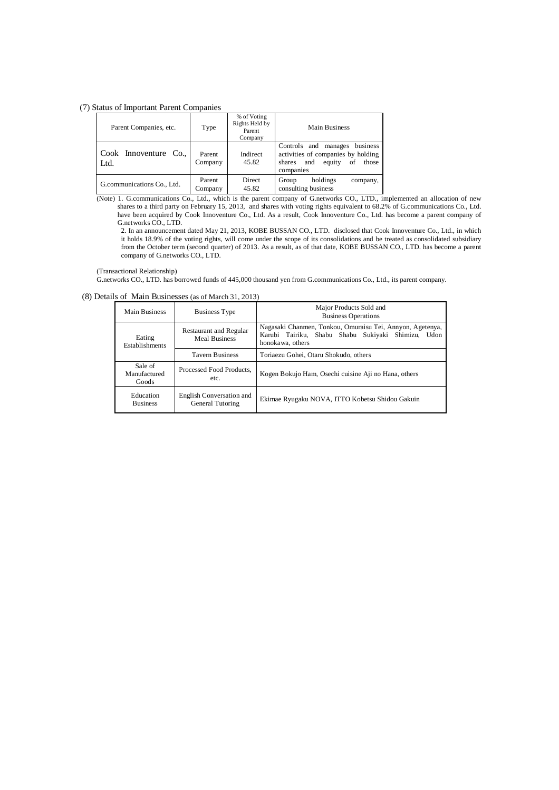(7) Status of Important Parent Companies

| Parent Companies, etc.        | Type              | % of Voting<br>Rights Held by<br>Parent<br>Company | Main Business                                                                                                                 |
|-------------------------------|-------------------|----------------------------------------------------|-------------------------------------------------------------------------------------------------------------------------------|
| Cook Innoventure Co.,<br>Ltd. | Parent<br>Company | Indirect<br>45.82                                  | business<br>Controls and manages<br>activities of companies by holding<br>equity<br>and<br>shares<br>of<br>those<br>companies |
| G.communications Co., Ltd.    | Parent<br>Company | <b>Direct</b><br>45.82                             | holdings<br>Group<br>company,<br>consulting business                                                                          |

(Note) 1. G.communications Co., Ltd., which is the parent company of G.networks CO., LTD., implemented an allocation of new shares to a third party on February 15, 2013, and shares with voting rights equivalent to 68.2% of G.communications Co., Ltd. have been acquired by Cook Innoventure Co., Ltd. As a result, Cook Innoventure Co., Ltd. has become a parent company of G.networks CO., LTD.

2. In an announcement dated May 21, 2013, KOBE BUSSAN CO., LTD. disclosed that Cook Innoventure Co., Ltd., in which it holds 18.9% of the voting rights, will come under the scope of its consolidations and be treated as consolidated subsidiary from the October term (second quarter) of 2013. As a result, as of that date, KOBE BUSSAN CO., LTD. has become a parent company of G.networks CO., LTD.

(Transactional Relationship)

G.networks CO., LTD. has borrowed funds of 445,000 thousand yen from G.communications Co., Ltd., its parent company.

(8) Details of Main Businesses (as of March 31, 2013)

| Main Business                    | Business Type                                  | Major Products Sold and<br><b>Business Operations</b>                                                                                  |
|----------------------------------|------------------------------------------------|----------------------------------------------------------------------------------------------------------------------------------------|
| Eating<br>Establishments         | Restaurant and Regular<br><b>Meal Business</b> | Nagasaki Chanmen, Tonkou, Omuraisu Tei, Annyon, Agetenya,<br>Karubi Tairiku, Shabu Shabu Sukiyaki Shimizu,<br>Udon<br>honokawa, others |
| <b>Tavern Business</b>           |                                                | Toriaezu Gohei, Otaru Shokudo, others                                                                                                  |
| Sale of<br>Manufactured<br>Goods | Processed Food Products.<br>etc.               | Kogen Bokujo Ham, Osechi cuisine Aji no Hana, others                                                                                   |
| Education<br><b>Business</b>     | English Conversation and<br>General Tutoring   | Ekimae Ryugaku NOVA, ITTO Kobetsu Shidou Gakuin                                                                                        |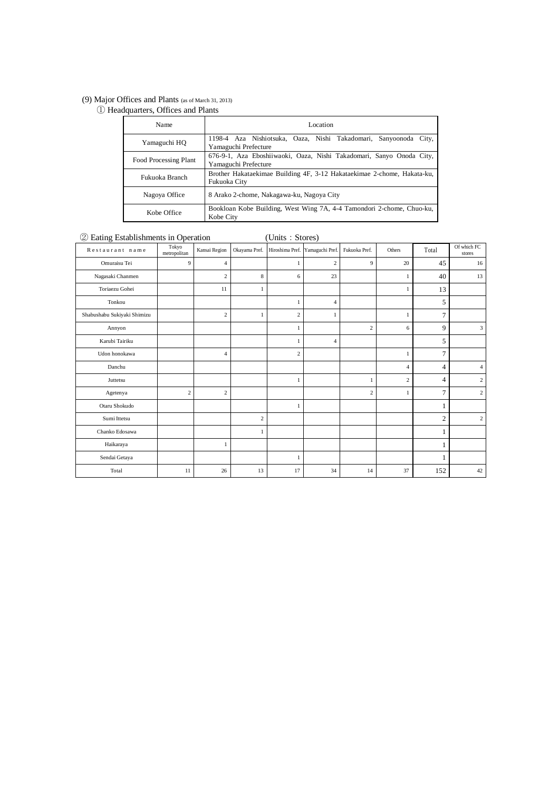#### (9) Major Offices and Plants (as of March 31, 2013)

① Headquarters, Offices and Plants

| Name                  | Location                                                                                     |
|-----------------------|----------------------------------------------------------------------------------------------|
| Yamaguchi HQ          | 1198-4 Aza Nishiotsuka, Oaza, Nishi Takadomari, Sanyoonoda City,<br>Yamaguchi Prefecture     |
| Food Processing Plant | 676-9-1, Aza Eboshiiwaoki, Oaza, Nishi Takadomari, Sanyo Onoda City,<br>Yamaguchi Prefecture |
| Fukuoka Branch        | Brother Hakataekimae Building 4F, 3-12 Hakataekimae 2-chome, Hakata-ku,<br>Fukuoka City      |
| Nagoya Office         | 8 Arako 2-chome, Nakagawa-ku, Nagoya City                                                    |
| Kobe Office           | Bookloan Kobe Building, West Wing 7A, 4-4 Tamondori 2-chome, Chuo-ku,<br>Kobe City           |

# ② Eating Establishments in Operation (Units:Stores)

| Restaurant name             | Tokyo<br>metropolitan | Kansai Region  | Okayama Pref.  |                | Hiroshima Pref. Yamaguchi Pref. | Fukuoka Pref.  | Others         | Total          | Of which FC<br>stores |
|-----------------------------|-----------------------|----------------|----------------|----------------|---------------------------------|----------------|----------------|----------------|-----------------------|
| Omuraisu Tei                | 9                     | $\overline{4}$ |                | 1              | $\overline{c}$                  | 9              | 20             | 45             | 16                    |
| Nagasaki Chanmen            |                       | $\overline{c}$ | 8              | 6              | 23                              |                | $\mathbf{1}$   | 40             | 13                    |
| Toriaezu Gohei              |                       | 11             | 1              |                |                                 |                | 1              | 13             |                       |
| Tonkou                      |                       |                |                | $\mathbf{1}$   | $\overline{4}$                  |                |                | 5              |                       |
| Shabushabu Sukiyaki Shimizu |                       | $\overline{c}$ | $\mathbf{1}$   | $\overline{c}$ |                                 |                | 1              | 7              |                       |
| Annyon                      |                       |                |                | 1              |                                 | $\overline{c}$ | 6              | 9              | 3                     |
| Karubi Tairiku              |                       |                |                | $\mathbf{1}$   | $\overline{4}$                  |                |                | 5              |                       |
| Udon honokawa               |                       | 4              |                | $\overline{c}$ |                                 |                | 1              | 7              |                       |
| Danchu                      |                       |                |                |                |                                 |                | $\overline{4}$ | 4              | $\overline{4}$        |
| Juttetsu                    |                       |                |                | -1             |                                 | 1              | $\overline{2}$ | 4              | $\mathbf{2}$          |
| Agetenya                    | $\overline{2}$        | $\mathfrak{2}$ |                |                |                                 | $\overline{c}$ | 1              | 7              | $\overline{c}$        |
| Otaru Shokudo               |                       |                |                |                |                                 |                |                |                |                       |
| Sumi Ittetsu                |                       |                | $\overline{c}$ |                |                                 |                |                | $\overline{c}$ | $\overline{c}$        |
| Chanko Edosawa              |                       |                | 1              |                |                                 |                |                | 1              |                       |
| Haikaraya                   |                       | 1              |                |                |                                 |                |                |                |                       |
| Sendai Getaya               |                       |                |                | -1             |                                 |                |                |                |                       |
| Total                       | 11                    | 26             | 13             | 17             | 34                              | 14             | 37             | 152            | 42                    |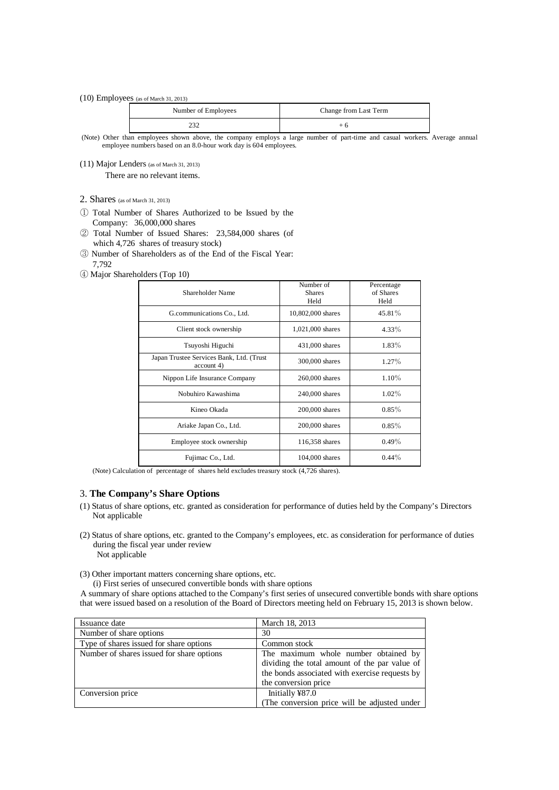(10) Employees (as of March 31, 2013)

| Number of Employees | Change from Last Term |  |  |
|---------------------|-----------------------|--|--|
|                     | + ი                   |  |  |

 (Note) Other than employees shown above, the company employs a large number of part-time and casual workers. Average annual employee numbers based on an 8.0-hour work day is 604 employees.

(11) Major Lenders (as of March 31, 2013)

There are no relevant items.

- 2. Shares (as of March 31, 2013)
- ① Total Number of Shares Authorized to be Issued by the Company: 36,000,000 shares
- ② Total Number of Issued Shares: 23,584,000 shares (of which 4,726 shares of treasury stock)
- ③ Number of Shareholders as of the End of the Fiscal Year: 7,792
- ④ Major Shareholders (Top 10)

| Shareholder Name                                       | Number of<br><b>Shares</b><br>Held | Percentage<br>of Shares<br>Held |
|--------------------------------------------------------|------------------------------------|---------------------------------|
| G.communications Co., Ltd.                             | 10,802,000 shares                  | 45.81%                          |
| Client stock ownership                                 | 1,021,000 shares                   | 4.33%                           |
| Tsuyoshi Higuchi                                       | 431,000 shares                     | 1.83%                           |
| Japan Trustee Services Bank, Ltd. (Trust<br>account 4) | 300,000 shares                     | $1.27\%$                        |
| Nippon Life Insurance Company                          | 260,000 shares                     | $1.10\%$                        |
| Nobuhiro Kawashima                                     | 240,000 shares                     | 1.02%                           |
| Kineo Okada                                            | 200,000 shares                     | $0.85\%$                        |
| Ariake Japan Co., Ltd.                                 | 200,000 shares                     | $0.85\%$                        |
| Employee stock ownership                               | 116,358 shares                     | $0.49\%$                        |
| Fujimac Co., Ltd.                                      | 104,000 shares                     | $0.44\%$                        |

(Note) Calculation of percentage of shares held excludes treasury stock (4,726 shares).

#### 3. **The Company's Share Options**

- (1) Status of share options, etc. granted as consideration for performance of duties held by the Company's Directors Not applicable
- (2) Status of share options, etc. granted to the Company's employees, etc. as consideration for performance of duties during the fiscal year under review Not applicable
	-
- (3) Other important matters concerning share options, etc.

(i) First series of unsecured convertible bonds with share options

A summary of share options attached to the Company's first series of unsecured convertible bonds with share options that were issued based on a resolution of the Board of Directors meeting held on February 15, 2013 is shown below.

| Issuance date                             | March 18, 2013                                 |
|-------------------------------------------|------------------------------------------------|
| Number of share options                   | 30                                             |
| Type of shares issued for share options   | Common stock                                   |
| Number of shares issued for share options | The maximum whole number obtained by           |
|                                           | dividing the total amount of the par value of  |
|                                           | the bonds associated with exercise requests by |
|                                           | the conversion price                           |
| Conversion price                          | Initially ¥87.0                                |
|                                           | (The conversion price will be adjusted under   |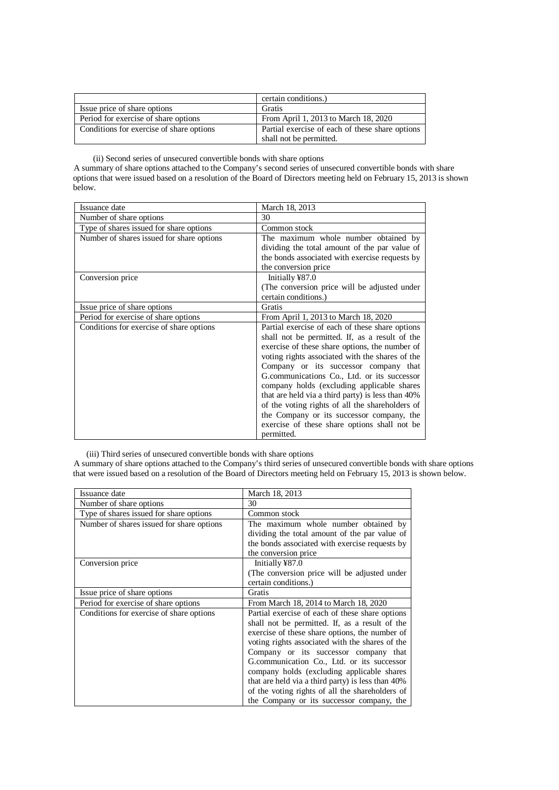|                                          | certain conditions.)                            |
|------------------------------------------|-------------------------------------------------|
| Issue price of share options             | Gratis                                          |
| Period for exercise of share options     | From April 1, 2013 to March 18, 2020            |
| Conditions for exercise of share options | Partial exercise of each of these share options |
|                                          | shall not be permitted.                         |

(ii) Second series of unsecured convertible bonds with share options

A summary of share options attached to the Company's second series of unsecured convertible bonds with share options that were issued based on a resolution of the Board of Directors meeting held on February 15, 2013 is shown below.

| Issuance date                             | March 18, 2013                                    |
|-------------------------------------------|---------------------------------------------------|
| Number of share options                   | 30                                                |
| Type of shares issued for share options   | Common stock                                      |
| Number of shares issued for share options | The maximum whole number obtained by              |
|                                           | dividing the total amount of the par value of     |
|                                           | the bonds associated with exercise requests by    |
|                                           | the conversion price                              |
| Conversion price                          | Initially ¥87.0                                   |
|                                           | (The conversion price will be adjusted under      |
|                                           | certain conditions.)                              |
| Issue price of share options              | Gratis                                            |
| Period for exercise of share options      | From April 1, 2013 to March 18, 2020              |
| Conditions for exercise of share options  | Partial exercise of each of these share options   |
|                                           | shall not be permitted. If, as a result of the    |
|                                           | exercise of these share options, the number of    |
|                                           | voting rights associated with the shares of the   |
|                                           | Company or its successor company that             |
|                                           | G.communications Co., Ltd. or its successor       |
|                                           | company holds (excluding applicable shares        |
|                                           | that are held via a third party) is less than 40% |
|                                           | of the voting rights of all the shareholders of   |
|                                           | the Company or its successor company, the         |
|                                           | exercise of these share options shall not be      |
|                                           | permitted.                                        |

(iii) Third series of unsecured convertible bonds with share options

A summary of share options attached to the Company's third series of unsecured convertible bonds with share options that were issued based on a resolution of the Board of Directors meeting held on February 15, 2013 is shown below.

| Issuance date                             | March 18, 2013                                    |
|-------------------------------------------|---------------------------------------------------|
| Number of share options                   | 30                                                |
| Type of shares issued for share options   | Common stock                                      |
| Number of shares issued for share options | The maximum whole number obtained by              |
|                                           | dividing the total amount of the par value of     |
|                                           | the bonds associated with exercise requests by    |
|                                           | the conversion price                              |
| Conversion price                          | Initially ¥87.0                                   |
|                                           | (The conversion price will be adjusted under      |
|                                           | certain conditions.)                              |
| Issue price of share options              | Gratis                                            |
| Period for exercise of share options      | From March 18, 2014 to March 18, 2020             |
| Conditions for exercise of share options  | Partial exercise of each of these share options   |
|                                           | shall not be permitted. If, as a result of the    |
|                                           | exercise of these share options, the number of    |
|                                           | voting rights associated with the shares of the   |
|                                           | Company or its successor company that             |
|                                           | G.communication Co., Ltd. or its successor        |
|                                           | company holds (excluding applicable shares        |
|                                           | that are held via a third party) is less than 40% |
|                                           | of the voting rights of all the shareholders of   |
|                                           | the Company or its successor company, the         |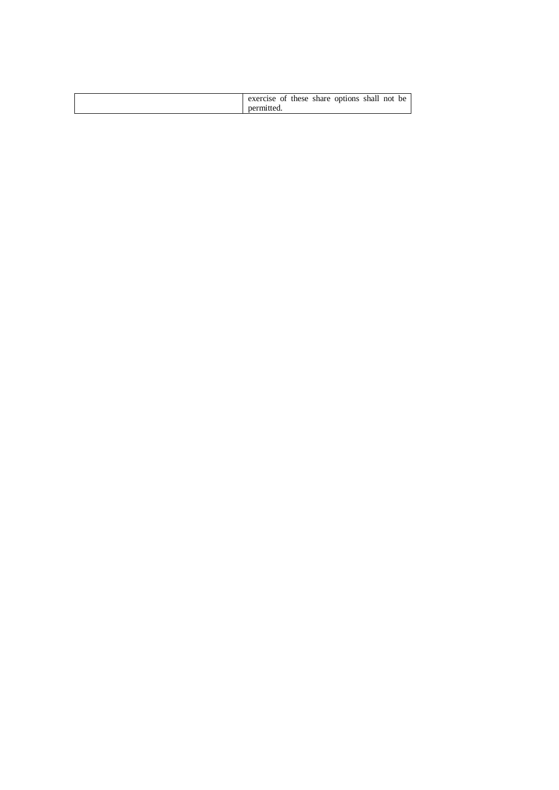| exercise of these share options shall not be |
|----------------------------------------------|
| permitted                                    |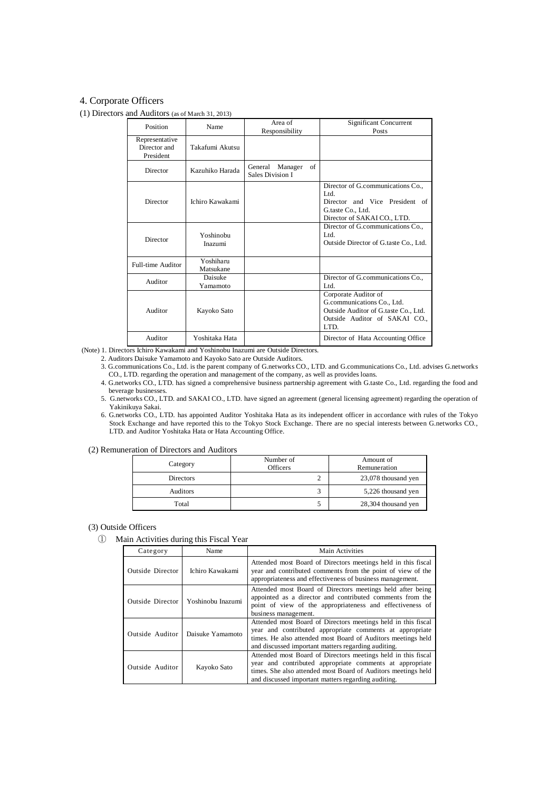# 4. Corporate Officers

#### (1) Directors and Auditors (as of March 31, 2013)

| Position                                    | Name                   | Area of<br>Responsibility                    | Significant Concurrent<br>Posts                                                                                                     |
|---------------------------------------------|------------------------|----------------------------------------------|-------------------------------------------------------------------------------------------------------------------------------------|
| Representative<br>Director and<br>President | Takafumi Akutsu        |                                              |                                                                                                                                     |
| Director                                    | Kazuhiko Harada        | of<br>Manager<br>General<br>Sales Division I |                                                                                                                                     |
| Director                                    | Ichiro Kawakami        |                                              | Director of G.communications Co.,<br>Ltd.<br>Director and Vice President of<br>G.taste Co., Ltd.<br>Director of SAKAI CO., LTD.     |
| Director                                    | Yoshinobu<br>Inazumi   |                                              | Director of G.communications Co.,<br>Ltd.<br>Outside Director of G.taste Co., Ltd.                                                  |
| Full-time Auditor                           | Yoshiharu<br>Matsukane |                                              |                                                                                                                                     |
| Auditor                                     | Daisuke<br>Yamamoto    |                                              | Director of G.communications Co.,<br>Ltd.                                                                                           |
| Auditor                                     | Kayoko Sato            |                                              | Corporate Auditor of<br>G.communications Co., Ltd.<br>Outside Auditor of G.taste Co., Ltd.<br>Outside Auditor of SAKAI CO.,<br>LTD. |
| Auditor                                     | Yoshitaka Hata         |                                              | Director of Hata Accounting Office                                                                                                  |

(Note) 1. Directors Ichiro Kawakami and Yoshinobu Inazumi are Outside Directors.

2. Auditors Daisuke Yamamoto and Kayoko Sato are Outside Auditors.

- 3. G.communications Co., Ltd. is the parent company of G.networks CO., LTD. and G.communications Co., Ltd. advises G.networks CO., LTD. regarding the operation and management of the company, as well as provides loans.
- 4. G.networks CO., LTD. has signed a comprehensive business partnership agreement with G.taste Co., Ltd. regarding the food and beverage businesses.

5. G.networks CO., LTD. and SAKAI CO., LTD. have signed an agreement (general licensing agreement) regarding the operation of Yakinikuya Sakai.

6. G.networks CO., LTD. has appointed Auditor Yoshitaka Hata as its independent officer in accordance with rules of the Tokyo Stock Exchange and have reported this to the Tokyo Stock Exchange. There are no special interests between G.networks CO., LTD. and Auditor Yoshitaka Hata or Hata Accounting Office.

(2) Remuneration of Directors and Auditors

| Category  | Number of<br><b>Officers</b> | Amount of<br>Remuneration |
|-----------|------------------------------|---------------------------|
| Directors |                              | 23,078 thousand yen       |
| Auditors  |                              | 5,226 thousand yen        |
| Total     |                              | 28,304 thousand yen       |

(3) Outside Officers

① Main Activities during this Fiscal Year

| Category         | Name              | Main Activities                                                                                                                                                                                                                                   |
|------------------|-------------------|---------------------------------------------------------------------------------------------------------------------------------------------------------------------------------------------------------------------------------------------------|
| Outside Director | Ichiro Kawakami   | Attended most Board of Directors meetings held in this fiscal<br>year and contributed comments from the point of view of the<br>appropriateness and effectiveness of business management.                                                         |
| Outside Director | Yoshinobu Inazumi | Attended most Board of Directors meetings held after being<br>appointed as a director and contributed comments from the<br>point of view of the appropriateness and effectiveness of<br>business management.                                      |
| Outside Auditor  | Daisuke Yamamoto  | Attended most Board of Directors meetings held in this fiscal<br>year and contributed appropriate comments at appropriate<br>times. He also attended most Board of Auditors meetings held<br>and discussed important matters regarding auditing.  |
| Outside Auditor  | Kayoko Sato       | Attended most Board of Directors meetings held in this fiscal<br>year and contributed appropriate comments at appropriate<br>times. She also attended most Board of Auditors meetings held<br>and discussed important matters regarding auditing. |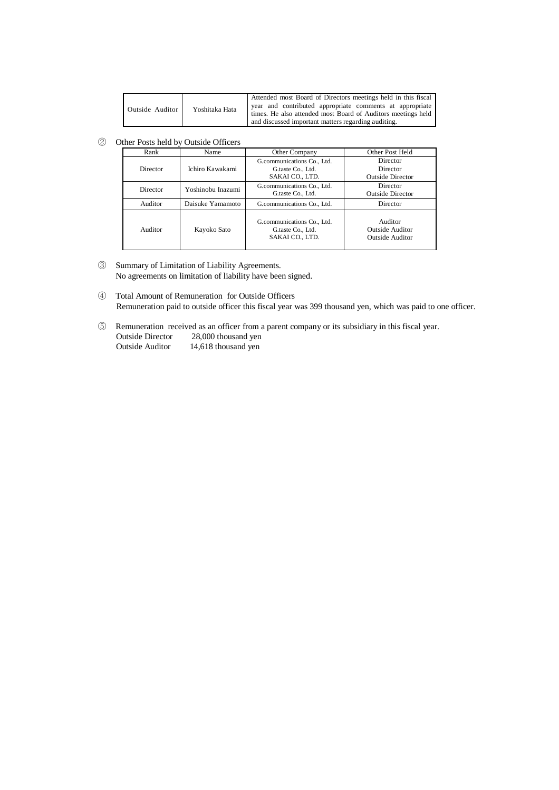| Yoshitaka Hata<br>Outside Auditor | Attended most Board of Directors meetings held in this fiscal |                                                              |
|-----------------------------------|---------------------------------------------------------------|--------------------------------------------------------------|
|                                   | year and contributed appropriate comments at appropriate      |                                                              |
|                                   |                                                               | times. He also attended most Board of Auditors meetings held |
|                                   |                                                               | and discussed important matters regarding auditing.          |

② Other Posts held by Outside Officers

| Rank     | Name              | Other Company                                                      | Other Post Held                                             |
|----------|-------------------|--------------------------------------------------------------------|-------------------------------------------------------------|
| Director | Ichiro Kawakami   | G.communications Co., Ltd.<br>G.taste Co., Ltd.<br>SAKAI CO., LTD. | Director<br>Director<br><b>Outside Director</b>             |
| Director | Yoshinobu Inazumi | G.communications Co., Ltd.<br>G.taste Co., Ltd.                    | Director<br><b>Outside Director</b>                         |
| Auditor  | Daisuke Yamamoto  | G.communications Co., Ltd.                                         | Director                                                    |
| Auditor  | Kayoko Sato       | G.communications Co., Ltd.<br>G.taste Co., Ltd.<br>SAKAI CO., LTD. | Auditor<br><b>Outside Auditor</b><br><b>Outside Auditor</b> |

- ③ Summary of Limitation of Liability Agreements. No agreements on limitation of liability have been signed.
- ④ Total Amount of Remuneration for Outside Officers Remuneration paid to outside officer this fiscal year was 399 thousand yen, which was paid to one officer.
- ⑤ Remuneration received as an officer from a parent company or its subsidiary in this fiscal year. Outside Director 28,000 thousand yen<br>Outside Auditor 14,618 thousand yen  $14,618$  thousand yen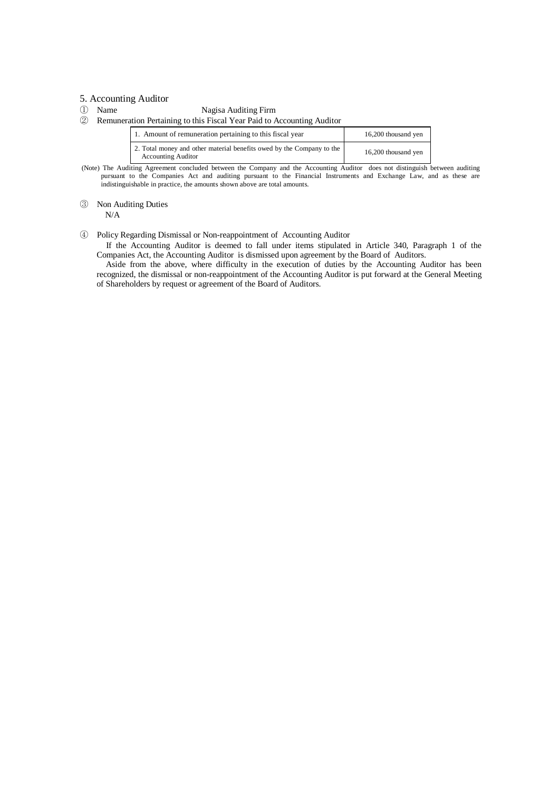#### 5. Accounting Auditor

① Name Nagisa Auditing Firm

② Remuneration Pertaining to this Fiscal Year Paid to Accounting Auditor

| 1. Amount of remuneration pertaining to this fiscal year                                           | 16,200 thousand yen |
|----------------------------------------------------------------------------------------------------|---------------------|
| 2. Total money and other material benefits owed by the Company to the<br><b>Accounting Auditor</b> | 16,200 thousand yen |

 (Note) The Auditing Agreement concluded between the Company and the Accounting Auditor does not distinguish between auditing pursuant to the Companies Act and auditing pursuant to the Financial Instruments and Exchange Law, and as these are indistinguishable in practice, the amounts shown above are total amounts.

# ③ Non Auditing Duties

N/A

#### ④ Policy Regarding Dismissal or Non-reappointment of Accounting Auditor

If the Accounting Auditor is deemed to fall under items stipulated in Article 340, Paragraph 1 of the Companies Act, the Accounting Auditor is dismissed upon agreement by the Board of Auditors.

Aside from the above, where difficulty in the execution of duties by the Accounting Auditor has been recognized, the dismissal or non-reappointment of the Accounting Auditor is put forward at the General Meeting of Shareholders by request or agreement of the Board of Auditors.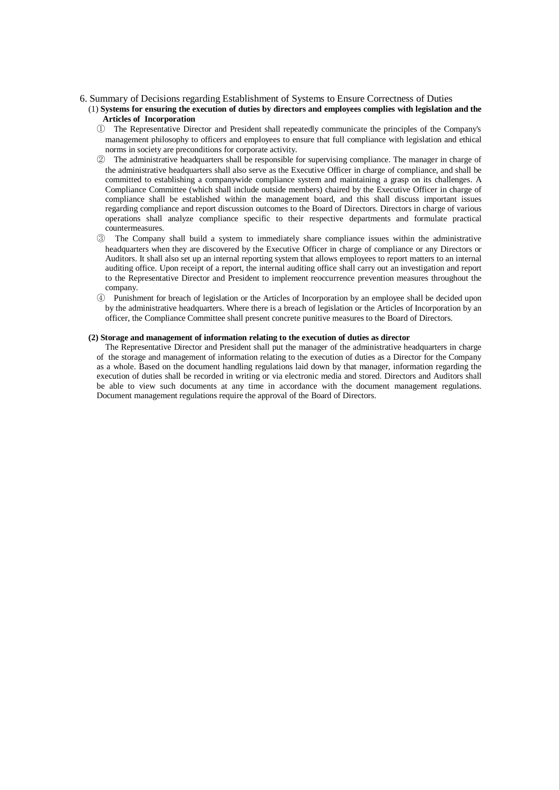#### 6. Summary of Decisions regarding Establishment of Systems to Ensure Correctness of Duties

#### (1) **Systems for ensuring the execution of duties by directors and employees complies with legislation and the Articles of Incorporation**

- ① The Representative Director and President shall repeatedly communicate the principles of the Company's management philosophy to officers and employees to ensure that full compliance with legislation and ethical norms in society are preconditions for corporate activity.
- ② The administrative headquarters shall be responsible for supervising compliance. The manager in charge of the administrative headquarters shall also serve as the Executive Officer in charge of compliance, and shall be committed to establishing a companywide compliance system and maintaining a grasp on its challenges. A Compliance Committee (which shall include outside members) chaired by the Executive Officer in charge of compliance shall be established within the management board, and this shall discuss important issues regarding compliance and report discussion outcomes to the Board of Directors. Directors in charge of various operations shall analyze compliance specific to their respective departments and formulate practical countermeasures.
- ③ The Company shall build a system to immediately share compliance issues within the administrative headquarters when they are discovered by the Executive Officer in charge of compliance or any Directors or Auditors. It shall also set up an internal reporting system that allows employees to report matters to an internal auditing office. Upon receipt of a report, the internal auditing office shall carry out an investigation and report to the Representative Director and President to implement reoccurrence prevention measures throughout the company.
- ④ Punishment for breach of legislation or the Articles of Incorporation by an employee shall be decided upon by the administrative headquarters. Where there is a breach of legislation or the Articles of Incorporation by an officer, the Compliance Committee shall present concrete punitive measures to the Board of Directors.

#### **(2) Storage and management of information relating to the execution of duties as director**

The Representative Director and President shall put the manager of the administrative headquarters in charge of the storage and management of information relating to the execution of duties as a Director for the Company as a whole. Based on the document handling regulations laid down by that manager, information regarding the execution of duties shall be recorded in writing or via electronic media and stored. Directors and Auditors shall be able to view such documents at any time in accordance with the document management regulations. Document management regulations require the approval of the Board of Directors.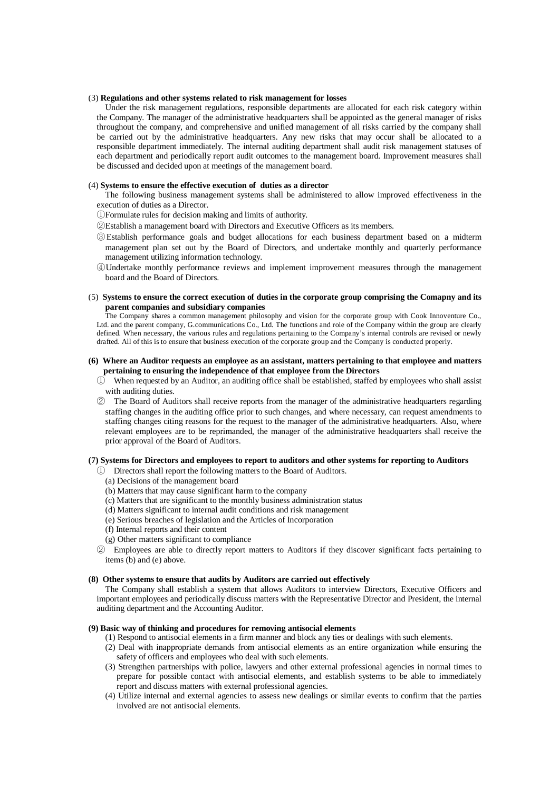#### (3) **Regulations and other systems related to risk management for losses**

Under the risk management regulations, responsible departments are allocated for each risk category within the Company. The manager of the administrative headquarters shall be appointed as the general manager of risks throughout the company, and comprehensive and unified management of all risks carried by the company shall be carried out by the administrative headquarters. Any new risks that may occur shall be allocated to a responsible department immediately. The internal auditing department shall audit risk management statuses of each department and periodically report audit outcomes to the management board. Improvement measures shall be discussed and decided upon at meetings of the management board.

#### (4) **Systems to ensure the effective execution of duties as a director**

The following business management systems shall be administered to allow improved effectiveness in the execution of duties as a Director.

- ①Formulate rules for decision making and limits of authority.
- ②Establish a management board with Directors and Executive Officers as its members.
- ③Establish performance goals and budget allocations for each business department based on a midterm management plan set out by the Board of Directors, and undertake monthly and quarterly performance management utilizing information technology.
- ④Undertake monthly performance reviews and implement improvement measures through the management board and the Board of Directors.
- (5) **Systems to ensure the correct execution of duties in the corporate group comprising the Comapny and its parent companies and subsidiary companies**

The Company shares a common management philosophy and vision for the corporate group with Cook Innoventure Co., Ltd. and the parent company, G.communications Co., Ltd. The functions and role of the Company within the group are clearly defined. When necessary, the various rules and regulations pertaining to the Company's internal controls are revised or newly drafted. All of this is to ensure that business execution of the corporate group and the Company is conducted properly.

#### **(6) Where an Auditor requests an employee as an assistant, matters pertaining to that employee and matters pertaining to ensuring the independence of that employee from the Directors**

- ① When requested by an Auditor, an auditing office shall be established, staffed by employees who shall assist with auditing duties.
- ② The Board of Auditors shall receive reports from the manager of the administrative headquarters regarding staffing changes in the auditing office prior to such changes, and where necessary, can request amendments to staffing changes citing reasons for the request to the manager of the administrative headquarters. Also, where relevant employees are to be reprimanded, the manager of the administrative headquarters shall receive the prior approval of the Board of Auditors.

#### **(7) Systems for Directors and employees to report to auditors and other systems for reporting to Auditors**

- ① Directors shall report the following matters to the Board of Auditors.
	- (a) Decisions of the management board
	- (b) Matters that may cause significant harm to the company
	- (c) Matters that are significant to the monthly business administration status
	- (d) Matters significant to internal audit conditions and risk management
	- (e) Serious breaches of legislation and the Articles of Incorporation
	- (f) Internal reports and their content
	- (g) Other matters significant to compliance
- ② Employees are able to directly report matters to Auditors if they discover significant facts pertaining to items (b) and (e) above.

#### **(8) Other systems to ensure that audits by Auditors are carried out effectively**

The Company shall establish a system that allows Auditors to interview Directors, Executive Officers and important employees and periodically discuss matters with the Representative Director and President, the internal auditing department and the Accounting Auditor.

#### **(9) Basic way of thinking and procedures for removing antisocial elements**

- (1) Respond to antisocial elements in a firm manner and block any ties or dealings with such elements.
- (2) Deal with inappropriate demands from antisocial elements as an entire organization while ensuring the safety of officers and employees who deal with such elements.
- (3) Strengthen partnerships with police, lawyers and other external professional agencies in normal times to prepare for possible contact with antisocial elements, and establish systems to be able to immediately report and discuss matters with external professional agencies.
- (4) Utilize internal and external agencies to assess new dealings or similar events to confirm that the parties involved are not antisocial elements.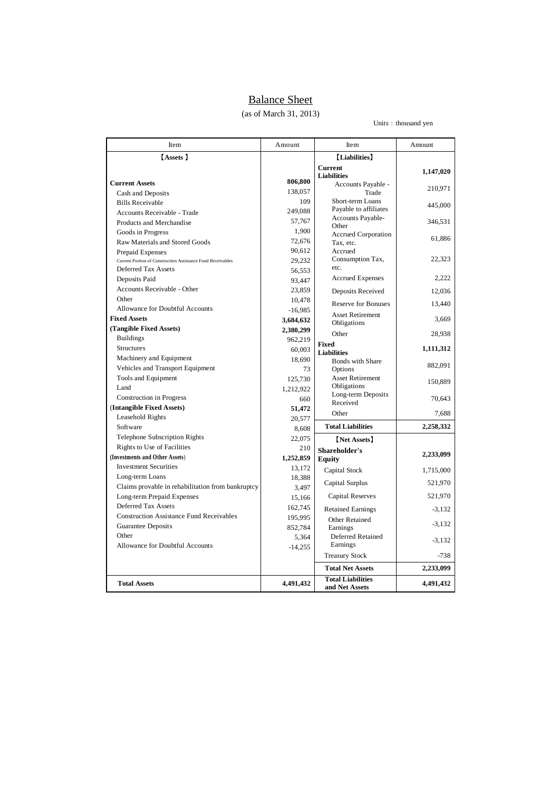# Balance Sheet

(as of March 31, 2013)

#### Units: thousand yen

| Item                                                        | Amount    | Item                                       | Amount    |
|-------------------------------------------------------------|-----------|--------------------------------------------|-----------|
| [Assets ]                                                   |           | [Liabilities]                              |           |
|                                                             |           | <b>Current</b>                             | 1,147,020 |
| <b>Current Assets</b>                                       | 806,800   | <b>Liabilities</b>                         |           |
| Cash and Deposits                                           | 138,057   | Accounts Payable -<br>Trade                | 210,971   |
| <b>Bills Receivable</b>                                     | 109       | Short-term Loans                           |           |
| Accounts Receivable - Trade                                 | 249,088   | Payable to affiliates                      | 445,000   |
| Products and Merchandise                                    | 57,767    | Accounts Payable-                          | 346,531   |
| Goods in Progress                                           | 1,900     | Other                                      |           |
| Raw Materials and Stored Goods                              | 72,676    | <b>Accrued Corporation</b><br>Tax, etc.    | 61,886    |
| Prepaid Expenses                                            | 90,612    | Accrued                                    |           |
| Current Portion of Construction Assistance Fund Receivables | 29,232    | Consumption Tax,                           | 22,323    |
| Deferred Tax Assets                                         | 56,553    | etc.                                       |           |
| Deposits Paid                                               | 93,447    | <b>Accrued Expenses</b>                    | 2,222     |
| Accounts Receivable - Other                                 | 23,859    | Deposits Received                          | 12,036    |
| Other                                                       | 10,478    | <b>Reserve for Bonuses</b>                 | 13,440    |
| Allowance for Doubtful Accounts                             | $-16,985$ |                                            |           |
| <b>Fixed Assets</b>                                         | 3,684,632 | <b>Asset Retirement</b><br>Obligations     | 3,669     |
| (Tangible Fixed Assets)                                     | 2,380,299 | Other                                      | 28,938    |
| <b>Buildings</b>                                            | 962,219   |                                            |           |
| <b>Structures</b>                                           | 60,003    | Fixed<br><b>Liabilities</b>                | 1,111,312 |
| Machinery and Equipment                                     | 18,690    | <b>Bonds</b> with Share                    |           |
| Vehicles and Transport Equipment                            | 73        | Options                                    | 882,091   |
| Tools and Equipment                                         | 125,730   | <b>Asset Retirement</b>                    | 150,889   |
| Land                                                        | 1,212,922 | Obligations                                |           |
| Construction in Progress                                    | 660       | Long-term Deposits<br>Received             | 70,643    |
| (Intangible Fixed Assets)                                   | 51,472    | Other                                      | 7,688     |
| Leasehold Rights                                            | 20,577    |                                            |           |
| Software                                                    | 8,608     | <b>Total Liabilities</b>                   | 2,258,332 |
| Telephone Subscription Rights                               | 22,075    | [Net Assets]                               |           |
| Rights to Use of Facilities                                 | 210       | Shareholder's                              |           |
| (Investments and Other Assets)                              | 1,252,859 | <b>Equity</b>                              | 2,233,099 |
| <b>Investment Securities</b>                                | 13,172    | Capital Stock                              | 1,715,000 |
| Long-term Loans                                             | 18,388    | Capital Surplus                            | 521,970   |
| Claims provable in rehabilitation from bankruptcy           | 3,497     |                                            |           |
| Long-term Prepaid Expenses                                  | 15,166    | Capital Reserves                           | 521,970   |
| Deferred Tax Assets                                         | 162,745   | <b>Retained Earnings</b>                   | $-3,132$  |
| <b>Construction Assistance Fund Receivables</b>             | 195,995   | Other Retained                             | $-3,132$  |
| Guarantee Deposits                                          | 852,784   | Earnings                                   |           |
| Other                                                       | 5,364     | Deferred Retained<br>Earnings              | $-3,132$  |
| Allowance for Doubtful Accounts                             | $-14,255$ |                                            |           |
|                                                             |           | <b>Treasury Stock</b>                      | $-738$    |
|                                                             |           | <b>Total Net Assets</b>                    | 2,233,099 |
| <b>Total Assets</b>                                         | 4,491,432 | <b>Total Liabilities</b><br>and Net Assets | 4,491,432 |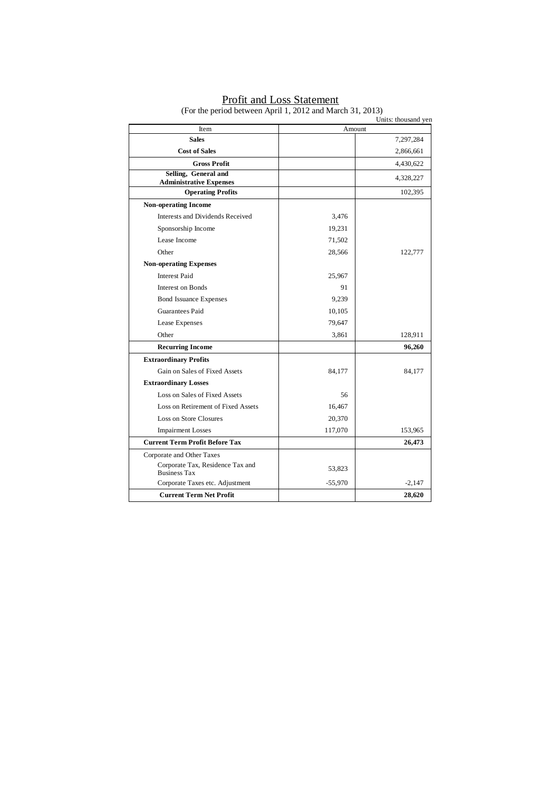|                                                         |           | Units: thousand yen |
|---------------------------------------------------------|-----------|---------------------|
| Item                                                    |           | Amount              |
| <b>Sales</b>                                            |           | 7,297,284           |
| <b>Cost of Sales</b>                                    |           | 2,866,661           |
| <b>Gross Profit</b>                                     |           | 4,430,622           |
| Selling, General and<br><b>Administrative Expenses</b>  |           | 4,328,227           |
| <b>Operating Profits</b>                                |           | 102,395             |
| <b>Non-operating Income</b>                             |           |                     |
| Interests and Dividends Received                        | 3,476     |                     |
| Sponsorship Income                                      | 19,231    |                     |
| Lease Income                                            | 71,502    |                     |
| Other                                                   | 28,566    | 122,777             |
| <b>Non-operating Expenses</b>                           |           |                     |
| <b>Interest Paid</b>                                    | 25,967    |                     |
| Interest on Bonds                                       | 91        |                     |
| <b>Bond Issuance Expenses</b>                           | 9,239     |                     |
| Guarantees Paid                                         | 10,105    |                     |
| Lease Expenses                                          | 79,647    |                     |
| Other                                                   | 3,861     | 128,911             |
| <b>Recurring Income</b>                                 |           | 96,260              |
| <b>Extraordinary Profits</b>                            |           |                     |
| Gain on Sales of Fixed Assets                           | 84,177    | 84,177              |
| <b>Extraordinary Losses</b>                             |           |                     |
| Loss on Sales of Fixed Assets                           | 56        |                     |
| Loss on Retirement of Fixed Assets                      | 16,467    |                     |
| Loss on Store Closures                                  | 20,370    |                     |
| <b>Impairment Losses</b>                                | 117,070   | 153,965             |
| <b>Current Term Profit Before Tax</b>                   |           | 26,473              |
| Corporate and Other Taxes                               |           |                     |
| Corporate Tax, Residence Tax and<br><b>Business Tax</b> | 53,823    |                     |
| Corporate Taxes etc. Adjustment                         | $-55,970$ | $-2,147$            |
| <b>Current Term Net Profit</b>                          |           | 28,620              |

**Profit and Loss Statement** (For the period between April 1, 2012 and March 31, 2013)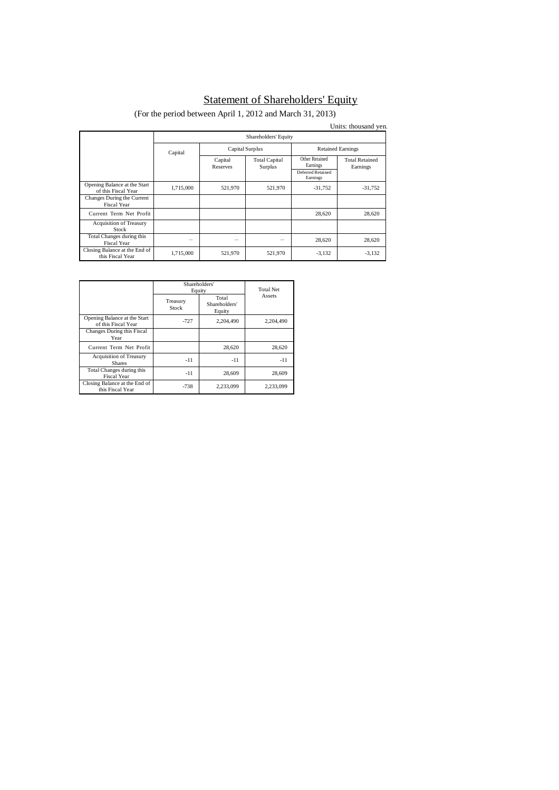# Statement of Shareholders' Equity

(For the period between April 1, 2012 and March 31, 2013)

|                                                     |                      |                     |                                 |                                                             | Units: thousand yen.              |
|-----------------------------------------------------|----------------------|---------------------|---------------------------------|-------------------------------------------------------------|-----------------------------------|
|                                                     | Shareholders' Equity |                     |                                 |                                                             |                                   |
|                                                     | Capital              | Capital Surplus     |                                 | <b>Retained Earnings</b>                                    |                                   |
|                                                     |                      | Capital<br>Reserves | <b>Total Capital</b><br>Surplus | Other Retained<br>Earnings<br>Deferred Retained<br>Earnings | <b>Total Retained</b><br>Earnings |
| Opening Balance at the Start<br>of this Fiscal Year | 1,715,000            | 521,970             | 521,970                         | $-31,752$                                                   | $-31,752$                         |
| Changes During the Current<br><b>Fiscal Year</b>    |                      |                     |                                 |                                                             |                                   |
| Current Term Net Profit                             |                      |                     |                                 | 28,620                                                      | 28,620                            |
| <b>Acquisition of Treasury</b><br>Stock             |                      |                     |                                 |                                                             |                                   |
| Total Changes during this<br>Fiscal Year            |                      |                     |                                 | 28,620                                                      | 28,620                            |
| Closing Balance at the End of<br>this Fiscal Year   | 1,715,000            | 521,970             | 521,970                         | $-3,132$                                                    | $-3,132$                          |

|                                                     | Shareholders'<br>Equity | <b>Total Net</b>                 |           |
|-----------------------------------------------------|-------------------------|----------------------------------|-----------|
|                                                     | Treasury<br>Stock       | Total<br>Shareholders'<br>Equity | Assets    |
| Opening Balance at the Start<br>of this Fiscal Year | $-727$                  | 2.204.490                        | 2.204.490 |
| Changes During this Fiscal<br>Year                  |                         |                                  |           |
| Current Term Net Profit                             |                         | 28,620                           | 28,620    |
| <b>Acquisition of Treasury</b><br><b>Shares</b>     | $-11$                   | $-11$                            | $-11$     |
| Total Changes during this<br><b>Fiscal Year</b>     | $-11$                   | 28,609                           | 28,609    |
| Closing Balance at the End of<br>this Fiscal Year   | $-738$                  | 2,233,099                        | 2.233.099 |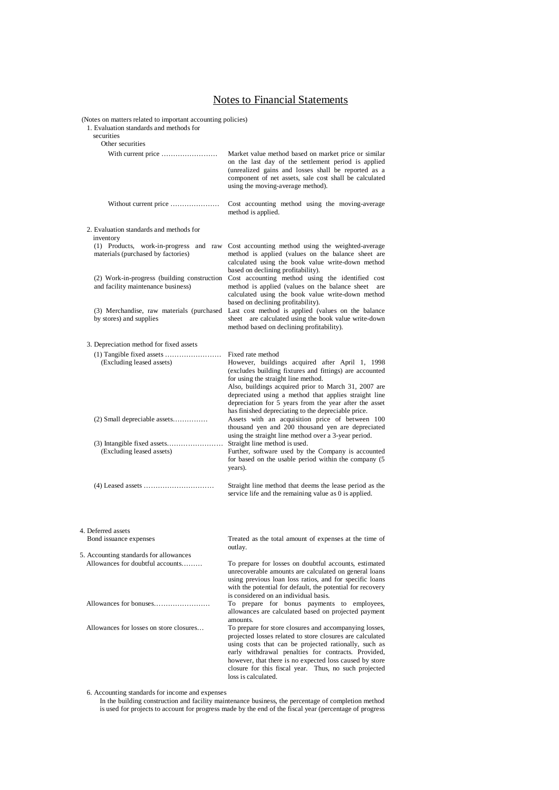# Notes to Financial Statements

(Notes on matters related to important accounting policies)

1. Evaluation standards and methods for

| securities                                                                                                                                                                                                                                                                                        |                                                                                                                                                                                                                                                                                                                                                                                                                                                                                                                          |
|---------------------------------------------------------------------------------------------------------------------------------------------------------------------------------------------------------------------------------------------------------------------------------------------------|--------------------------------------------------------------------------------------------------------------------------------------------------------------------------------------------------------------------------------------------------------------------------------------------------------------------------------------------------------------------------------------------------------------------------------------------------------------------------------------------------------------------------|
| Other securities<br>With current price                                                                                                                                                                                                                                                            | Market value method based on market price or similar<br>on the last day of the settlement period is applied<br>(unrealized gains and losses shall be reported as a<br>component of net assets, sale cost shall be calculated<br>using the moving-average method).                                                                                                                                                                                                                                                        |
| Without current price                                                                                                                                                                                                                                                                             | Cost accounting method using the moving-average<br>method is applied.                                                                                                                                                                                                                                                                                                                                                                                                                                                    |
| 2. Evaluation standards and methods for<br>inventory<br>(1) Products, work-in-progress and raw<br>materials (purchased by factories)<br>(2) Work-in-progress (building construction<br>and facility maintenance business)<br>(3) Merchandise, raw materials (purchased<br>by stores) and supplies | Cost accounting method using the weighted-average<br>method is applied (values on the balance sheet are<br>calculated using the book value write-down method<br>based on declining profitability).<br>Cost accounting method using the identified cost<br>method is applied (values on the balance sheet<br>are<br>calculated using the book value write-down method<br>based on declining profitability).<br>Last cost method is applied (values on the balance<br>sheet are calculated using the book value write-down |
| 3. Depreciation method for fixed assets                                                                                                                                                                                                                                                           | method based on declining profitability).                                                                                                                                                                                                                                                                                                                                                                                                                                                                                |
| (Excluding leased assets)                                                                                                                                                                                                                                                                         | Fixed rate method<br>However, buildings acquired after April 1, 1998<br>(excludes building fixtures and fittings) are accounted<br>for using the straight line method.<br>Also, buildings acquired prior to March 31, 2007 are<br>depreciated using a method that applies straight line<br>depreciation for 5 years from the year after the asset<br>has finished depreciating to the depreciable price.                                                                                                                 |
| $(2)$ Small depreciable assets<br>(Excluding leased assets)                                                                                                                                                                                                                                       | Assets with an acquisition price of between 100<br>thousand yen and 200 thousand yen are depreciated<br>using the straight line method over a 3-year period.<br>Straight line method is used.<br>Further, software used by the Company is accounted<br>for based on the usable period within the company (5<br>years).                                                                                                                                                                                                   |
|                                                                                                                                                                                                                                                                                                   | Straight line method that deems the lease period as the<br>service life and the remaining value as 0 is applied.                                                                                                                                                                                                                                                                                                                                                                                                         |
| 4. Deferred assets<br>Bond issuance expenses                                                                                                                                                                                                                                                      | Treated as the total amount of expenses at the time of<br>outlay.                                                                                                                                                                                                                                                                                                                                                                                                                                                        |
| 5. Accounting standards for allowances<br>Allowances for doubtful accounts                                                                                                                                                                                                                        | To prepare for losses on doubtful accounts, estimated<br>unrecoverable amounts are calculated on general loans<br>using previous loan loss ratios, and for specific loans<br>with the potential for default, the potential for recovery<br>is considered on an individual basis.                                                                                                                                                                                                                                         |
| Allowances for bonuses<br>Allowances for losses on store closures                                                                                                                                                                                                                                 | To prepare for bonus payments to employees,<br>allowances are calculated based on projected payment<br>amounts.<br>To prepare for store closures and accompanying losses,<br>projected losses related to store closures are calculated<br>using costs that can be projected rationally, such as<br>early withdrawal penalties for contracts. Provided,<br>however, that there is no expected loss caused by store<br>closure for this fiscal year. Thus, no such projected<br>loss is calculated.                        |
|                                                                                                                                                                                                                                                                                                   |                                                                                                                                                                                                                                                                                                                                                                                                                                                                                                                          |

6. Accounting standards for income and expenses

In the building construction and facility maintenance business, the percentage of completion method is used for projects to account for progress made by the end of the fiscal year (percentage of progress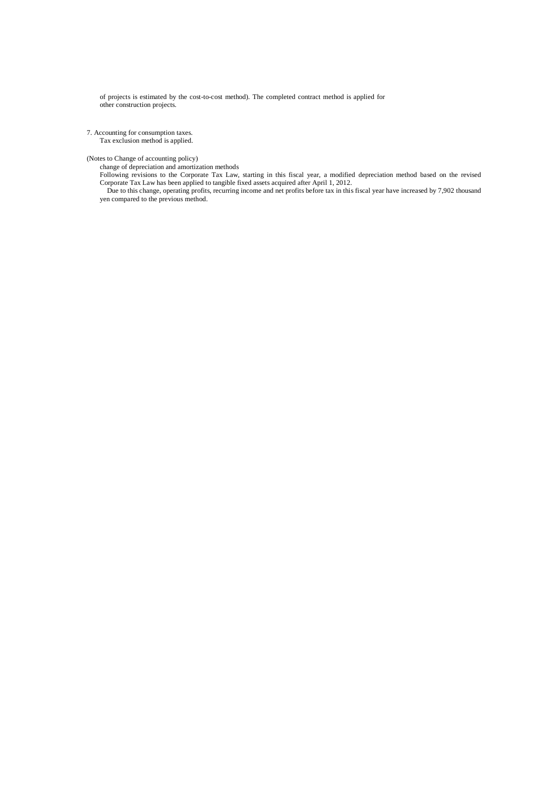of projects is estimated by the cost-to-cost method). The completed contract method is applied for other construction projects.

7. Accounting for consumption taxes.

Tax exclusion method is applied.

(Notes to Change of accounting policy)

change of depreciation and amortization methods

Following revisions to the Corporate Tax Law, starting in this fiscal year, a modified depreciation method based on the revised Corporate Tax Law has been applied to tangible fixed assets acquired after April 1, 2012.

Due to this change, operating profits, recurring income and net profits before tax in this fiscal year have increased by 7,902 thousand yen compared to the previous method.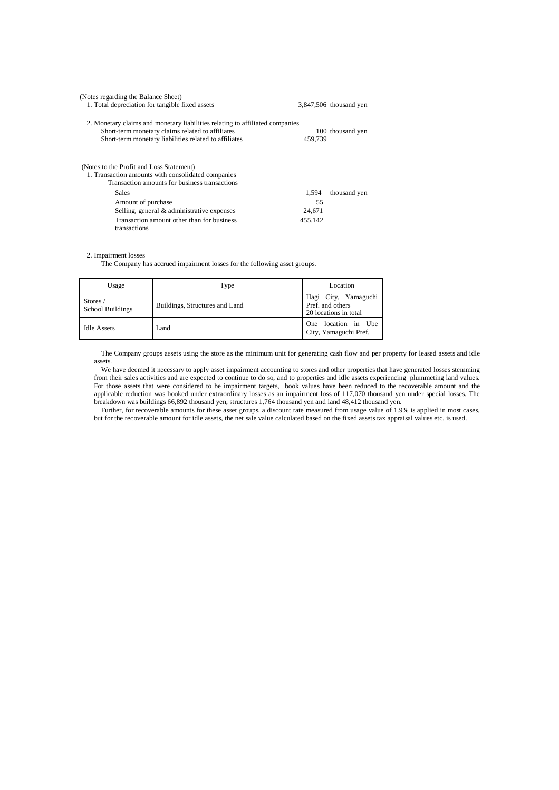| (Notes regarding the Balance Sheet)<br>1. Total depreciation for tangible fixed assets                                                                                                    |         | 3,847,506 thousand yen |
|-------------------------------------------------------------------------------------------------------------------------------------------------------------------------------------------|---------|------------------------|
| 2. Monetary claims and monetary liabilities relating to affiliated companies<br>Short-term monetary claims related to affiliates<br>Short-term monetary liabilities related to affiliates | 459.739 | 100 thousand yen       |
| (Notes to the Profit and Loss Statement)<br>1. Transaction amounts with consolidated companies<br>Transaction amounts for business transactions                                           |         |                        |
| <b>Sales</b>                                                                                                                                                                              | 1.594   | thousand yen           |
| Amount of purchase                                                                                                                                                                        | 55      |                        |
| Selling, general & administrative expenses                                                                                                                                                | 24,671  |                        |
| Transaction amount other than for business<br>transactions                                                                                                                                | 455.142 |                        |

#### 2. Impairment losses

The Company has accrued impairment losses for the following asset groups.

| Usage                          | Type                           | Location                                                          |
|--------------------------------|--------------------------------|-------------------------------------------------------------------|
| Stores $/$<br>School Buildings | Buildings, Structures and Land | Hagi City, Yamaguchi<br>Pref. and others<br>20 locations in total |
| <b>Idle Assets</b>             | Land                           | One location in Ube<br>City, Yamaguchi Pref.                      |

The Company groups assets using the store as the minimum unit for generating cash flow and per property for leased assets and idle assets.

We have deemed it necessary to apply asset impairment accounting to stores and other properties that have generated losses stemming from their sales activities and are expected to continue to do so, and to properties and idle assets experiencing plummeting land values. For those assets that were considered to be impairment targets, book values have been reduced to the recoverable amount and the applicable reduction was booked under extraordinary losses as an impairment loss of 117,070 thousand yen under special losses. The breakdown was buildings 66,892 thousand yen, structures 1,764 thousand yen and land 48,412 thousand yen.

Further, for recoverable amounts for these asset groups, a discount rate measured from usage value of 1.9% is applied in most cases, but for the recoverable amount for idle assets, the net sale value calculated based on the fixed assets tax appraisal values etc. is used.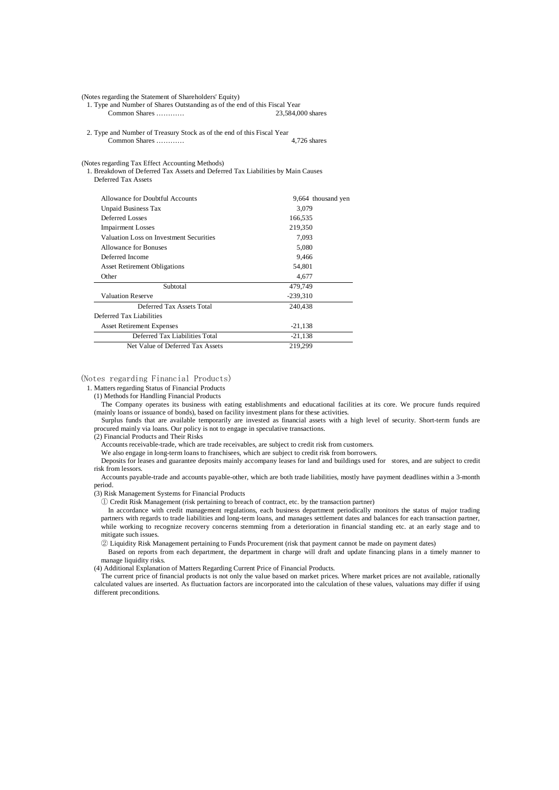(Notes regarding the Statement of Shareholders' Equity)

1. Type and Number of Shares Outstanding as of the end of this Fiscal Year Common Shares …………

2. Type and Number of Treasury Stock as of the end of this Fiscal Year Common Shares ………… 4,726 shares

(Notes regarding Tax Effect Accounting Methods)

1. Breakdown of Deferred Tax Assets and Deferred Tax Liabilities by Main Causes Deferred Tax Assets

| Allowance for Doubtful Accounts         | 9,664 thousand yen |
|-----------------------------------------|--------------------|
| Unpaid Business Tax                     | 3,079              |
| Deferred Losses                         | 166,535            |
| <b>Impairment Losses</b>                | 219,350            |
| Valuation Loss on Investment Securities | 7,093              |
| Allowance for Bonuses                   | 5,080              |
| Deferred Income                         | 9,466              |
| <b>Asset Retirement Obligations</b>     | 54,801             |
| Other                                   | 4,677              |
| Subtotal                                | 479,749            |
| <b>Valuation Reserve</b>                | $-239,310$         |
| Deferred Tax Assets Total               | 240,438            |
| Deferred Tax Liabilities                |                    |
| <b>Asset Retirement Expenses</b>        | $-21,138$          |
| Deferred Tax Liabilities Total          | $-21,138$          |
| Net Value of Deferred Tax Assets        | 219,299            |

#### (Notes regarding Financial Products)

1. Matters regarding Status of Financial Products

(1) Methods for Handling Financial Products

The Company operates its business with eating establishments and educational facilities at its core. We procure funds required (mainly loans or issuance of bonds), based on facility investment plans for these activities.

Surplus funds that are available temporarily are invested as financial assets with a high level of security. Short-term funds are procured mainly via loans. Our policy is not to engage in speculative transactions.

(2) Financial Products and Their Risks

Accounts receivable-trade, which are trade receivables, are subject to credit risk from customers.

We also engage in long-term loans to franchisees, which are subject to credit risk from borrowers.

Deposits for leases and guarantee deposits mainly accompany leases for land and buildings used for stores, and are subject to credit risk from lessors.

Accounts payable-trade and accounts payable-other, which are both trade liabilities, mostly have payment deadlines within a 3-month period.

(3) Risk Management Systems for Financial Products

① Credit Risk Management (risk pertaining to breach of contract, etc. by the transaction partner)

In accordance with credit management regulations, each business department periodically monitors the status of major trading partners with regards to trade liabilities and long-term loans, and manages settlement dates and balances for each transaction partner, while working to recognize recovery concerns stemming from a deterioration in financial standing etc. at an early stage and to mitigate such issues.

② Liquidity Risk Management pertaining to Funds Procurement (risk that payment cannot be made on payment dates)

Based on reports from each department, the department in charge will draft and update financing plans in a timely manner to manage liquidity risks.

(4) Additional Explanation of Matters Regarding Current Price of Financial Products.

The current price of financial products is not only the value based on market prices. Where market prices are not available, rationally calculated values are inserted. As fluctuation factors are incorporated into the calculation of these values, valuations may differ if using different preconditions.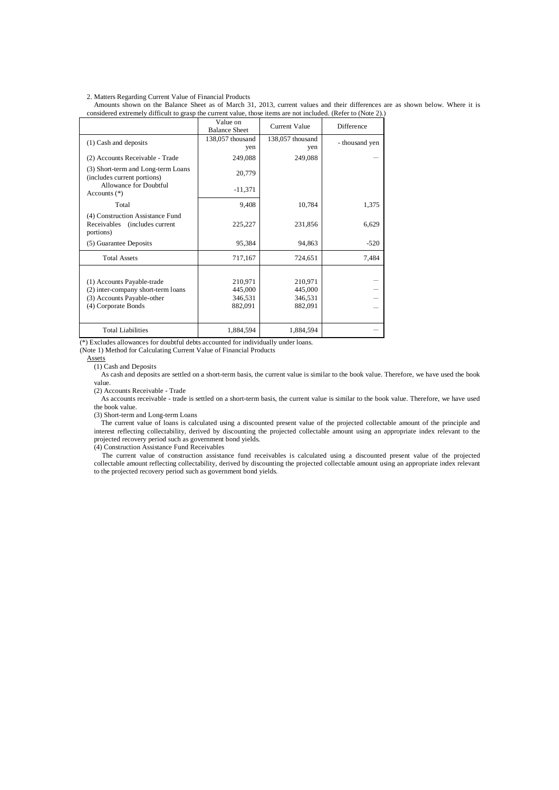2. Matters Regarding Current Value of Financial Products

Amounts shown on the Balance Sheet as of March 31, 2013, current values and their differences are as shown below. Where it is considered extremely difficult to grasp the current value, those items are not included. (Refer to (Note 2).)

|                                                                                                                       | Value on<br><b>Balance Sheet</b>         | <b>Current Value</b>                     | Difference     |
|-----------------------------------------------------------------------------------------------------------------------|------------------------------------------|------------------------------------------|----------------|
| (1) Cash and deposits                                                                                                 | 138,057 thousand<br>yen                  | 138,057 thousand<br>yen                  | - thousand yen |
| (2) Accounts Receivable - Trade                                                                                       | 249,088                                  | 249,088                                  |                |
| (3) Short-term and Long-term Loans<br>(includes current portions)                                                     | 20,779                                   |                                          |                |
| Allowance for Doubtful<br>Accounts $(*)$                                                                              | $-11,371$                                |                                          |                |
| Total                                                                                                                 | 9,408                                    | 10,784                                   | 1,375          |
| (4) Construction Assistance Fund<br>Receivables<br>(includes current)<br>portions)                                    | 225,227                                  | 231,856                                  | 6,629          |
| (5) Guarantee Deposits                                                                                                | 95,384                                   | 94,863                                   | $-520$         |
| <b>Total Assets</b>                                                                                                   | 717,167                                  | 724,651                                  | 7,484          |
| (1) Accounts Payable-trade<br>(2) inter-company short-term loans<br>(3) Accounts Payable-other<br>(4) Corporate Bonds | 210,971<br>445,000<br>346,531<br>882,091 | 210,971<br>445,000<br>346,531<br>882,091 |                |
| <b>Total Liabilities</b>                                                                                              | 1,884,594                                | 1,884,594                                |                |

(\*) Excludes allowances for doubtful debts accounted for individually under loans.

(Note 1) Method for Calculating Current Value of Financial Products

Assets

(1) Cash and Deposits

As cash and deposits are settled on a short-term basis, the current value is similar to the book value. Therefore, we have used the book value.

(2) Accounts Receivable - Trade

As accounts receivable - trade is settled on a short-term basis, the current value is similar to the book value. Therefore, we have used the book value.

(3) Short-term and Long-term Loans

The current value of loans is calculated using a discounted present value of the projected collectable amount of the principle and interest reflecting collectability, derived by discounting the projected collectable amount using an appropriate index relevant to the projected recovery period such as government bond yields.

(4) Construction Assistance Fund Receivables

The current value of construction assistance fund receivables is calculated using a discounted present value of the projected collectable amount reflecting collectability, derived by discounting the projected collectable amount using an appropriate index relevant to the projected recovery period such as government bond yields.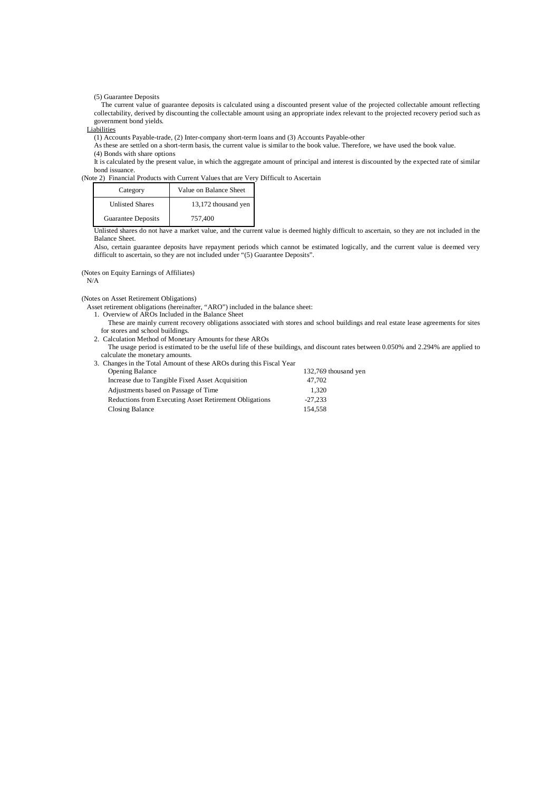(5) Guarantee Deposits

The current value of guarantee deposits is calculated using a discounted present value of the projected collectable amount reflecting collectability, derived by discounting the collectable amount using an appropriate index relevant to the projected recovery period such as government bond yields.

**Liabilities** 

(1) Accounts Payable-trade, (2) Inter-company short-term loans and (3) Accounts Payable-other

As these are settled on a short-term basis, the current value is similar to the book value. Therefore, we have used the book value. (4) Bonds with share options

It is calculated by the present value, in which the aggregate amount of principal and interest is discounted by the expected rate of similar bond issuance.

(Note 2) Financial Products with Current Values that are Very Difficult to Ascertain

| Category               | Value on Balance Sheet |
|------------------------|------------------------|
| <b>Unlisted Shares</b> | 13,172 thousand yen    |
| Guarantee Deposits     | 757.400                |

Unlisted shares do not have a market value, and the current value is deemed highly difficult to ascertain, so they are not included in the Balance Sheet.

Also, certain guarantee deposits have repayment periods which cannot be estimated logically, and the current value is deemed very difficult to ascertain, so they are not included under "(5) Guarantee Deposits".

 (Notes on Equity Earnings of Affiliates)  $\rm N/A$ 

(Notes on Asset Retirement Obligations)

Asset retirement obligations (hereinafter, "ARO") included in the balance sheet:

- 1. Overview of AROs Included in the Balance Sheet
	- These are mainly current recovery obligations associated with stores and school buildings and real estate lease agreements for sites for stores and school buildings.
- 2. Calculation Method of Monetary Amounts for these AROs
	- The usage period is estimated to be the useful life of these buildings, and discount rates between 0.050% and 2.294% are applied to calculate the monetary amounts.

| 3. Changes in the Total Amount of these AROs during this Fiscal Year |                      |
|----------------------------------------------------------------------|----------------------|
| <b>Opening Balance</b>                                               | 132,769 thousand yen |
| Increase due to Tangible Fixed Asset Acquisition                     | 47,702               |
| Adjustments based on Passage of Time                                 | 1.320                |
| Reductions from Executing Asset Retirement Obligations               | $-27.233$            |
| Closing Balance                                                      | 154.558              |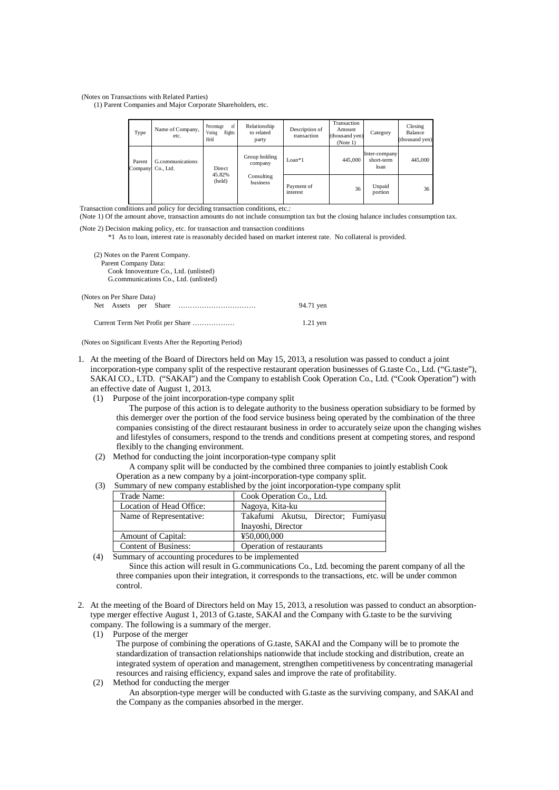(Notes on Transactions with Related Parties)

(1) Parent Companies and Major Corporate Shareholders, etc.

| Type              | Name of Company,<br>etc.      | of<br>Percentage<br>Voting<br>Rights<br>Held | Relationship<br>to related<br>party | Description of<br>transaction | Transaction<br>Amount<br>(thousand yen)<br>(Note 1) | Category                            | Closing<br>Balance<br>(thousand yen) |
|-------------------|-------------------------------|----------------------------------------------|-------------------------------------|-------------------------------|-----------------------------------------------------|-------------------------------------|--------------------------------------|
| Parent<br>Company | G.communications<br>Co., Ltd. | Direct                                       | Group holding<br>company            | $Loan*1$                      | 445,000                                             | Inter-company<br>short-term<br>loan | 445,000                              |
|                   |                               | 45.82%<br>(held)                             | Consulting<br>business              | Payment of<br>interest        | 36                                                  | Unpaid<br>portion                   | 36                                   |

Transaction conditions and policy for deciding transaction conditions, etc.:

(Note 1) Of the amount above, transaction amounts do not include consumption tax but the closing balance includes consumption tax.

(Note 2) Decision making policy, etc. for transaction and transaction conditions

\*1 As to loan, interest rate is reasonably decided based on market interest rate. No collateral is provided.

| (2) Notes on the Parent Company.<br>Parent Company Data: |           |  |  |
|----------------------------------------------------------|-----------|--|--|
| Cook Innoventure Co., Ltd. (unlisted)                    |           |  |  |
| G.communications Co., Ltd. (unlisted)                    |           |  |  |
| (Notes on Per Share Data)<br>Net Assets per Share        | 94.71 yen |  |  |
| Current Term Net Profit per Share<br>$1.21$ yen          |           |  |  |

(Notes on Significant Events After the Reporting Period)

- 1. At the meeting of the Board of Directors held on May 15, 2013, a resolution was passed to conduct a joint incorporation-type company split of the respective restaurant operation businesses of G.taste Co., Ltd. ("G.taste"), SAKAI CO., LTD. ("SAKAI") and the Company to establish Cook Operation Co., Ltd. ("Cook Operation") with an effective date of August 1, 2013.
	- (1) Purpose of the joint incorporation-type company split

The purpose of this action is to delegate authority to the business operation subsidiary to be formed by this demerger over the portion of the food service business being operated by the combination of the three companies consisting of the direct restaurant business in order to accurately seize upon the changing wishes and lifestyles of consumers, respond to the trends and conditions present at competing stores, and respond flexibly to the changing environment.

- (2) Method for conducting the joint incorporation-type company split A company split will be conducted by the combined three companies to jointly establish Cook Operation as a new company by a joint-incorporation-type company split.
- (3) Summary of new company established by the joint incorporation-type company split

| Trade Name:                 | Cook Operation Co., Ltd.            |
|-----------------------------|-------------------------------------|
| Location of Head Office:    | Nagoya, Kita-ku                     |
| Name of Representative:     | Takafumi Akutsu, Director; Fumiyasu |
|                             | Inayoshi, Director                  |
| <b>Amount of Capital:</b>   | ¥50,000,000                         |
| <b>Content of Business:</b> | Operation of restaurants            |

(4) Summary of accounting procedures to be implemented

Since this action will result in G.communications Co., Ltd. becoming the parent company of all the three companies upon their integration, it corresponds to the transactions, etc. will be under common control.

- 2. At the meeting of the Board of Directors held on May 15, 2013, a resolution was passed to conduct an absorptiontype merger effective August 1, 2013 of G.taste, SAKAI and the Company with G.taste to be the surviving company. The following is a summary of the merger.
	- (1) Purpose of the merger

The purpose of combining the operations of G.taste, SAKAI and the Company will be to promote the standardization of transaction relationships nationwide that include stocking and distribution, create an integrated system of operation and management, strengthen competitiveness by concentrating managerial resources and raising efficiency, expand sales and improve the rate of profitability.

(2) Method for conducting the merger

An absorption-type merger will be conducted with G.taste as the surviving company, and SAKAI and the Company as the companies absorbed in the merger.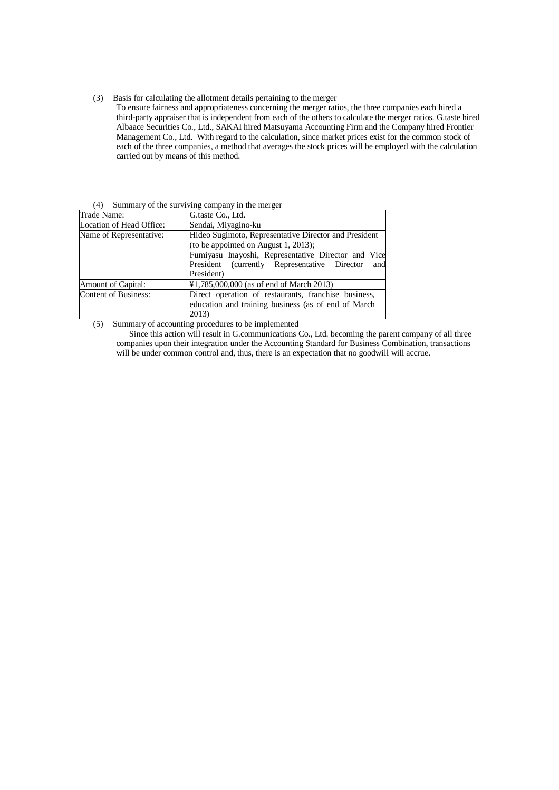(3) Basis for calculating the allotment details pertaining to the merger

To ensure fairness and appropriateness concerning the merger ratios, the three companies each hired a third-party appraiser that is independent from each of the others to calculate the merger ratios. G.taste hired Albaace Securities Co., Ltd., SAKAI hired Matsuyama Accounting Firm and the Company hired Frontier Management Co., Ltd. With regard to the calculation, since market prices exist for the common stock of each of the three companies, a method that averages the stock prices will be employed with the calculation carried out by means of this method.

|  | (4) Summary of the surviving company in the merger |
|--|----------------------------------------------------|
|  |                                                    |

| Trade Name:                 | G.taste Co., Ltd.                                                                                                                                                                                                         |  |
|-----------------------------|---------------------------------------------------------------------------------------------------------------------------------------------------------------------------------------------------------------------------|--|
| Location of Head Office:    | Sendai, Miyagino-ku                                                                                                                                                                                                       |  |
| Name of Representative:     | Hideo Sugimoto, Representative Director and President<br>(to be appointed on August 1, 2013);<br>Fumiyasu Inayoshi, Representative Director and Vice<br>President (currently Representative Director<br>and<br>President) |  |
| <b>Amount of Capital:</b>   | ¥1,785,000,000 (as of end of March 2013)                                                                                                                                                                                  |  |
| <b>Content of Business:</b> | Direct operation of restaurants, franchise business,<br>education and training business (as of end of March<br>2013)                                                                                                      |  |

(5) Summary of accounting procedures to be implemented

Since this action will result in G.communications Co., Ltd. becoming the parent company of all three companies upon their integration under the Accounting Standard for Business Combination, transactions will be under common control and, thus, there is an expectation that no goodwill will accrue.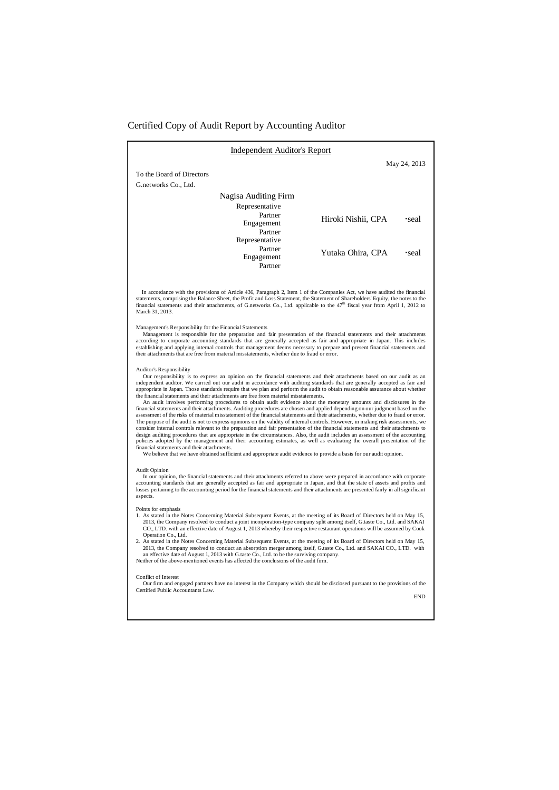#### Certified Copy of Audit Report by Accounting Auditor

| <b>Independent Auditor's Report</b>                                                                                                                                                                                                                                                                                                                                                                                                                                                                                                                                                                                                                                                                                                                                                                                                                                                                                                                                                                                                                                                                                                                                                                                                                                                                                                                                                                                                                                                                                                                                                                                                                                                                                                                                                                                                                                                                                                                                                                                                                                                                                                                                                                                                                                                                                                                                                                                                                                                                                                                                                                                                                                                                                                                                                                                                                                                                                                                                                                                                                                               |                             |  |
|-----------------------------------------------------------------------------------------------------------------------------------------------------------------------------------------------------------------------------------------------------------------------------------------------------------------------------------------------------------------------------------------------------------------------------------------------------------------------------------------------------------------------------------------------------------------------------------------------------------------------------------------------------------------------------------------------------------------------------------------------------------------------------------------------------------------------------------------------------------------------------------------------------------------------------------------------------------------------------------------------------------------------------------------------------------------------------------------------------------------------------------------------------------------------------------------------------------------------------------------------------------------------------------------------------------------------------------------------------------------------------------------------------------------------------------------------------------------------------------------------------------------------------------------------------------------------------------------------------------------------------------------------------------------------------------------------------------------------------------------------------------------------------------------------------------------------------------------------------------------------------------------------------------------------------------------------------------------------------------------------------------------------------------------------------------------------------------------------------------------------------------------------------------------------------------------------------------------------------------------------------------------------------------------------------------------------------------------------------------------------------------------------------------------------------------------------------------------------------------------------------------------------------------------------------------------------------------------------------------------------------------------------------------------------------------------------------------------------------------------------------------------------------------------------------------------------------------------------------------------------------------------------------------------------------------------------------------------------------------------------------------------------------------------------------------------------------------|-----------------------------|--|
|                                                                                                                                                                                                                                                                                                                                                                                                                                                                                                                                                                                                                                                                                                                                                                                                                                                                                                                                                                                                                                                                                                                                                                                                                                                                                                                                                                                                                                                                                                                                                                                                                                                                                                                                                                                                                                                                                                                                                                                                                                                                                                                                                                                                                                                                                                                                                                                                                                                                                                                                                                                                                                                                                                                                                                                                                                                                                                                                                                                                                                                                                   | May 24, 2013                |  |
| To the Board of Directors                                                                                                                                                                                                                                                                                                                                                                                                                                                                                                                                                                                                                                                                                                                                                                                                                                                                                                                                                                                                                                                                                                                                                                                                                                                                                                                                                                                                                                                                                                                                                                                                                                                                                                                                                                                                                                                                                                                                                                                                                                                                                                                                                                                                                                                                                                                                                                                                                                                                                                                                                                                                                                                                                                                                                                                                                                                                                                                                                                                                                                                         |                             |  |
| G.networks Co., Ltd.                                                                                                                                                                                                                                                                                                                                                                                                                                                                                                                                                                                                                                                                                                                                                                                                                                                                                                                                                                                                                                                                                                                                                                                                                                                                                                                                                                                                                                                                                                                                                                                                                                                                                                                                                                                                                                                                                                                                                                                                                                                                                                                                                                                                                                                                                                                                                                                                                                                                                                                                                                                                                                                                                                                                                                                                                                                                                                                                                                                                                                                              |                             |  |
| Nagisa Auditing Firm                                                                                                                                                                                                                                                                                                                                                                                                                                                                                                                                                                                                                                                                                                                                                                                                                                                                                                                                                                                                                                                                                                                                                                                                                                                                                                                                                                                                                                                                                                                                                                                                                                                                                                                                                                                                                                                                                                                                                                                                                                                                                                                                                                                                                                                                                                                                                                                                                                                                                                                                                                                                                                                                                                                                                                                                                                                                                                                                                                                                                                                              |                             |  |
| Representative                                                                                                                                                                                                                                                                                                                                                                                                                                                                                                                                                                                                                                                                                                                                                                                                                                                                                                                                                                                                                                                                                                                                                                                                                                                                                                                                                                                                                                                                                                                                                                                                                                                                                                                                                                                                                                                                                                                                                                                                                                                                                                                                                                                                                                                                                                                                                                                                                                                                                                                                                                                                                                                                                                                                                                                                                                                                                                                                                                                                                                                                    |                             |  |
| Partner                                                                                                                                                                                                                                                                                                                                                                                                                                                                                                                                                                                                                                                                                                                                                                                                                                                                                                                                                                                                                                                                                                                                                                                                                                                                                                                                                                                                                                                                                                                                                                                                                                                                                                                                                                                                                                                                                                                                                                                                                                                                                                                                                                                                                                                                                                                                                                                                                                                                                                                                                                                                                                                                                                                                                                                                                                                                                                                                                                                                                                                                           | Hiroki Nishii, CPA<br>·seal |  |
| Engagement                                                                                                                                                                                                                                                                                                                                                                                                                                                                                                                                                                                                                                                                                                                                                                                                                                                                                                                                                                                                                                                                                                                                                                                                                                                                                                                                                                                                                                                                                                                                                                                                                                                                                                                                                                                                                                                                                                                                                                                                                                                                                                                                                                                                                                                                                                                                                                                                                                                                                                                                                                                                                                                                                                                                                                                                                                                                                                                                                                                                                                                                        |                             |  |
| Partner<br>Representative                                                                                                                                                                                                                                                                                                                                                                                                                                                                                                                                                                                                                                                                                                                                                                                                                                                                                                                                                                                                                                                                                                                                                                                                                                                                                                                                                                                                                                                                                                                                                                                                                                                                                                                                                                                                                                                                                                                                                                                                                                                                                                                                                                                                                                                                                                                                                                                                                                                                                                                                                                                                                                                                                                                                                                                                                                                                                                                                                                                                                                                         |                             |  |
| Partner                                                                                                                                                                                                                                                                                                                                                                                                                                                                                                                                                                                                                                                                                                                                                                                                                                                                                                                                                                                                                                                                                                                                                                                                                                                                                                                                                                                                                                                                                                                                                                                                                                                                                                                                                                                                                                                                                                                                                                                                                                                                                                                                                                                                                                                                                                                                                                                                                                                                                                                                                                                                                                                                                                                                                                                                                                                                                                                                                                                                                                                                           |                             |  |
| Engagement                                                                                                                                                                                                                                                                                                                                                                                                                                                                                                                                                                                                                                                                                                                                                                                                                                                                                                                                                                                                                                                                                                                                                                                                                                                                                                                                                                                                                                                                                                                                                                                                                                                                                                                                                                                                                                                                                                                                                                                                                                                                                                                                                                                                                                                                                                                                                                                                                                                                                                                                                                                                                                                                                                                                                                                                                                                                                                                                                                                                                                                                        | Yutaka Ohira, CPA<br>seal.  |  |
| Partner                                                                                                                                                                                                                                                                                                                                                                                                                                                                                                                                                                                                                                                                                                                                                                                                                                                                                                                                                                                                                                                                                                                                                                                                                                                                                                                                                                                                                                                                                                                                                                                                                                                                                                                                                                                                                                                                                                                                                                                                                                                                                                                                                                                                                                                                                                                                                                                                                                                                                                                                                                                                                                                                                                                                                                                                                                                                                                                                                                                                                                                                           |                             |  |
| In accordance with the provisions of Article 436, Paragraph 2, Item 1 of the Companies Act, we have audited the financial<br>statements, comprising the Balance Sheet, the Profit and Loss Statement, the Statement of Shareholders' Equity, the notes to the<br>financial statements and their attachments, of G.networks Co., Ltd. applicable to the 47 <sup>th</sup> fiscal year from April 1, 2012 to<br>March 31, 2013.<br>Management's Responsibility for the Financial Statements<br>Management is responsible for the preparation and fair presentation of the financial statements and their attachments<br>according to corporate accounting standards that are generally accepted as fair and appropriate in Japan. This includes<br>establishing and applying internal controls that management deems necessary to prepare and present financial statements and<br>their attachments that are free from material misstatements, whether due to fraud or error.<br><b>Auditor's Responsibility</b><br>Our responsibility is to express an opinion on the financial statements and their attachments based on our audit as an<br>independent auditor. We carried out our audit in accordance with auditing standards that are generally accepted as fair and<br>appropriate in Japan. Those standards require that we plan and perform the audit to obtain reasonable assurance about whether<br>the financial statements and their attachments are free from material misstatements.<br>An audit involves performing procedures to obtain audit evidence about the monetary amounts and disclosures in the<br>financial statements and their attachments. Auditing procedures are chosen and applied depending on our judgment based on the<br>assessment of the risks of material misstatement of the financial statements and their attachments, whether due to fraud or error.<br>The purpose of the audit is not to express opinions on the validity of internal controls. However, in making risk assessments, we<br>consider internal controls relevant to the preparation and fair presentation of the financial statements and their attachments to<br>design auditing procedures that are appropriate in the circumstances. Also, the audit includes an assessment of the accounting<br>policies adopted by the management and their accounting estimates, as well as evaluating the overall presentation of the<br>financial statements and their attachments.<br>We believe that we have obtained sufficient and appropriate audit evidence to provide a basis for our audit opinion.<br><b>Audit Opinion</b><br>In our opinion, the financial statements and their attachments referred to above were prepared in accordance with corporate<br>accounting standards that are generally accepted as fair and appropriate in Japan, and that the state of assets and profits and<br>losses pertaining to the accounting period for the financial statements and their attachments are presented fairly in all significant<br>aspects.<br>Points for emphasis |                             |  |
| 1. As stated in the Notes Concerning Material Subsequent Events, at the meeting of its Board of Directors held on May 15,<br>2013, the Company resolved to conduct a joint incorporation-type company split among itself, G taste Co., Ltd. and SAKAI<br>CO., LTD. with an effective date of August 1, 2013 whereby their respective restaurant operations will be assumed by Cook<br>Operation Co., Ltd.                                                                                                                                                                                                                                                                                                                                                                                                                                                                                                                                                                                                                                                                                                                                                                                                                                                                                                                                                                                                                                                                                                                                                                                                                                                                                                                                                                                                                                                                                                                                                                                                                                                                                                                                                                                                                                                                                                                                                                                                                                                                                                                                                                                                                                                                                                                                                                                                                                                                                                                                                                                                                                                                         |                             |  |
| 2. As stated in the Notes Concerning Material Subsequent Events, at the meeting of its Board of Directors held on May 15,<br>2013, the Company resolved to conduct an absorption merger among itself, G.taste Co., Ltd. and SAKAI CO., LTD. with<br>an effective date of August 1, 2013 with G.taste Co., Ltd. to be the surviving company.<br>Neither of the above-mentioned events has affected the conclusions of the audit firm.                                                                                                                                                                                                                                                                                                                                                                                                                                                                                                                                                                                                                                                                                                                                                                                                                                                                                                                                                                                                                                                                                                                                                                                                                                                                                                                                                                                                                                                                                                                                                                                                                                                                                                                                                                                                                                                                                                                                                                                                                                                                                                                                                                                                                                                                                                                                                                                                                                                                                                                                                                                                                                              |                             |  |
| <b>Conflict of Interest</b><br>Our firm and engaged partners have no interest in the Company which should be disclosed pursuant to the provisions of the<br>Certified Public Accountants Law.                                                                                                                                                                                                                                                                                                                                                                                                                                                                                                                                                                                                                                                                                                                                                                                                                                                                                                                                                                                                                                                                                                                                                                                                                                                                                                                                                                                                                                                                                                                                                                                                                                                                                                                                                                                                                                                                                                                                                                                                                                                                                                                                                                                                                                                                                                                                                                                                                                                                                                                                                                                                                                                                                                                                                                                                                                                                                     |                             |  |
|                                                                                                                                                                                                                                                                                                                                                                                                                                                                                                                                                                                                                                                                                                                                                                                                                                                                                                                                                                                                                                                                                                                                                                                                                                                                                                                                                                                                                                                                                                                                                                                                                                                                                                                                                                                                                                                                                                                                                                                                                                                                                                                                                                                                                                                                                                                                                                                                                                                                                                                                                                                                                                                                                                                                                                                                                                                                                                                                                                                                                                                                                   | <b>END</b>                  |  |
|                                                                                                                                                                                                                                                                                                                                                                                                                                                                                                                                                                                                                                                                                                                                                                                                                                                                                                                                                                                                                                                                                                                                                                                                                                                                                                                                                                                                                                                                                                                                                                                                                                                                                                                                                                                                                                                                                                                                                                                                                                                                                                                                                                                                                                                                                                                                                                                                                                                                                                                                                                                                                                                                                                                                                                                                                                                                                                                                                                                                                                                                                   |                             |  |
|                                                                                                                                                                                                                                                                                                                                                                                                                                                                                                                                                                                                                                                                                                                                                                                                                                                                                                                                                                                                                                                                                                                                                                                                                                                                                                                                                                                                                                                                                                                                                                                                                                                                                                                                                                                                                                                                                                                                                                                                                                                                                                                                                                                                                                                                                                                                                                                                                                                                                                                                                                                                                                                                                                                                                                                                                                                                                                                                                                                                                                                                                   |                             |  |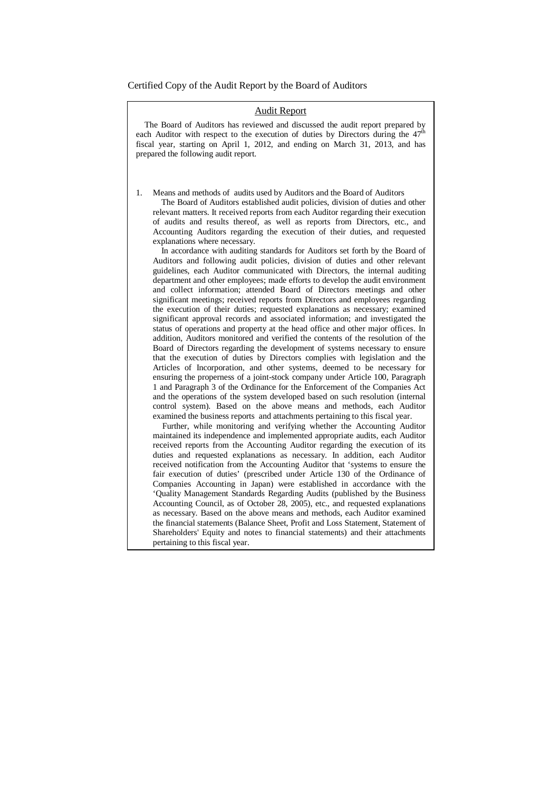Certified Copy of the Audit Report by the Board of Auditors

# Audit Report

The Board of Auditors has reviewed and discussed the audit report prepared by each Auditor with respect to the execution of duties by Directors during the  $47<sup>th</sup>$ fiscal year, starting on April 1, 2012, and ending on March 31, 2013, and has prepared the following audit report.

1. Means and methods of audits used by Auditors and the Board of Auditors

The Board of Auditors established audit policies, division of duties and other relevant matters. It received reports from each Auditor regarding their execution of audits and results thereof, as well as reports from Directors, etc., and Accounting Auditors regarding the execution of their duties, and requested explanations where necessary.

In accordance with auditing standards for Auditors set forth by the Board of Auditors and following audit policies, division of duties and other relevant guidelines, each Auditor communicated with Directors, the internal auditing department and other employees; made efforts to develop the audit environment and collect information; attended Board of Directors meetings and other significant meetings; received reports from Directors and employees regarding the execution of their duties; requested explanations as necessary; examined significant approval records and associated information; and investigated the status of operations and property at the head office and other major offices. In addition, Auditors monitored and verified the contents of the resolution of the Board of Directors regarding the development of systems necessary to ensure that the execution of duties by Directors complies with legislation and the Articles of Incorporation, and other systems, deemed to be necessary for ensuring the properness of a joint-stock company under Article 100, Paragraph 1 and Paragraph 3 of the Ordinance for the Enforcement of the Companies Act and the operations of the system developed based on such resolution (internal control system). Based on the above means and methods, each Auditor examined the business reports and attachments pertaining to this fiscal year.

Further, while monitoring and verifying whether the Accounting Auditor maintained its independence and implemented appropriate audits, each Auditor received reports from the Accounting Auditor regarding the execution of its duties and requested explanations as necessary. In addition, each Auditor received notification from the Accounting Auditor that 'systems to ensure the fair execution of duties' (prescribed under Article 130 of the Ordinance of Companies Accounting in Japan) were established in accordance with the 'Quality Management Standards Regarding Audits (published by the Business Accounting Council, as of October 28, 2005), etc., and requested explanations as necessary. Based on the above means and methods, each Auditor examined the financial statements (Balance Sheet, Profit and Loss Statement, Statement of Shareholders' Equity and notes to financial statements) and their attachments pertaining to this fiscal year.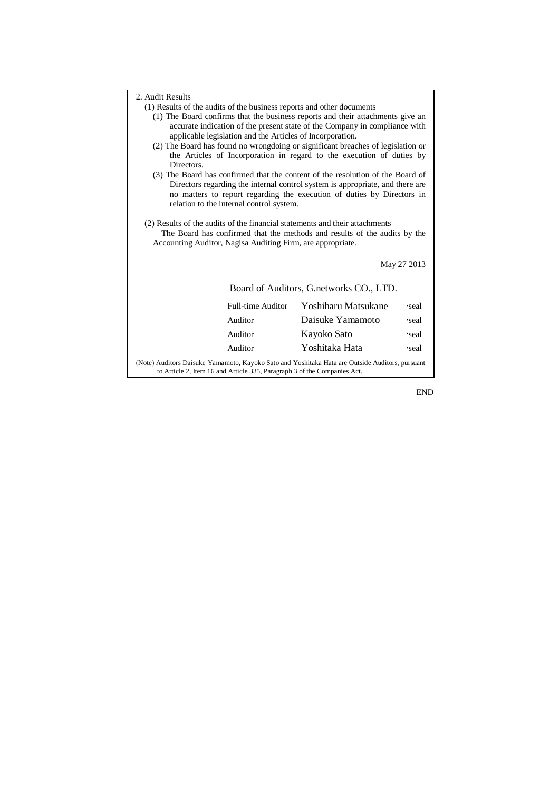| 2. Audit Results<br>(1) Results of the audits of the business reports and other documents<br>(1) The Board confirms that the business reports and their attachments give an<br>accurate indication of the present state of the Company in compliance with<br>applicable legislation and the Articles of Incorporation.<br>(2) The Board has found no wrongdoing or significant breaches of legislation or<br>the Articles of Incorporation in regard to the execution of duties by<br>Directors.<br>(3) The Board has confirmed that the content of the resolution of the Board of<br>Directors regarding the internal control system is appropriate, and there are<br>no matters to report regarding the execution of duties by Directors in<br>relation to the internal control system.<br>(2) Results of the audits of the financial statements and their attachments<br>The Board has confirmed that the methods and results of the audits by the |                   |                     |             |
|-------------------------------------------------------------------------------------------------------------------------------------------------------------------------------------------------------------------------------------------------------------------------------------------------------------------------------------------------------------------------------------------------------------------------------------------------------------------------------------------------------------------------------------------------------------------------------------------------------------------------------------------------------------------------------------------------------------------------------------------------------------------------------------------------------------------------------------------------------------------------------------------------------------------------------------------------------|-------------------|---------------------|-------------|
|                                                                                                                                                                                                                                                                                                                                                                                                                                                                                                                                                                                                                                                                                                                                                                                                                                                                                                                                                       |                   |                     | May 27 2013 |
| Board of Auditors, G. networks CO., LTD.                                                                                                                                                                                                                                                                                                                                                                                                                                                                                                                                                                                                                                                                                                                                                                                                                                                                                                              |                   |                     |             |
|                                                                                                                                                                                                                                                                                                                                                                                                                                                                                                                                                                                                                                                                                                                                                                                                                                                                                                                                                       | Full-time Auditor | Yoshiharu Matsukane | seal        |
|                                                                                                                                                                                                                                                                                                                                                                                                                                                                                                                                                                                                                                                                                                                                                                                                                                                                                                                                                       | Auditor           | Daisuke Yamamoto    | seal        |
|                                                                                                                                                                                                                                                                                                                                                                                                                                                                                                                                                                                                                                                                                                                                                                                                                                                                                                                                                       | Auditor           | Kayoko Sato         | seal.       |
|                                                                                                                                                                                                                                                                                                                                                                                                                                                                                                                                                                                                                                                                                                                                                                                                                                                                                                                                                       | Auditor           | Yoshitaka Hata      | seal        |
| (Note) Auditors Daisuke Yamamoto, Kayoko Sato and Yoshitaka Hata are Outside Auditors, pursuant<br>to Article 2, Item 16 and Article 335, Paragraph 3 of the Companies Act.                                                                                                                                                                                                                                                                                                                                                                                                                                                                                                                                                                                                                                                                                                                                                                           |                   |                     |             |

END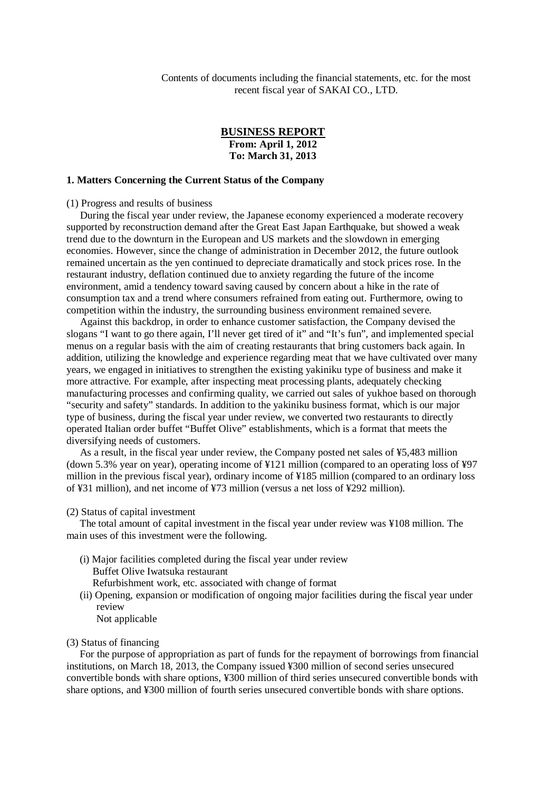Contents of documents including the financial statements, etc. for the most recent fiscal year of SAKAI CO., LTD.

# **BUSINESS REPORT From: April 1, 2012 To: March 31, 2013**

## **1. Matters Concerning the Current Status of the Company**

(1) Progress and results of business

During the fiscal year under review, the Japanese economy experienced a moderate recovery supported by reconstruction demand after the Great East Japan Earthquake, but showed a weak trend due to the downturn in the European and US markets and the slowdown in emerging economies. However, since the change of administration in December 2012, the future outlook remained uncertain as the yen continued to depreciate dramatically and stock prices rose. In the restaurant industry, deflation continued due to anxiety regarding the future of the income environment, amid a tendency toward saving caused by concern about a hike in the rate of consumption tax and a trend where consumers refrained from eating out. Furthermore, owing to competition within the industry, the surrounding business environment remained severe.

Against this backdrop, in order to enhance customer satisfaction, the Company devised the slogans "I want to go there again, I'll never get tired of it" and "It's fun", and implemented special menus on a regular basis with the aim of creating restaurants that bring customers back again. In addition, utilizing the knowledge and experience regarding meat that we have cultivated over many years, we engaged in initiatives to strengthen the existing yakiniku type of business and make it more attractive. For example, after inspecting meat processing plants, adequately checking manufacturing processes and confirming quality, we carried out sales of yukhoe based on thorough "security and safety" standards. In addition to the yakiniku business format, which is our major type of business, during the fiscal year under review, we converted two restaurants to directly operated Italian order buffet "Buffet Olive" establishments, which is a format that meets the diversifying needs of customers.

As a result, in the fiscal year under review, the Company posted net sales of ¥5,483 million (down 5.3% year on year), operating income of ¥121 million (compared to an operating loss of ¥97 million in the previous fiscal year), ordinary income of ¥185 million (compared to an ordinary loss of ¥31 million), and net income of ¥73 million (versus a net loss of ¥292 million).

### (2) Status of capital investment

The total amount of capital investment in the fiscal year under review was ¥108 million. The main uses of this investment were the following.

(i) Major facilities completed during the fiscal year under review Buffet Olive Iwatsuka restaurant

Refurbishment work, etc. associated with change of format

(ii) Opening, expansion or modification of ongoing major facilities during the fiscal year under review

Not applicable

### (3) Status of financing

For the purpose of appropriation as part of funds for the repayment of borrowings from financial institutions, on March 18, 2013, the Company issued ¥300 million of second series unsecured convertible bonds with share options, ¥300 million of third series unsecured convertible bonds with share options, and ¥300 million of fourth series unsecured convertible bonds with share options.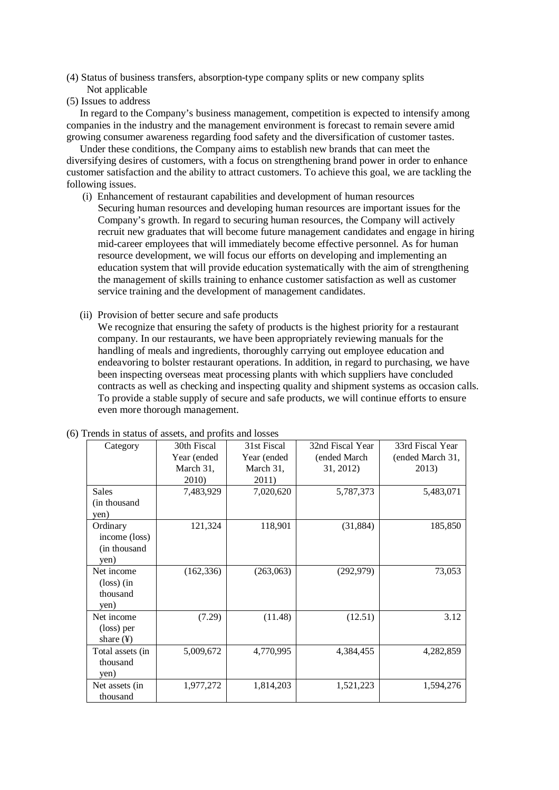- (4) Status of business transfers, absorption-type company splits or new company splits Not applicable
- (5) Issues to address

In regard to the Company's business management, competition is expected to intensify among companies in the industry and the management environment is forecast to remain severe amid growing consumer awareness regarding food safety and the diversification of customer tastes.

Under these conditions, the Company aims to establish new brands that can meet the diversifying desires of customers, with a focus on strengthening brand power in order to enhance customer satisfaction and the ability to attract customers. To achieve this goal, we are tackling the following issues.

- (i) Enhancement of restaurant capabilities and development of human resources Securing human resources and developing human resources are important issues for the Company's growth. In regard to securing human resources, the Company will actively recruit new graduates that will become future management candidates and engage in hiring mid-career employees that will immediately become effective personnel. As for human resource development, we will focus our efforts on developing and implementing an education system that will provide education systematically with the aim of strengthening the management of skills training to enhance customer satisfaction as well as customer service training and the development of management candidates.
- (ii) Provision of better secure and safe products

We recognize that ensuring the safety of products is the highest priority for a restaurant company. In our restaurants, we have been appropriately reviewing manuals for the handling of meals and ingredients, thoroughly carrying out employee education and endeavoring to bolster restaurant operations. In addition, in regard to purchasing, we have been inspecting overseas meat processing plants with which suppliers have concluded contracts as well as checking and inspecting quality and shipment systems as occasion calls. To provide a stable supply of secure and safe products, we will continue efforts to ensure even more thorough management.

| Category                                               | 30th Fiscal  | 31st Fiscal | 32nd Fiscal Year | 33rd Fiscal Year |
|--------------------------------------------------------|--------------|-------------|------------------|------------------|
|                                                        | Year (ended) | Year (ended | (ended March     | (ended March 31, |
|                                                        | March 31,    | March 31,   | 31, 2012)        | 2013)            |
|                                                        | 2010)        | 2011)       |                  |                  |
| <b>Sales</b>                                           | 7,483,929    | 7,020,620   | 5,787,373        | 5,483,071        |
| (in thousand)<br>yen)                                  |              |             |                  |                  |
| Ordinary<br>income (loss)<br>(in thousand<br>yen)      | 121,324      | 118,901     | (31, 884)        | 185,850          |
| Net income<br>$\frac{1}{\cos}$ (in<br>thousand<br>yen) | (162, 336)   | (263,063)   | (292, 979)       | 73,053           |
| Net income<br>(loss) per<br>share $(\frac{1}{2})$      | (7.29)       | (11.48)     | (12.51)          | 3.12             |
| Total assets (in<br>thousand<br>yen)                   | 5,009,672    | 4,770,995   | 4,384,455        | 4,282,859        |
| Net assets (in<br>thousand                             | 1,977,272    | 1,814,203   | 1,521,223        | 1,594,276        |

#### (6) Trends in status of assets, and profits and losses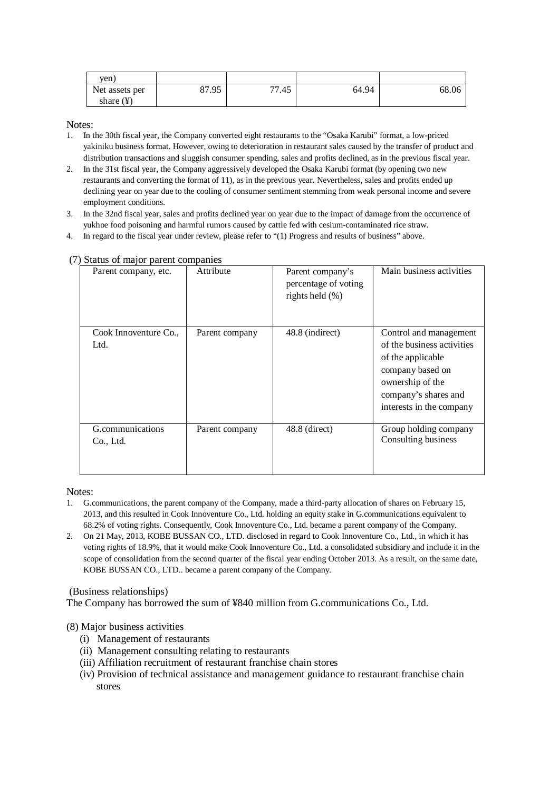| ven.                  |       |       |       |       |
|-----------------------|-------|-------|-------|-------|
| Net assets per        | 87.95 | 77.45 | 64.94 | 68.06 |
| share $(\frac{1}{2})$ |       |       |       |       |

Notes<sup>-</sup>

- 1. In the 30th fiscal year, the Company converted eight restaurants to the "Osaka Karubi" format, a low-priced yakiniku business format. However, owing to deterioration in restaurant sales caused by the transfer of product and distribution transactions and sluggish consumer spending, sales and profits declined, as in the previous fiscal year.
- 2. In the 31st fiscal year, the Company aggressively developed the Osaka Karubi format (by opening two new restaurants and converting the format of 11), as in the previous year. Nevertheless, sales and profits ended up declining year on year due to the cooling of consumer sentiment stemming from weak personal income and severe employment conditions.
- 3. In the 32nd fiscal year, sales and profits declined year on year due to the impact of damage from the occurrence of yukhoe food poisoning and harmful rumors caused by cattle fed with cesium-contaminated rice straw.
- 4. In regard to the fiscal year under review, please refer to "(1) Progress and results of business" above.

| Parent company, etc.          | Attribute      | Parent company's<br>percentage of voting<br>rights held $(\% )$ | Main business activities                                                                                                                                              |
|-------------------------------|----------------|-----------------------------------------------------------------|-----------------------------------------------------------------------------------------------------------------------------------------------------------------------|
| Cook Innoventure Co.,<br>Ltd. | Parent company | 48.8 (indirect)                                                 | Control and management<br>of the business activities<br>of the applicable<br>company based on<br>ownership of the<br>company's shares and<br>interests in the company |
| G.communications<br>Co., Ltd. | Parent company | $48.8$ (direct)                                                 | Group holding company<br>Consulting business                                                                                                                          |

# (7) Status of major parent companies

Notes:

- 1. G.communications, the parent company of the Company, made a third-party allocation of shares on February 15, 2013, and this resulted in Cook Innoventure Co., Ltd. holding an equity stake in G.communications equivalent to 68.2% of voting rights. Consequently, Cook Innoventure Co., Ltd. became a parent company of the Company.
- 2. On 21 May, 2013, KOBE BUSSAN CO., LTD. disclosed in regard to Cook Innoventure Co., Ltd., in which it has voting rights of 18.9%, that it would make Cook Innoventure Co., Ltd. a consolidated subsidiary and include it in the scope of consolidation from the second quarter of the fiscal year ending October 2013. As a result, on the same date, KOBE BUSSAN CO., LTD.. became a parent company of the Company.

(Business relationships)

The Company has borrowed the sum of ¥840 million from G.communications Co., Ltd.

(8) Major business activities

- (i) Management of restaurants
- (ii) Management consulting relating to restaurants
- (iii) Affiliation recruitment of restaurant franchise chain stores
- (iv) Provision of technical assistance and management guidance to restaurant franchise chain stores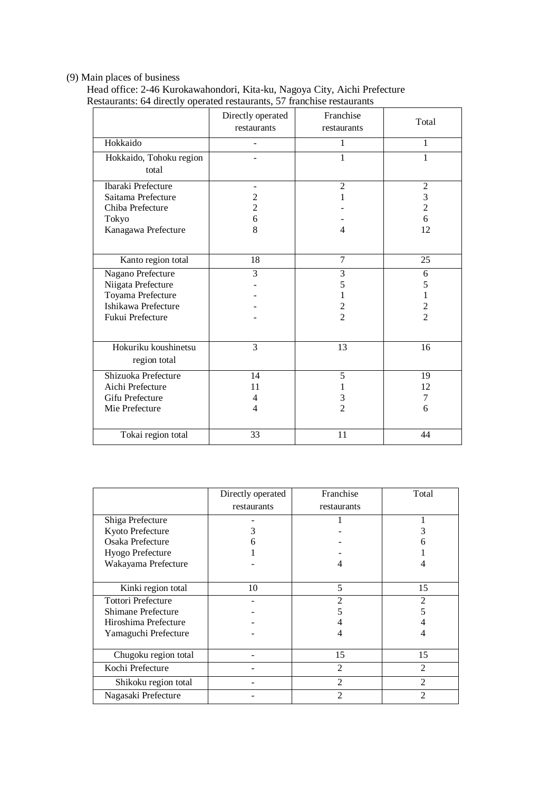# (9) Main places of business

 Head office: 2-46 Kurokawahondori, Kita-ku, Nagoya City, Aichi Prefecture Restaurants: 64 directly operated restaurants, 57 franchise restaurants

|                                                                                                         | Directly operated<br>restaurants           | Franchise<br>restaurants              | Total                                            |
|---------------------------------------------------------------------------------------------------------|--------------------------------------------|---------------------------------------|--------------------------------------------------|
| Hokkaido                                                                                                |                                            | $\mathbf{1}$                          | $\mathbf{1}$                                     |
| Hokkaido, Tohoku region<br>total                                                                        |                                            | $\mathbf{1}$                          | 1                                                |
| Ibaraki Prefecture<br>Saitama Prefecture<br>Chiba Prefecture<br>Tokyo<br>Kanagawa Prefecture            | $\overline{c}$<br>$\overline{2}$<br>6<br>8 | $\overline{2}$<br>1<br>$\overline{4}$ | $\mathfrak{2}$<br>3<br>$\overline{c}$<br>6<br>12 |
| Kanto region total                                                                                      | 18                                         | 7                                     | 25                                               |
| Nagano Prefecture<br>Niigata Prefecture<br>Toyama Prefecture<br>Ishikawa Prefecture<br>Fukui Prefecture | 3                                          | 3<br>5<br>1<br>2<br>$\mathfrak{D}$    | 6<br>5<br>1<br>$\overline{2}$<br>$\overline{2}$  |
| Hokuriku koushinetsu<br>region total                                                                    | 3                                          | 13                                    | 16                                               |
| Shizuoka Prefecture<br>Aichi Prefecture<br>Gifu Prefecture<br>Mie Prefecture                            | 14<br>11<br>4<br>$\overline{4}$            | 5<br>1<br>3<br>$\overline{2}$         | 19<br>12<br>7<br>6                               |
| Tokai region total                                                                                      | 33                                         | 11                                    | 44                                               |

|                           | Directly operated | Franchise      | Total          |
|---------------------------|-------------------|----------------|----------------|
|                           | restaurants       | restaurants    |                |
| Shiga Prefecture          |                   |                |                |
| Kyoto Prefecture          | 3                 |                |                |
| Osaka Prefecture          |                   |                |                |
| Hyogo Prefecture          |                   |                |                |
| Wakayama Prefecture       |                   | 4              |                |
|                           |                   |                |                |
| Kinki region total        | 10                | 5              | 15             |
| <b>Tottori Prefecture</b> |                   | 2              | 2              |
| <b>Shimane Prefecture</b> |                   |                |                |
| Hiroshima Prefecture      |                   |                |                |
| Yamaguchi Prefecture      |                   | 4              | 4              |
|                           |                   |                |                |
| Chugoku region total      |                   | 15             | 15             |
| Kochi Prefecture          |                   | $\overline{2}$ | $\mathfrak{D}$ |
| Shikoku region total      |                   | $\mathfrak{D}$ | $\mathfrak{D}$ |
| Nagasaki Prefecture       |                   | 2              | 2              |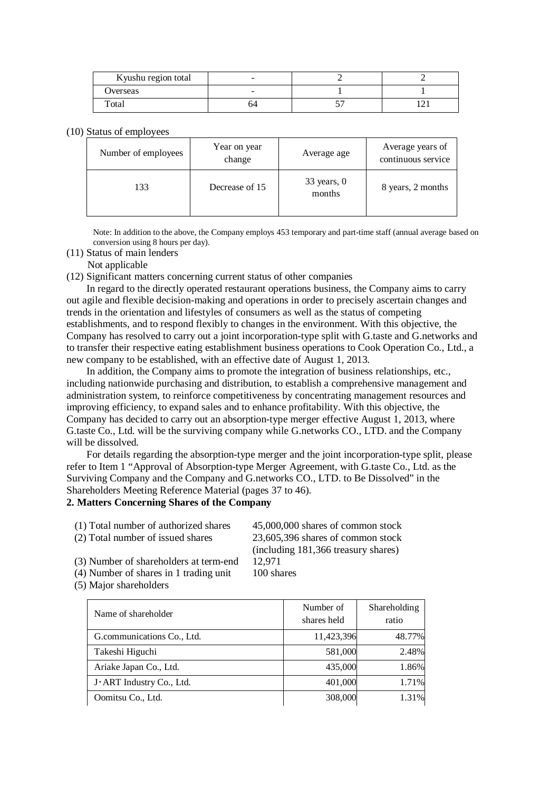| Kyushu region total        | $\overline{\phantom{a}}$ |   |  |
|----------------------------|--------------------------|---|--|
| Overseas                   | $-$                      |   |  |
| $_{\rm \tau_{\rm \sigma}}$ | ∸י                       | ັ |  |

### (10) Status of employees

| Number of employees | Year on year<br>change | Average age             | Average years of<br>continuous service |
|---------------------|------------------------|-------------------------|----------------------------------------|
| 133                 | Decrease of 15         | $33$ years, 0<br>months | 8 years, 2 months                      |

Note: In addition to the above, the Company employs 453 temporary and part-time staff (annual average based on conversion using 8 hours per day).

(11) Status of main lenders

Not applicable

(12) Significant matters concerning current status of other companies

In regard to the directly operated restaurant operations business, the Company aims to carry out agile and flexible decision-making and operations in order to precisely ascertain changes and trends in the orientation and lifestyles of consumers as well as the status of competing establishments, and to respond flexibly to changes in the environment. With this objective, the Company has resolved to carry out a joint incorporation-type split with G.taste and G.networks and to transfer their respective eating establishment business operations to Cook Operation Co., Ltd., a new company to be established, with an effective date of August 1, 2013.

In addition, the Company aims to promote the integration of business relationships, etc., including nationwide purchasing and distribution, to establish a comprehensive management and administration system, to reinforce competitiveness by concentrating management resources and improving efficiency, to expand sales and to enhance profitability. With this objective, the Company has decided to carry out an absorption-type merger effective August 1, 2013, where G.taste Co., Ltd. will be the surviving company while G.networks CO., LTD. and the Company will be dissolved.

For details regarding the absorption-type merger and the joint incorporation-type split, please refer to Item 1 "Approval of Absorption-type Merger Agreement, with G.taste Co., Ltd. as the Surviving Company and the Company and G.networks CO., LTD. to Be Dissolved" in the Shareholders Meeting Reference Material (pages 37 to 46).

## **2. Matters Concerning Shares of the Company**

| (1) Total number of authorized shares    | 45,000,000 shares of common stock   |
|------------------------------------------|-------------------------------------|
| (2) Total number of issued shares        | 23,605,396 shares of common stock   |
|                                          | (including 181,366 treasury shares) |
| (3) Number of shareholders at term-end   | 12.971                              |
| $(4)$ Number of shares in 1 trading unit | $100$ charge                        |

- (4) Number of shares in 1 trading unit 100 shares
- (5) Major shareholders

| Name of shareholder        | Number of<br>shares held | Shareholding<br>ratio |
|----------------------------|--------------------------|-----------------------|
| G.communications Co., Ltd. | 11,423,396               | 48.77%                |
| Takeshi Higuchi            | 581,000                  | 2.48%                 |
| Ariake Japan Co., Ltd.     | 435,000                  | 1.86%                 |
| J. ART Industry Co., Ltd.  | 401,000                  | 1.71%                 |
| Oomitsu Co., Ltd.          | 308,000                  | 1.31%                 |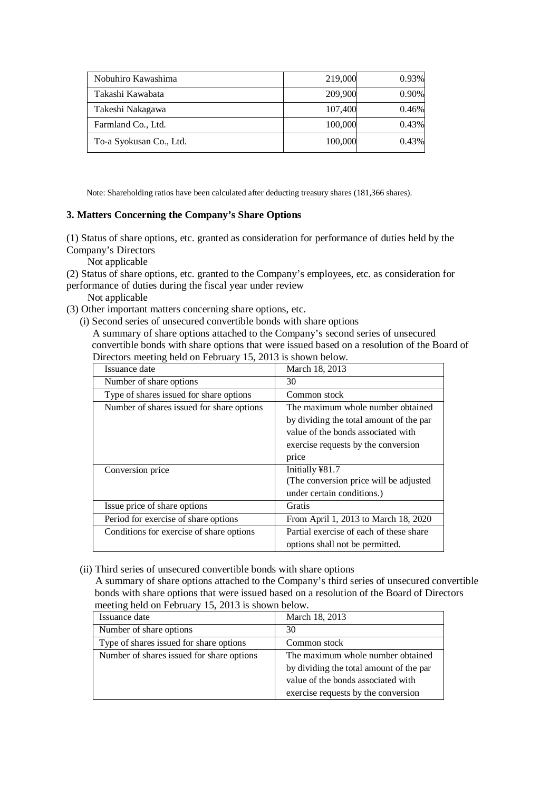| Nobuhiro Kawashima      | 219,000 | 0.93% |
|-------------------------|---------|-------|
| Takashi Kawabata        | 209,900 | 0.90% |
| Takeshi Nakagawa        | 107,400 | 0.46% |
| Farmland Co., Ltd.      | 100,000 | 0.43% |
| To-a Syokusan Co., Ltd. | 100,000 | 0.43% |

Note: Shareholding ratios have been calculated after deducting treasury shares (181,366 shares).

# **3. Matters Concerning the Company's Share Options**

(1) Status of share options, etc. granted as consideration for performance of duties held by the Company's Directors

Not applicable

(2) Status of share options, etc. granted to the Company's employees, etc. as consideration for performance of duties during the fiscal year under review

Not applicable

(3) Other important matters concerning share options, etc.

(i) Second series of unsecured convertible bonds with share options

A summary of share options attached to the Company's second series of unsecured convertible bonds with share options that were issued based on a resolution of the Board of Directors meeting held on February 15, 2013 is shown below.

| Issuance date                             | March 18, 2013                          |
|-------------------------------------------|-----------------------------------------|
| Number of share options                   | 30                                      |
| Type of shares issued for share options   | Common stock                            |
| Number of shares issued for share options | The maximum whole number obtained       |
|                                           | by dividing the total amount of the par |
|                                           | value of the bonds associated with      |
|                                           | exercise requests by the conversion     |
|                                           | price                                   |
| Conversion price                          | Initially ¥81.7                         |
|                                           | (The conversion price will be adjusted  |
|                                           | under certain conditions.)              |
| Issue price of share options              | <b>Gratis</b>                           |
| Period for exercise of share options      | From April 1, 2013 to March 18, 2020    |
| Conditions for exercise of share options  | Partial exercise of each of these share |
|                                           | options shall not be permitted.         |

(ii) Third series of unsecured convertible bonds with share options

A summary of share options attached to the Company's third series of unsecured convertible bonds with share options that were issued based on a resolution of the Board of Directors meeting held on February 15, 2013 is shown below.

| Issuance date                             | March 18, 2013                          |
|-------------------------------------------|-----------------------------------------|
| Number of share options                   | 30                                      |
| Type of shares issued for share options   | Common stock                            |
| Number of shares issued for share options | The maximum whole number obtained       |
|                                           | by dividing the total amount of the par |
|                                           | value of the bonds associated with      |
|                                           | exercise requests by the conversion     |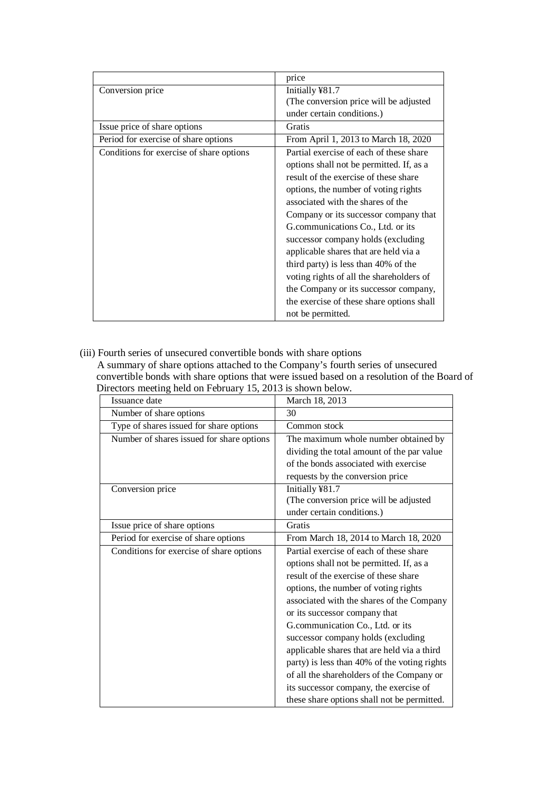|                                          | price                                     |  |
|------------------------------------------|-------------------------------------------|--|
| Conversion price                         | Initially ¥81.7                           |  |
|                                          | (The conversion price will be adjusted)   |  |
|                                          | under certain conditions.)                |  |
| Issue price of share options             | Gratis                                    |  |
| Period for exercise of share options     | From April 1, 2013 to March 18, 2020      |  |
| Conditions for exercise of share options | Partial exercise of each of these share   |  |
|                                          | options shall not be permitted. If, as a  |  |
|                                          | result of the exercise of these share     |  |
|                                          | options, the number of voting rights      |  |
|                                          | associated with the shares of the         |  |
|                                          | Company or its successor company that     |  |
|                                          | G.communications Co., Ltd. or its         |  |
| successor company holds (excluding       |                                           |  |
|                                          | applicable shares that are held via a     |  |
|                                          | third party) is less than 40% of the      |  |
|                                          | voting rights of all the shareholders of  |  |
|                                          | the Company or its successor company,     |  |
|                                          | the exercise of these share options shall |  |
|                                          | not be permitted.                         |  |

(iii) Fourth series of unsecured convertible bonds with share options A summary of share options attached to the Company's fourth series of unsecured convertible bonds with share options that were issued based on a resolution of the Board of Directors meeting held on February 15, 2013 is shown below.

| Issuance date                             | March 18, 2013                               |  |
|-------------------------------------------|----------------------------------------------|--|
| Number of share options                   | 30                                           |  |
| Type of shares issued for share options   | Common stock                                 |  |
| Number of shares issued for share options | The maximum whole number obtained by         |  |
|                                           | dividing the total amount of the par value   |  |
|                                           | of the bonds associated with exercise        |  |
|                                           | requests by the conversion price             |  |
| Conversion price                          | Initially ¥81.7                              |  |
|                                           | (The conversion price will be adjusted       |  |
|                                           | under certain conditions.)                   |  |
| Issue price of share options              | Gratis                                       |  |
| Period for exercise of share options      | From March 18, 2014 to March 18, 2020        |  |
| Conditions for exercise of share options  | Partial exercise of each of these share      |  |
|                                           | options shall not be permitted. If, as a     |  |
|                                           | result of the exercise of these share        |  |
|                                           | options, the number of voting rights         |  |
|                                           | associated with the shares of the Company    |  |
|                                           | or its successor company that                |  |
|                                           | G.communication Co., Ltd. or its             |  |
|                                           | successor company holds (excluding           |  |
|                                           | applicable shares that are held via a third  |  |
|                                           | party) is less than 40% of the voting rights |  |
|                                           | of all the shareholders of the Company or    |  |
|                                           | its successor company, the exercise of       |  |
|                                           | these share options shall not be permitted.  |  |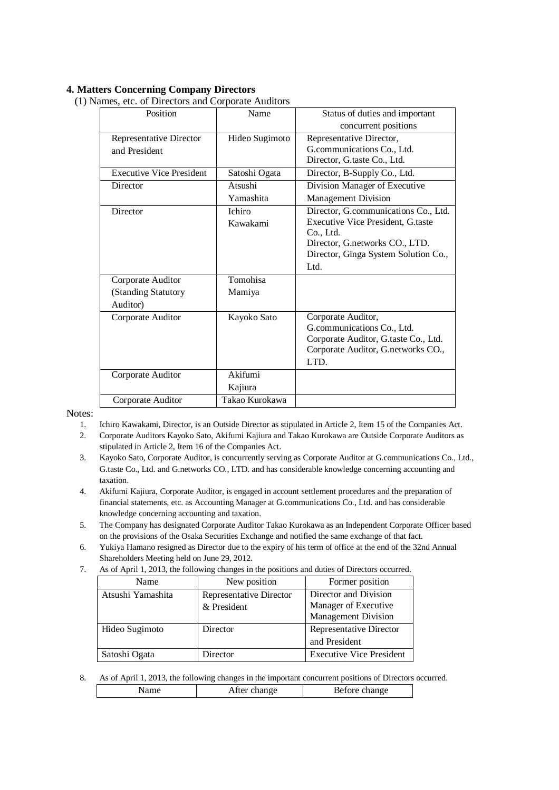# **4. Matters Concerning Company Directors**

(1) Names, etc. of Directors and Corporate Auditors

| Position                        | Name           | Status of duties and important           |
|---------------------------------|----------------|------------------------------------------|
|                                 |                | concurrent positions                     |
| Representative Director         | Hideo Sugimoto | Representative Director,                 |
| and President                   |                | G.communications Co., Ltd.               |
|                                 |                | Director, G.taste Co., Ltd.              |
| <b>Executive Vice President</b> | Satoshi Ogata  | Director, B-Supply Co., Ltd.             |
| Director                        | Atsushi        | Division Manager of Executive            |
|                                 | Yamashita      | <b>Management Division</b>               |
| Director                        | Ichiro         | Director, G.communications Co., Ltd.     |
|                                 | Kawakami       | <b>Executive Vice President, G.taste</b> |
|                                 |                | Co., Ltd.                                |
|                                 |                | Director, G.networks CO., LTD.           |
|                                 |                | Director, Ginga System Solution Co.,     |
|                                 |                | Ltd.                                     |
| Corporate Auditor               | Tomohisa       |                                          |
| (Standing Statutory             | Mamiya         |                                          |
| Auditor)                        |                |                                          |
| Corporate Auditor               | Kayoko Sato    | Corporate Auditor,                       |
|                                 |                | G.communications Co., Ltd.               |
|                                 |                | Corporate Auditor, G.taste Co., Ltd.     |
|                                 |                | Corporate Auditor, G.networks CO.,       |
|                                 |                | LTD.                                     |
| Corporate Auditor               | Akifumi        |                                          |
|                                 | Kajiura        |                                          |
| Corporate Auditor               | Takao Kurokawa |                                          |

Notes:<br> $\frac{1}{1}$ .

1. Ichiro Kawakami, Director, is an Outside Director as stipulated in Article 2, Item 15 of the Companies Act.

- 2. Corporate Auditors Kayoko Sato, Akifumi Kajiura and Takao Kurokawa are Outside Corporate Auditors as stipulated in Article 2, Item 16 of the Companies Act.
- 3. Kayoko Sato, Corporate Auditor, is concurrently serving as Corporate Auditor at G.communications Co., Ltd., G.taste Co., Ltd. and G.networks CO., LTD. and has considerable knowledge concerning accounting and taxation.
- 4. Akifumi Kajiura, Corporate Auditor, is engaged in account settlement procedures and the preparation of financial statements, etc. as Accounting Manager at G.communications Co., Ltd. and has considerable knowledge concerning accounting and taxation.

5. The Company has designated Corporate Auditor Takao Kurokawa as an Independent Corporate Officer based on the provisions of the Osaka Securities Exchange and notified the same exchange of that fact.

- 6. Yukiya Hamano resigned as Director due to the expiry of his term of office at the end of the 32nd Annual Shareholders Meeting held on June 29, 2012.
- 7. As of April 1, 2013, the following changes in the positions and duties of Directors occurred.

| Name              | New position                   | Former position                 |
|-------------------|--------------------------------|---------------------------------|
| Atsushi Yamashita | <b>Representative Director</b> | Director and Division           |
|                   | & President                    | Manager of Executive            |
|                   |                                | <b>Management Division</b>      |
| Hideo Sugimoto    | Director                       | Representative Director         |
|                   |                                | and President                   |
| Satoshi Ogata     | Director                       | <b>Executive Vice President</b> |

8. As of April 1, 2013, the following changes in the important concurrent positions of Directors occurred.

| ııt | hange<br>.tter<br>А<br>THE CHAIR | $\sim$ ore change |
|-----|----------------------------------|-------------------|
|     |                                  |                   |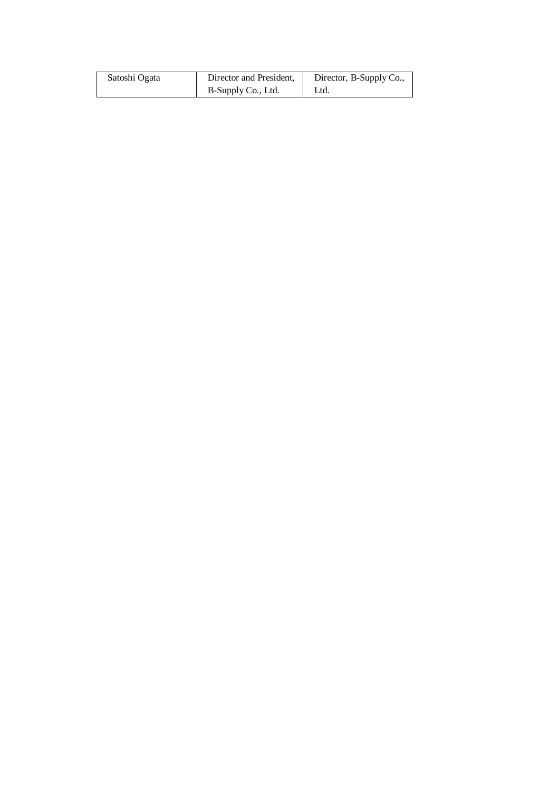| Satoshi Ogata | Director and President, | Director, B-Supply Co., |  |
|---------------|-------------------------|-------------------------|--|
|               | B-Supply Co., Ltd.      | Ltd.                    |  |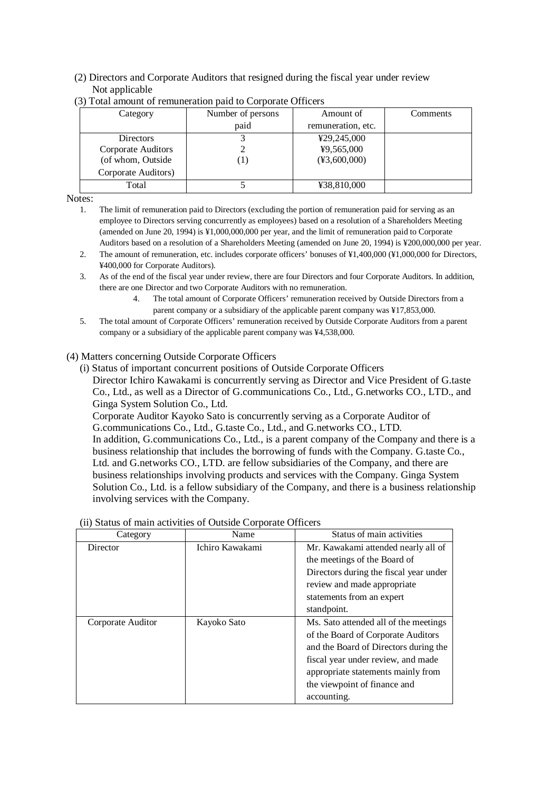### (2) Directors and Corporate Auditors that resigned during the fiscal year under review Not applicable

| Category            | Number of persons | Amount of                       | Comments |
|---------------------|-------------------|---------------------------------|----------|
|                     | paid              | remuneration, etc.              |          |
| <b>Directors</b>    |                   | ¥29,245,000                     |          |
| Corporate Auditors  |                   | ¥9,565,000                      |          |
| (of whom, Outside   |                   | $(\text{\textdegree}3,600,000)$ |          |
| Corporate Auditors) |                   |                                 |          |
| Total               |                   | ¥38,810,000                     |          |

### (3) Total amount of remuneration paid to Corporate Officers

Notes:

1. The limit of remuneration paid to Directors (excluding the portion of remuneration paid for serving as an employee to Directors serving concurrently as employees) based on a resolution of a Shareholders Meeting (amended on June 20, 1994) is ¥1,000,000,000 per year, and the limit of remuneration paid to Corporate Auditors based on a resolution of a Shareholders Meeting (amended on June 20, 1994) is ¥200,000,000 per year.

2. The amount of remuneration, etc. includes corporate officers' bonuses of ¥1,400,000 (¥1,000,000 for Directors, ¥400,000 for Corporate Auditors).

#### 3. As of the end of the fiscal year under review, there are four Directors and four Corporate Auditors. In addition, there are one Director and two Corporate Auditors with no remuneration.

- 4. The total amount of Corporate Officers' remuneration received by Outside Directors from a parent company or a subsidiary of the applicable parent company was ¥17,853,000.
- 5. The total amount of Corporate Officers' remuneration received by Outside Corporate Auditors from a parent company or a subsidiary of the applicable parent company was ¥4,538,000.

### (4) Matters concerning Outside Corporate Officers

(i) Status of important concurrent positions of Outside Corporate Officers Director Ichiro Kawakami is concurrently serving as Director and Vice President of G.taste Co., Ltd., as well as a Director of G.communications Co., Ltd., G.networks CO., LTD., and Ginga System Solution Co., Ltd.

Corporate Auditor Kayoko Sato is concurrently serving as a Corporate Auditor of G.communications Co., Ltd., G.taste Co., Ltd., and G.networks CO., LTD. In addition, G.communications Co., Ltd., is a parent company of the Company and there is a

business relationship that includes the borrowing of funds with the Company. G.taste Co., Ltd. and G.networks CO., LTD. are fellow subsidiaries of the Company, and there are business relationships involving products and services with the Company. Ginga System Solution Co., Ltd. is a fellow subsidiary of the Company, and there is a business relationship involving services with the Company.

| Category          | Name            | Status of main activities              |  |
|-------------------|-----------------|----------------------------------------|--|
| Director          | Ichiro Kawakami | Mr. Kawakami attended nearly all of    |  |
|                   |                 | the meetings of the Board of           |  |
|                   |                 | Directors during the fiscal year under |  |
|                   |                 | review and made appropriate            |  |
|                   |                 | statements from an expert              |  |
|                   |                 | standpoint.                            |  |
| Corporate Auditor | Kayoko Sato     | Ms. Sato attended all of the meetings  |  |
|                   |                 | of the Board of Corporate Auditors     |  |
|                   |                 | and the Board of Directors during the  |  |
|                   |                 | fiscal year under review, and made     |  |
|                   |                 | appropriate statements mainly from     |  |
|                   |                 | the viewpoint of finance and           |  |
|                   |                 | accounting.                            |  |

### (ii) Status of main activities of Outside Corporate Officers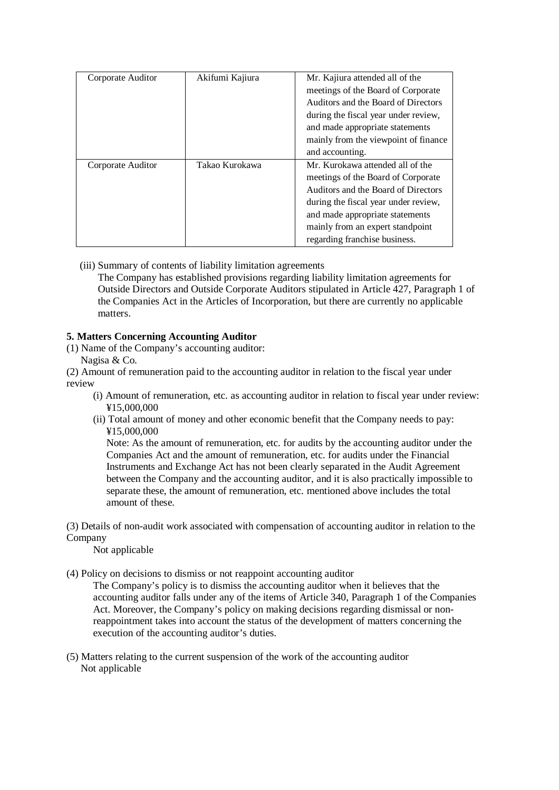| Corporate Auditor | Akifumi Kajiura | Mr. Kajiura attended all of the      |  |
|-------------------|-----------------|--------------------------------------|--|
|                   |                 | meetings of the Board of Corporate   |  |
|                   |                 | Auditors and the Board of Directors  |  |
|                   |                 | during the fiscal year under review, |  |
|                   |                 | and made appropriate statements      |  |
|                   |                 | mainly from the viewpoint of finance |  |
|                   |                 | and accounting.                      |  |
| Corporate Auditor | Takao Kurokawa  | Mr. Kurokawa attended all of the     |  |
|                   |                 | meetings of the Board of Corporate   |  |
|                   |                 | Auditors and the Board of Directors  |  |
|                   |                 | during the fiscal year under review, |  |
|                   |                 | and made appropriate statements      |  |
|                   |                 | mainly from an expert standpoint     |  |
|                   |                 |                                      |  |

(iii) Summary of contents of liability limitation agreements

The Company has established provisions regarding liability limitation agreements for Outside Directors and Outside Corporate Auditors stipulated in Article 427, Paragraph 1 of the Companies Act in the Articles of Incorporation, but there are currently no applicable matters.

### **5. Matters Concerning Accounting Auditor**

(1) Name of the Company's accounting auditor:

Nagisa & Co.

(2) Amount of remuneration paid to the accounting auditor in relation to the fiscal year under review

- (i) Amount of remuneration, etc. as accounting auditor in relation to fiscal year under review: ¥15,000,000
- (ii) Total amount of money and other economic benefit that the Company needs to pay: ¥15,000,000

Note: As the amount of remuneration, etc. for audits by the accounting auditor under the Companies Act and the amount of remuneration, etc. for audits under the Financial Instruments and Exchange Act has not been clearly separated in the Audit Agreement between the Company and the accounting auditor, and it is also practically impossible to separate these, the amount of remuneration, etc. mentioned above includes the total amount of these.

(3) Details of non-audit work associated with compensation of accounting auditor in relation to the Company

Not applicable

(4) Policy on decisions to dismiss or not reappoint accounting auditor

The Company's policy is to dismiss the accounting auditor when it believes that the accounting auditor falls under any of the items of Article 340, Paragraph 1 of the Companies Act. Moreover, the Company's policy on making decisions regarding dismissal or nonreappointment takes into account the status of the development of matters concerning the execution of the accounting auditor's duties.

(5) Matters relating to the current suspension of the work of the accounting auditor Not applicable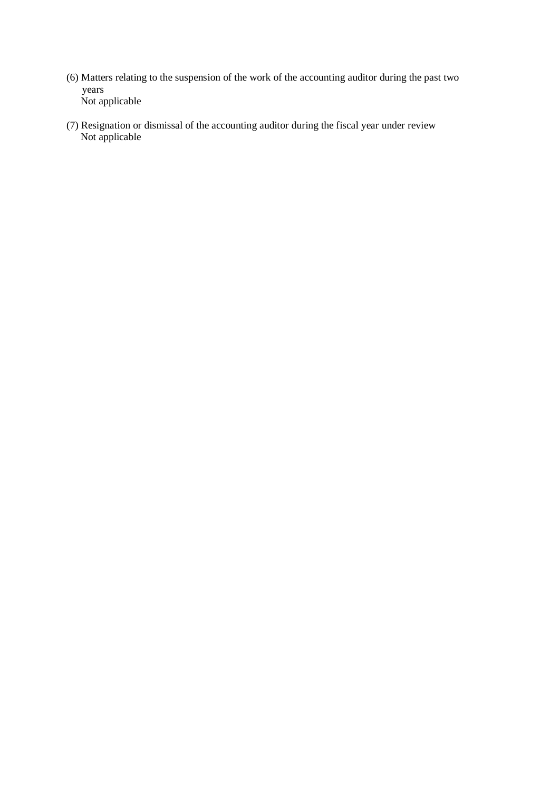- (6) Matters relating to the suspension of the work of the accounting auditor during the past two years Not applicable
- (7) Resignation or dismissal of the accounting auditor during the fiscal year under review Not applicable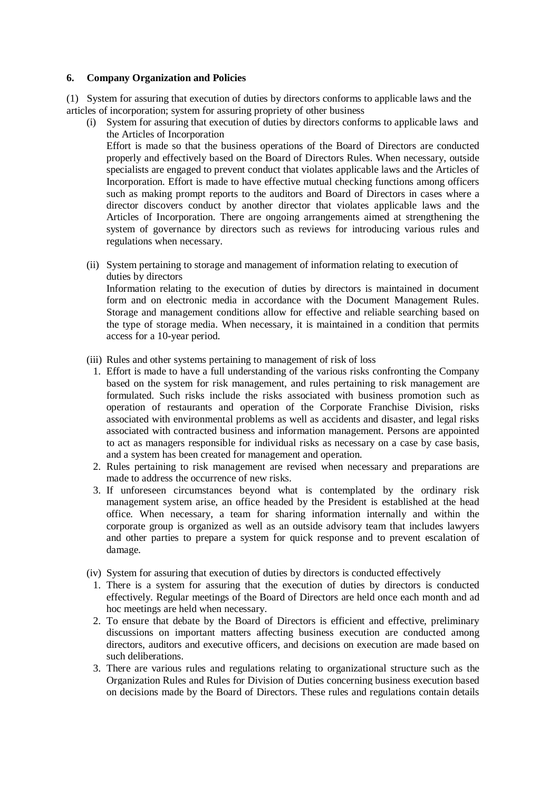#### **6. Company Organization and Policies**

(1) System for assuring that execution of duties by directors conforms to applicable laws and the articles of incorporation; system for assuring propriety of other business

(i) System for assuring that execution of duties by directors conforms to applicable laws and the Articles of Incorporation Effort is made so that the business operations of the Board of Directors are conducted

properly and effectively based on the Board of Directors Rules. When necessary, outside specialists are engaged to prevent conduct that violates applicable laws and the Articles of Incorporation. Effort is made to have effective mutual checking functions among officers such as making prompt reports to the auditors and Board of Directors in cases where a director discovers conduct by another director that violates applicable laws and the Articles of Incorporation. There are ongoing arrangements aimed at strengthening the system of governance by directors such as reviews for introducing various rules and regulations when necessary.

(ii) System pertaining to storage and management of information relating to execution of duties by directors Information relating to the execution of duties by directors is maintained in document form and on electronic media in accordance with the Document Management Rules. Storage and management conditions allow for effective and reliable searching based on the type of storage media. When necessary, it is maintained in a condition that permits access for a 10-year period.

- (iii) Rules and other systems pertaining to management of risk of loss
	- 1. Effort is made to have a full understanding of the various risks confronting the Company based on the system for risk management, and rules pertaining to risk management are formulated. Such risks include the risks associated with business promotion such as operation of restaurants and operation of the Corporate Franchise Division, risks associated with environmental problems as well as accidents and disaster, and legal risks associated with contracted business and information management. Persons are appointed to act as managers responsible for individual risks as necessary on a case by case basis, and a system has been created for management and operation.
	- 2. Rules pertaining to risk management are revised when necessary and preparations are made to address the occurrence of new risks.
	- 3. If unforeseen circumstances beyond what is contemplated by the ordinary risk management system arise, an office headed by the President is established at the head office. When necessary, a team for sharing information internally and within the corporate group is organized as well as an outside advisory team that includes lawyers and other parties to prepare a system for quick response and to prevent escalation of damage.
- (iv) System for assuring that execution of duties by directors is conducted effectively
	- 1. There is a system for assuring that the execution of duties by directors is conducted effectively. Regular meetings of the Board of Directors are held once each month and ad hoc meetings are held when necessary.
	- 2. To ensure that debate by the Board of Directors is efficient and effective, preliminary discussions on important matters affecting business execution are conducted among directors, auditors and executive officers, and decisions on execution are made based on such deliberations.
	- 3. There are various rules and regulations relating to organizational structure such as the Organization Rules and Rules for Division of Duties concerning business execution based on decisions made by the Board of Directors. These rules and regulations contain details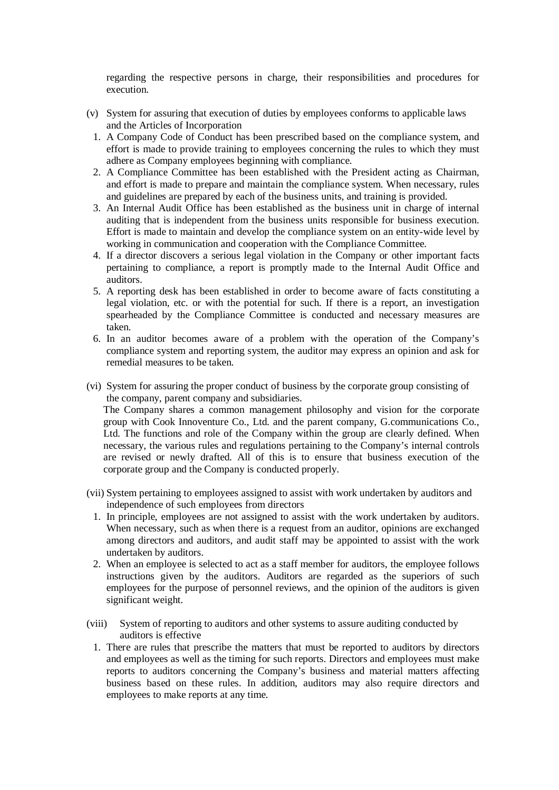regarding the respective persons in charge, their responsibilities and procedures for execution.

- (v) System for assuring that execution of duties by employees conforms to applicable laws and the Articles of Incorporation
	- 1. A Company Code of Conduct has been prescribed based on the compliance system, and effort is made to provide training to employees concerning the rules to which they must adhere as Company employees beginning with compliance.
	- 2. A Compliance Committee has been established with the President acting as Chairman, and effort is made to prepare and maintain the compliance system. When necessary, rules and guidelines are prepared by each of the business units, and training is provided.
	- 3. An Internal Audit Office has been established as the business unit in charge of internal auditing that is independent from the business units responsible for business execution. Effort is made to maintain and develop the compliance system on an entity-wide level by working in communication and cooperation with the Compliance Committee.
	- 4. If a director discovers a serious legal violation in the Company or other important facts pertaining to compliance, a report is promptly made to the Internal Audit Office and auditors.
	- 5. A reporting desk has been established in order to become aware of facts constituting a legal violation, etc. or with the potential for such. If there is a report, an investigation spearheaded by the Compliance Committee is conducted and necessary measures are taken.
	- 6. In an auditor becomes aware of a problem with the operation of the Company's compliance system and reporting system, the auditor may express an opinion and ask for remedial measures to be taken.
- (vi) System for assuring the proper conduct of business by the corporate group consisting of the company, parent company and subsidiaries. The Company shares a common management philosophy and vision for the corporate group with Cook Innoventure Co., Ltd. and the parent company, G.communications Co., Ltd. The functions and role of the Company within the group are clearly defined. When necessary, the various rules and regulations pertaining to the Company's internal controls are revised or newly drafted. All of this is to ensure that business execution of the corporate group and the Company is conducted properly.
- (vii) System pertaining to employees assigned to assist with work undertaken by auditors and independence of such employees from directors
	- 1. In principle, employees are not assigned to assist with the work undertaken by auditors. When necessary, such as when there is a request from an auditor, opinions are exchanged among directors and auditors, and audit staff may be appointed to assist with the work undertaken by auditors.
	- 2. When an employee is selected to act as a staff member for auditors, the employee follows instructions given by the auditors. Auditors are regarded as the superiors of such employees for the purpose of personnel reviews, and the opinion of the auditors is given significant weight.
- (viii) System of reporting to auditors and other systems to assure auditing conducted by auditors is effective
	- 1. There are rules that prescribe the matters that must be reported to auditors by directors and employees as well as the timing for such reports. Directors and employees must make reports to auditors concerning the Company's business and material matters affecting business based on these rules. In addition, auditors may also require directors and employees to make reports at any time.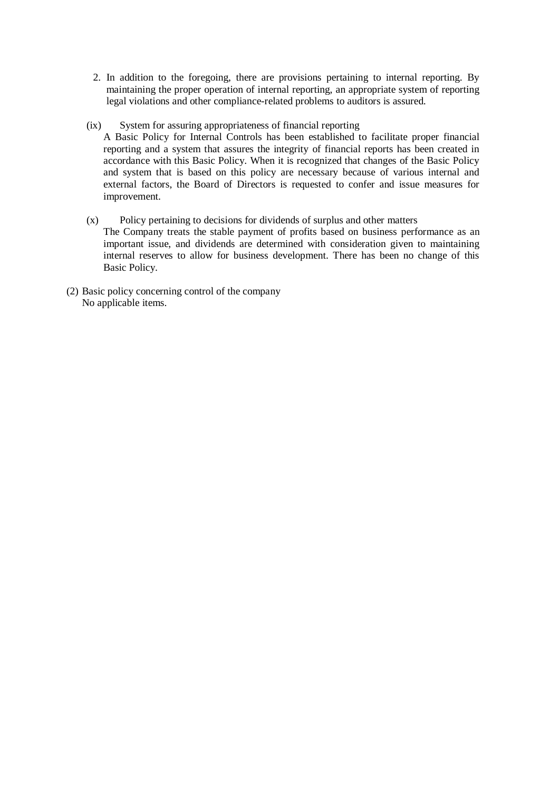- 2. In addition to the foregoing, there are provisions pertaining to internal reporting. By maintaining the proper operation of internal reporting, an appropriate system of reporting legal violations and other compliance-related problems to auditors is assured.
- (ix) System for assuring appropriateness of financial reporting
	- A Basic Policy for Internal Controls has been established to facilitate proper financial reporting and a system that assures the integrity of financial reports has been created in accordance with this Basic Policy. When it is recognized that changes of the Basic Policy and system that is based on this policy are necessary because of various internal and external factors, the Board of Directors is requested to confer and issue measures for improvement.
- (x) Policy pertaining to decisions for dividends of surplus and other matters The Company treats the stable payment of profits based on business performance as an important issue, and dividends are determined with consideration given to maintaining internal reserves to allow for business development. There has been no change of this Basic Policy.
- (2) Basic policy concerning control of the company No applicable items.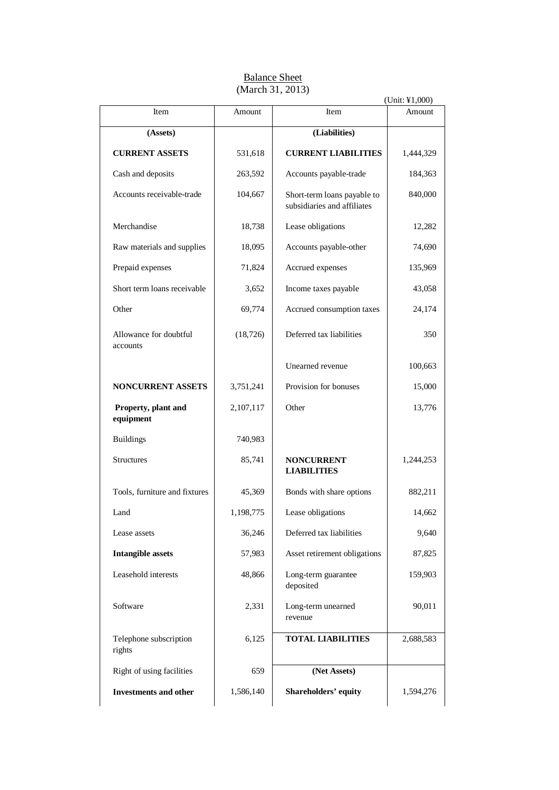|                                    |           |                                                            | (Unit: ¥1,000) |
|------------------------------------|-----------|------------------------------------------------------------|----------------|
| Item                               | Amount    | Item                                                       | Amount         |
| (Assets)                           |           | (Liabilities)                                              |                |
| <b>CURRENT ASSETS</b>              | 531,618   | <b>CURRENT LIABILITIES</b>                                 | 1,444,329      |
| Cash and deposits                  | 263,592   | Accounts payable-trade                                     | 184,363        |
| Accounts receivable-trade          | 104,667   | Short-term loans payable to<br>subsidiaries and affiliates | 840,000        |
| Merchandise                        | 18,738    | Lease obligations                                          | 12,282         |
| Raw materials and supplies         | 18,095    | Accounts payable-other                                     | 74,690         |
| Prepaid expenses                   | 71,824    | Accrued expenses                                           | 135,969        |
| Short term loans receivable        | 3,652     | Income taxes payable                                       | 43,058         |
| Other                              | 69,774    | Accrued consumption taxes                                  | 24,174         |
| Allowance for doubtful<br>accounts | (18, 726) | Deferred tax liabilities                                   | 350            |
|                                    |           | Unearned revenue                                           | 100,663        |
| NONCURRENT ASSETS                  | 3,751,241 | Provision for bonuses                                      | 15,000         |
| Property, plant and<br>equipment   | 2,107,117 | Other                                                      | 13,776         |
| <b>Buildings</b>                   | 740,983   |                                                            |                |
| <b>Structures</b>                  | 85,741    | <b>NONCURRENT</b><br><b>LIABILITIES</b>                    | 1,244,253      |
| Tools, furniture and fixtures      | 45,369    | Bonds with share options                                   | 882,211        |
| Land                               | 1,198,775 | Lease obligations                                          | 14,662         |
| Lease assets                       | 36,246    | Deferred tax liabilities                                   | 9,640          |
| <b>Intangible assets</b>           | 57,983    | Asset retirement obligations                               | 87,825         |
| Leasehold interests                | 48,866    | Long-term guarantee<br>deposited                           | 159,903        |
| Software                           | 2,331     | Long-term unearned<br>revenue                              | 90,011         |
| Telephone subscription<br>rights   | 6,125     | <b>TOTAL LIABILITIES</b>                                   | 2,688,583      |
| Right of using facilities          | 659       | (Net Assets)                                               |                |
| <b>Investments and other</b>       | 1,586,140 | Shareholders' equity                                       | 1,594,276      |

### **Balance Sheet** (March 31, 2013)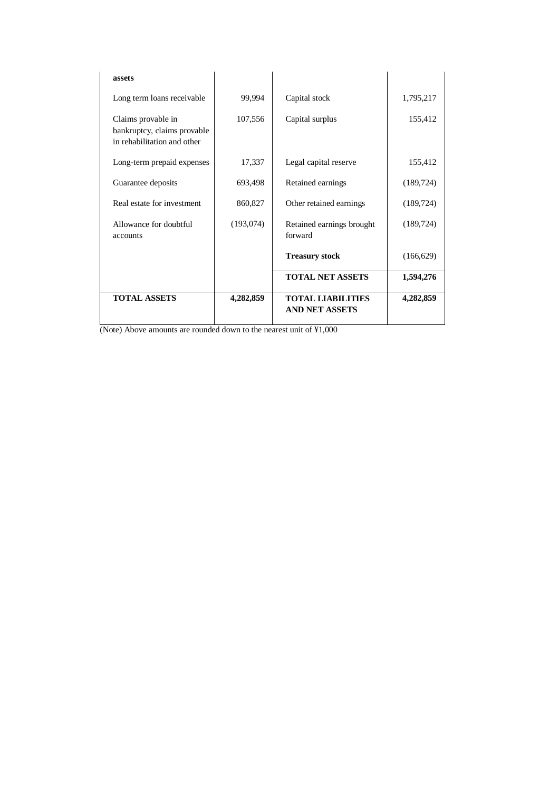| assets                                                                           |           |                                                   |            |
|----------------------------------------------------------------------------------|-----------|---------------------------------------------------|------------|
| Long term loans receivable                                                       | 99,994    | Capital stock                                     | 1,795,217  |
| Claims provable in<br>bankruptcy, claims provable<br>in rehabilitation and other | 107,556   | Capital surplus                                   | 155,412    |
| Long-term prepaid expenses                                                       | 17,337    | Legal capital reserve                             | 155,412    |
| Guarantee deposits                                                               | 693,498   | Retained earnings                                 | (189, 724) |
| Real estate for investment                                                       | 860,827   | Other retained earnings                           | (189, 724) |
| Allowance for doubtful<br>accounts                                               | (193,074) | Retained earnings brought<br>forward              | (189, 724) |
|                                                                                  |           | <b>Treasury stock</b>                             | (166, 629) |
|                                                                                  |           | <b>TOTAL NET ASSETS</b>                           | 1,594,276  |
| <b>TOTAL ASSETS</b>                                                              | 4,282,859 | <b>TOTAL LIABILITIES</b><br><b>AND NET ASSETS</b> | 4,282,859  |

(Note) Above amounts are rounded down to the nearest unit of ¥1,000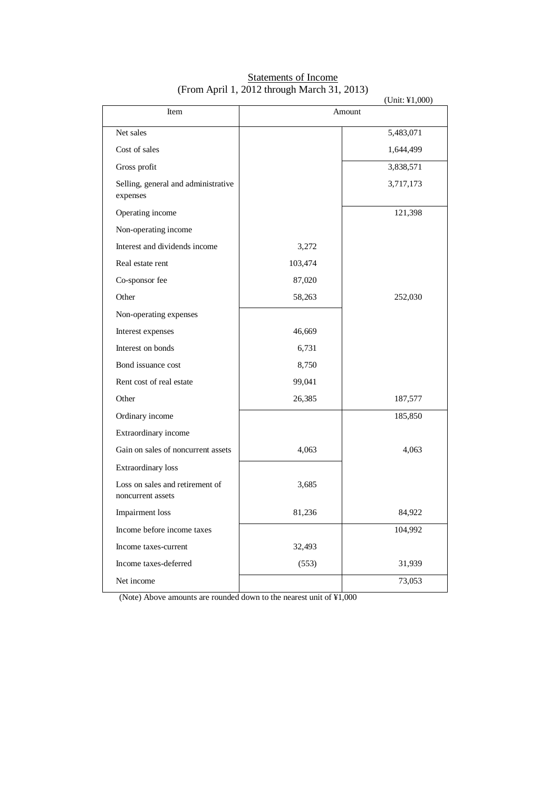|                                                      |         | (Unit: ¥1,000) |
|------------------------------------------------------|---------|----------------|
| Item                                                 |         | Amount         |
| Net sales                                            |         | 5,483,071      |
| Cost of sales                                        |         | 1,644,499      |
| Gross profit                                         |         | 3,838,571      |
| Selling, general and administrative<br>expenses      |         | 3,717,173      |
| Operating income                                     |         | 121,398        |
| Non-operating income                                 |         |                |
| Interest and dividends income                        | 3,272   |                |
| Real estate rent                                     | 103,474 |                |
| Co-sponsor fee                                       | 87,020  |                |
| Other                                                | 58,263  | 252,030        |
| Non-operating expenses                               |         |                |
| Interest expenses                                    | 46,669  |                |
| Interest on bonds                                    | 6,731   |                |
| Bond issuance cost                                   | 8,750   |                |
| Rent cost of real estate                             | 99,041  |                |
| Other                                                | 26,385  | 187,577        |
| Ordinary income                                      |         | 185,850        |
| Extraordinary income                                 |         |                |
| Gain on sales of noncurrent assets                   | 4,063   | 4,063          |
| Extraordinary loss                                   |         |                |
| Loss on sales and retirement of<br>noncurrent assets | 3,685   |                |
| Impairment loss                                      | 81,236  | 84,922         |
| Income before income taxes                           |         | 104,992        |
| Income taxes-current                                 | 32,493  |                |
| Income taxes-deferred                                | (553)   | 31,939         |
| Net income                                           |         | 73,053         |

### Statements of Income (From April 1, 2012 through March 31, 2013)

(Note) Above amounts are rounded down to the nearest unit of ¥1,000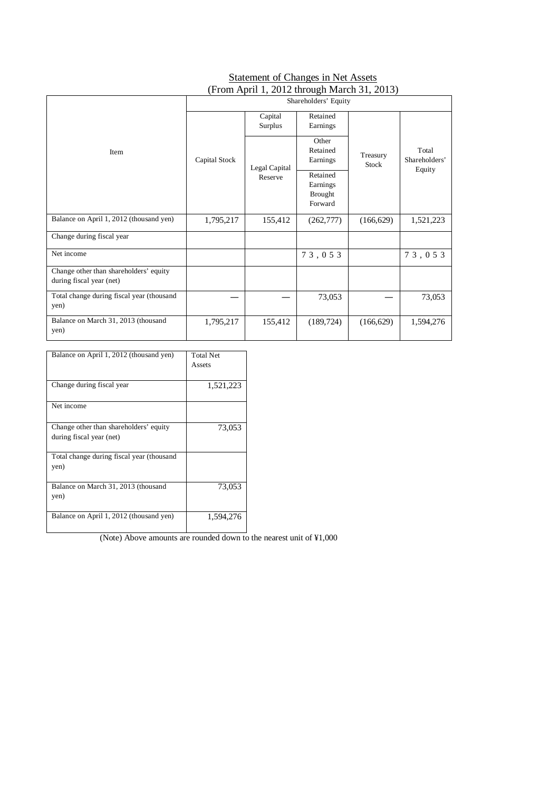### **Statement of Changes in Net Assets** (From April 1, 2012 through March 31, 2013)

|                                                                    | o<br>Shareholders' Equity                 |                                                   |                               |                   |                                  |
|--------------------------------------------------------------------|-------------------------------------------|---------------------------------------------------|-------------------------------|-------------------|----------------------------------|
|                                                                    |                                           | Capital<br>Surplus                                | Retained<br>Earnings          |                   |                                  |
| Item                                                               | Capital Stock<br>Legal Capital<br>Reserve |                                                   | Other<br>Retained<br>Earnings | Treasury<br>Stock | Total<br>Shareholders'<br>Equity |
|                                                                    |                                           | Retained<br>Earnings<br><b>Brought</b><br>Forward |                               |                   |                                  |
| Balance on April 1, 2012 (thousand yen)                            | 1,795,217                                 | 155,412                                           | (262, 777)                    | (166, 629)        | 1,521,223                        |
| Change during fiscal year                                          |                                           |                                                   |                               |                   |                                  |
| Net income                                                         |                                           |                                                   | 73,053                        |                   | 73,053                           |
| Change other than shareholders' equity<br>during fiscal year (net) |                                           |                                                   |                               |                   |                                  |
| Total change during fiscal year (thousand<br>yen)                  |                                           |                                                   | 73,053                        |                   | 73,053                           |
| Balance on March 31, 2013 (thousand<br>yen)                        | 1,795,217                                 | 155,412                                           | (189, 724)                    | (166, 629)        | 1,594,276                        |

٦

| Balance on April 1, 2012 (thousand yen) | Total Net |
|-----------------------------------------|-----------|

|                                                                    | Assets    |
|--------------------------------------------------------------------|-----------|
| Change during fiscal year                                          | 1,521,223 |
| Net income                                                         |           |
| Change other than shareholders' equity<br>during fiscal year (net) | 73,053    |
| Total change during fiscal year (thousand<br>yen)                  |           |
| Balance on March 31, 2013 (thousand<br>yen)                        | 73,053    |
| Balance on April 1, 2012 (thousand yen)                            | 1,594,276 |

(Note) Above amounts are rounded down to the nearest unit of ¥1,000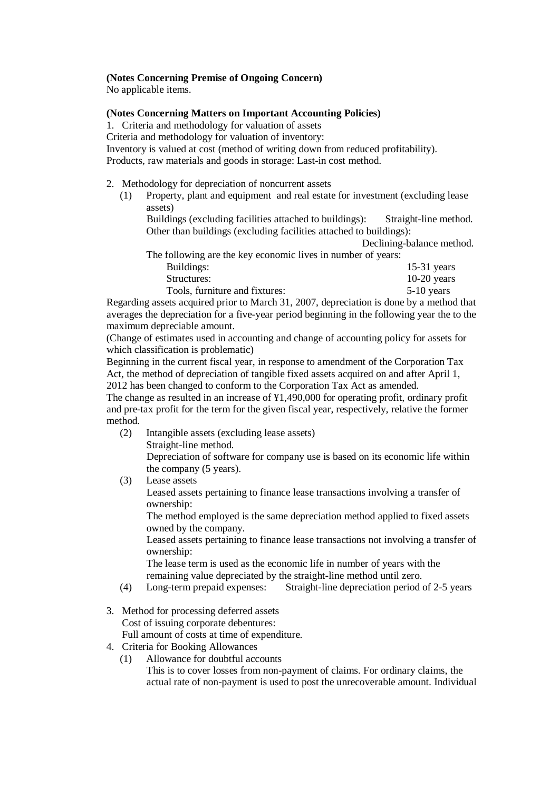### **(Notes Concerning Premise of Ongoing Concern)**

No applicable items.

### **(Notes Concerning Matters on Important Accounting Policies)**

1. Criteria and methodology for valuation of assets

Criteria and methodology for valuation of inventory:

Inventory is valued at cost (method of writing down from reduced profitability). Products, raw materials and goods in storage: Last-in cost method.

- 2. Methodology for depreciation of noncurrent assets
	- (1) Property, plant and equipment and real estate for investment (excluding lease assets)

Buildings (excluding facilities attached to buildings): Straight-line method. Other than buildings (excluding facilities attached to buildings):

Declining-balance method.

|                                                              | Declining-balance meth |
|--------------------------------------------------------------|------------------------|
| The following are the key economic lives in number of years: |                        |
| Buildings:                                                   | $15-31$ years          |
| Structures:                                                  | $10-20$ years          |
| Tools, furniture and fixtures:                               | $5-10$ years           |
|                                                              |                        |

Regarding assets acquired prior to March 31, 2007, depreciation is done by a method that averages the depreciation for a five-year period beginning in the following year the to the maximum depreciable amount.

(Change of estimates used in accounting and change of accounting policy for assets for which classification is problematic)

Beginning in the current fiscal year, in response to amendment of the Corporation Tax Act, the method of depreciation of tangible fixed assets acquired on and after April 1, 2012 has been changed to conform to the Corporation Tax Act as amended.

The change as resulted in an increase of ¥1,490,000 for operating profit, ordinary profit and pre-tax profit for the term for the given fiscal year, respectively, relative the former method.

- (2) Intangible assets (excluding lease assets) Straight-line method. Depreciation of software for company use is based on its economic life within the company (5 years).
- (3) Lease assets

Leased assets pertaining to finance lease transactions involving a transfer of ownership:

The method employed is the same depreciation method applied to fixed assets owned by the company.

Leased assets pertaining to finance lease transactions not involving a transfer of ownership:

The lease term is used as the economic life in number of years with the remaining value depreciated by the straight-line method until zero.

- (4) Long-term prepaid expenses: Straight-line depreciation period of 2-5 years
- 3. Method for processing deferred assets Cost of issuing corporate debentures: Full amount of costs at time of expenditure.
- 4. Criteria for Booking Allowances
	- (1) Allowance for doubtful accounts

This is to cover losses from non-payment of claims. For ordinary claims, the actual rate of non-payment is used to post the unrecoverable amount. Individual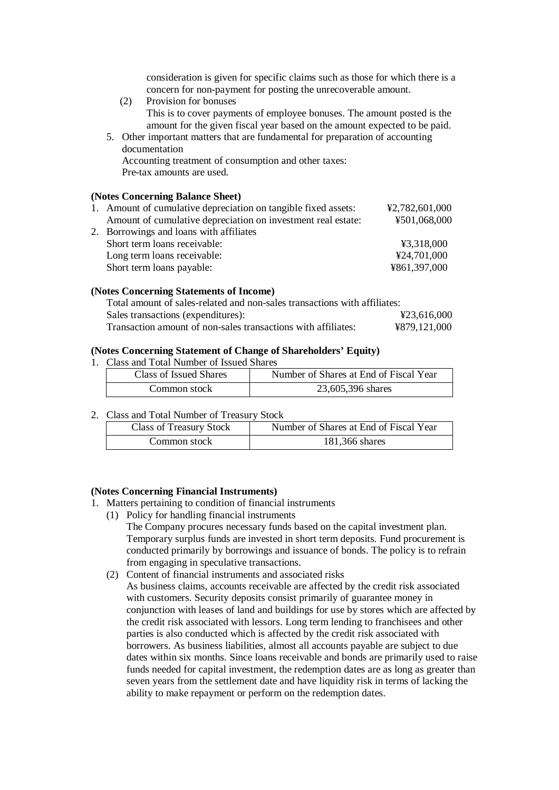consideration is given for specific claims such as those for which there is a concern for non-payment for posting the unrecoverable amount.

- (2) Provision for bonuses This is to cover payments of employee bonuses. The amount posted is the amount for the given fiscal year based on the amount expected to be paid.
- 5. Other important matters that are fundamental for preparation of accounting documentation Accounting treatment of consumption and other taxes: Pre-tax amounts are used.

#### **(Notes Concerning Balance Sheet)**

| 1. Amount of cumulative depreciation on tangible fixed assets: | ¥2,782,601,000 |
|----------------------------------------------------------------|----------------|
| Amount of cumulative depreciation on investment real estate:   | ¥501,068,000   |
| 2. Borrowings and loans with affiliates                        |                |
| Short term loans receivable:                                   | ¥3,318,000     |
| Long term loans receivable:                                    | ¥24,701,000    |
| Short term loans payable:                                      | ¥861,397,000   |
|                                                                |                |

#### **(Notes Concerning Statements of Income)**

| Total amount of sales-related and non-sales transactions with affiliates: |              |
|---------------------------------------------------------------------------|--------------|
| Sales transactions (expenditures):                                        | ¥23,616,000  |
| Transaction amount of non-sales transactions with affiliates:             | ¥879,121,000 |

#### **(Notes Concerning Statement of Change of Shareholders' Equity)**

1. Class and Total Number of Issued Shares

| Class of Issued Shares | Number of Shares at End of Fiscal Year |
|------------------------|----------------------------------------|
| Common stock           | 23,605,396 shares                      |

2. Class and Total Number of Treasury Stock

| <b>Class of Treasury Stock</b> | Number of Shares at End of Fiscal Year |
|--------------------------------|----------------------------------------|
| Common stock                   | 181,366 shares                         |

### **(Notes Concerning Financial Instruments)**

- 1. Matters pertaining to condition of financial instruments
	- (1) Policy for handling financial instruments

The Company procures necessary funds based on the capital investment plan. Temporary surplus funds are invested in short term deposits. Fund procurement is conducted primarily by borrowings and issuance of bonds. The policy is to refrain from engaging in speculative transactions.

(2) Content of financial instruments and associated risks As business claims, accounts receivable are affected by the credit risk associated with customers. Security deposits consist primarily of guarantee money in conjunction with leases of land and buildings for use by stores which are affected by the credit risk associated with lessors. Long term lending to franchisees and other parties is also conducted which is affected by the credit risk associated with borrowers. As business liabilities, almost all accounts payable are subject to due dates within six months. Since loans receivable and bonds are primarily used to raise funds needed for capital investment, the redemption dates are as long as greater than seven years from the settlement date and have liquidity risk in terms of lacking the ability to make repayment or perform on the redemption dates.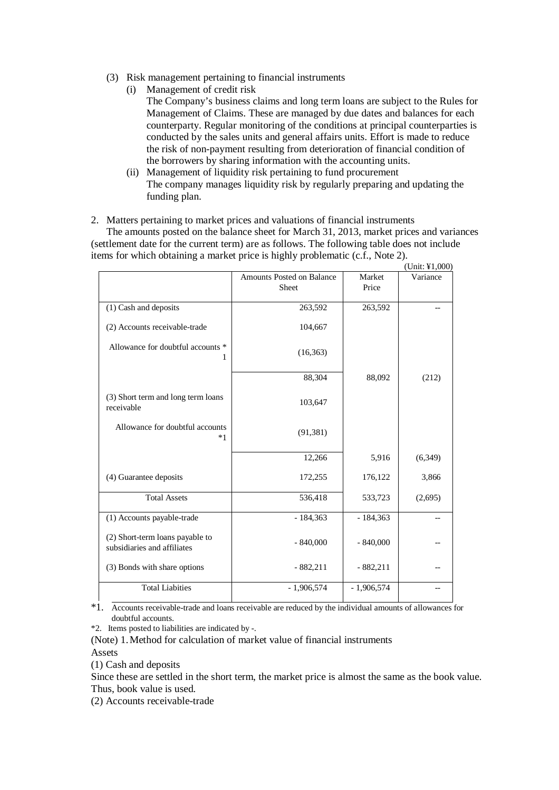- (3) Risk management pertaining to financial instruments
	- (i) Management of credit risk

The Company's business claims and long term loans are subject to the Rules for Management of Claims. These are managed by due dates and balances for each counterparty. Regular monitoring of the conditions at principal counterparties is conducted by the sales units and general affairs units. Effort is made to reduce the risk of non-payment resulting from deterioration of financial condition of the borrowers by sharing information with the accounting units.

- (ii) Management of liquidity risk pertaining to fund procurement The company manages liquidity risk by regularly preparing and updating the funding plan.
- 2. Matters pertaining to market prices and valuations of financial instruments

The amounts posted on the balance sheet for March 31, 2013, market prices and variances (settlement date for the current term) are as follows. The following table does not include items for which obtaining a market price is highly problematic (c.f., Note 2).  $\mathbf{U}$  (United States)

|                                                                |                                                  |                 | (Unit: #1,000) |
|----------------------------------------------------------------|--------------------------------------------------|-----------------|----------------|
|                                                                | <b>Amounts Posted on Balance</b><br><b>Sheet</b> | Market<br>Price | Variance       |
| (1) Cash and deposits                                          | 263,592                                          | 263,592         |                |
| (2) Accounts receivable-trade                                  | 104,667                                          |                 |                |
| Allowance for doubtful accounts *<br>1                         | (16, 363)                                        |                 |                |
|                                                                | 88,304                                           | 88,092          | (212)          |
| (3) Short term and long term loans<br>receivable               | 103,647                                          |                 |                |
| Allowance for doubtful accounts<br>$*1$                        | (91, 381)                                        |                 |                |
|                                                                | 12,266                                           | 5,916           | (6,349)        |
| (4) Guarantee deposits                                         | 172,255                                          | 176,122         | 3,866          |
| <b>Total Assets</b>                                            | 536,418                                          | 533,723         | (2,695)        |
| (1) Accounts payable-trade                                     | $-184,363$                                       | $-184,363$      |                |
| (2) Short-term loans payable to<br>subsidiaries and affiliates | $-840,000$                                       | $-840,000$      |                |
| (3) Bonds with share options                                   | $-882,211$                                       | $-882,211$      |                |
| <b>Total Liabities</b>                                         | $-1,906,574$                                     | $-1,906,574$    |                |

\*1. Accounts receivable-trade and loans receivable are reduced by the individual amounts of allowances for doubtful accounts.

\*2. Items posted to liabilities are indicated by -.

(Note) 1. Method for calculation of market value of financial instruments Assets

(1) Cash and deposits

Since these are settled in the short term, the market price is almost the same as the book value. Thus, book value is used.

(2) Accounts receivable-trade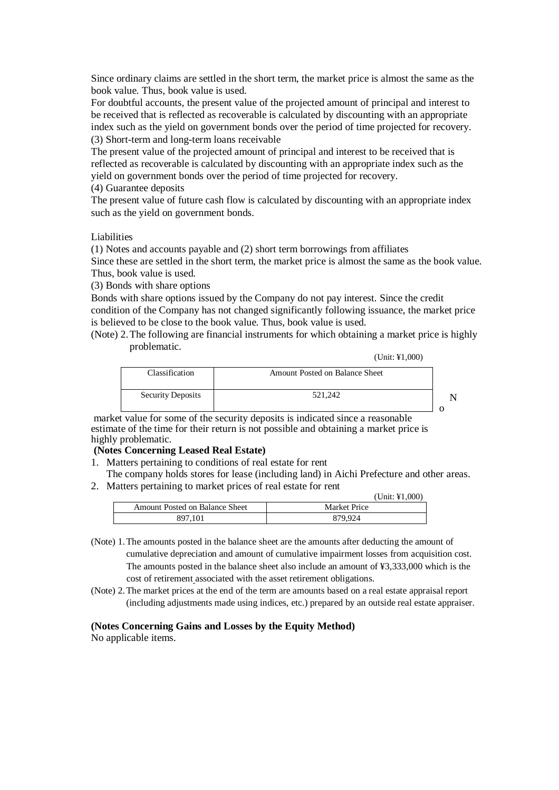Since ordinary claims are settled in the short term, the market price is almost the same as the book value. Thus, book value is used.

For doubtful accounts, the present value of the projected amount of principal and interest to be received that is reflected as recoverable is calculated by discounting with an appropriate index such as the yield on government bonds over the period of time projected for recovery. (3) Short-term and long-term loans receivable

The present value of the projected amount of principal and interest to be received that is reflected as recoverable is calculated by discounting with an appropriate index such as the yield on government bonds over the period of time projected for recovery.

(4) Guarantee deposits

The present value of future cash flow is calculated by discounting with an appropriate index such as the yield on government bonds.

#### Liabilities

(1) Notes and accounts payable and (2) short term borrowings from affiliates Since these are settled in the short term, the market price is almost the same as the book value. Thus, book value is used.

(3) Bonds with share options

Bonds with share options issued by the Company do not pay interest. Since the credit condition of the Company has not changed significantly following issuance, the market price is believed to be close to the book value. Thus, book value is used.

(Note) 2. The following are financial instruments for which obtaining a market price is highly problematic.

(Unit: ¥1,000)

| Classification           | <b>Amount Posted on Balance Sheet</b> |  |
|--------------------------|---------------------------------------|--|
| <b>Security Deposits</b> | 521.242                               |  |

 market value for some of the security deposits is indicated since a reasonable estimate of the time for their return is not possible and obtaining a market price is highly problematic.

### **(Notes Concerning Leased Real Estate)**

- 1. Matters pertaining to conditions of real estate for rent
- The company holds stores for lease (including land) in Aichi Prefecture and other areas.
- 2. Matters pertaining to market prices of real estate for rent

|                                | $(Unit: \yen 1.000)$ |
|--------------------------------|----------------------|
| Amount Posted on Balance Sheet | Market Price         |
| 897.101                        | 879.924              |

- (Note) 1. The amounts posted in the balance sheet are the amounts after deducting the amount of cumulative depreciation and amount of cumulative impairment losses from acquisition cost. The amounts posted in the balance sheet also include an amount of ¥3,333,000 which is the cost of retirement associated with the asset retirement obligations.
- (Note) 2. The market prices at the end of the term are amounts based on a real estate appraisal report (including adjustments made using indices, etc.) prepared by an outside real estate appraiser.

#### **(Notes Concerning Gains and Losses by the Equity Method)**

No applicable items.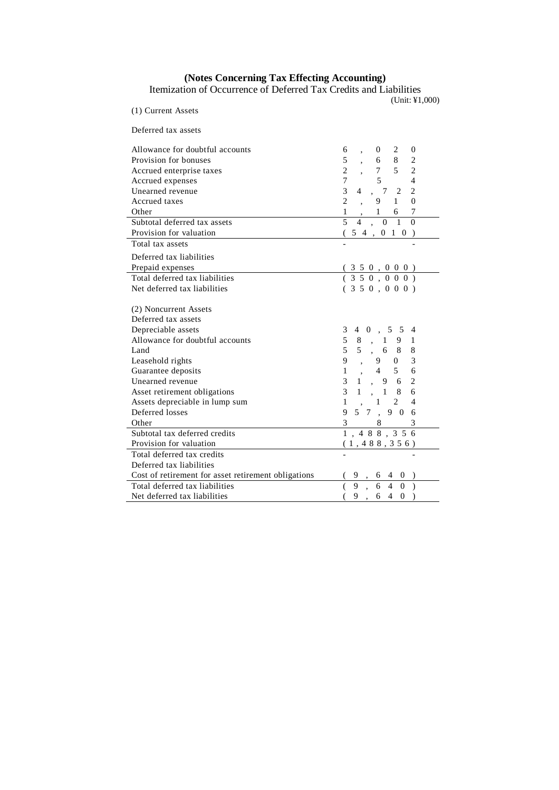#### **(Notes Concerning Tax Effecting Accounting)**

Itemization of Occurrence of Deferred Tax Credits and Liabilities

(Unit: ¥1,000)

| (1) Current Assets                                                                                                                                                                                                       |                                                                                                                                                                                                                                                                                                                                                                                                                                                                  |
|--------------------------------------------------------------------------------------------------------------------------------------------------------------------------------------------------------------------------|------------------------------------------------------------------------------------------------------------------------------------------------------------------------------------------------------------------------------------------------------------------------------------------------------------------------------------------------------------------------------------------------------------------------------------------------------------------|
| Deferred tax assets                                                                                                                                                                                                      |                                                                                                                                                                                                                                                                                                                                                                                                                                                                  |
| Allowance for doubtful accounts<br>Provision for bonuses<br>Accrued enterprise taxes<br>Accrued expenses<br>Unearned revenue<br><b>Accrued</b> taxes<br>Other<br>Subtotal deferred tax assets<br>Provision for valuation | $\boldsymbol{0}$<br>$\begin{array}{ccc} 0 & 2 \\ 6 & 8 \\ 7 & 5 \end{array}$<br>6<br>$\overline{\mathbf{c}}$<br>5<br>$\overline{2}$<br>$\overline{c}$<br>5 <sup>5</sup><br>$\overline{4}$<br>$\overline{7}$<br>3<br>$\overline{c}$<br>, 7 2<br>$\overline{4}$<br>$\overline{2}$<br>$1 \quad$<br>$\theta$<br>9<br>$\boldsymbol{7}$<br>$\mathbf{1}$<br>$\frac{1}{\alpha}$ $\frac{6}{\alpha}$<br>$\overline{5}$<br>$\theta$<br>$\overline{4}$<br>$5\;4\;,\;0\;1\;0$ |
| Total tax assets                                                                                                                                                                                                         |                                                                                                                                                                                                                                                                                                                                                                                                                                                                  |
| Deferred tax liabilities<br>Prepaid expenses<br>Total deferred tax liabilities<br>Net deferred tax liabilities                                                                                                           | $\frac{(350, 000)}{(350, 000)}$<br>(350, 000)                                                                                                                                                                                                                                                                                                                                                                                                                    |
| (2) Noncurrent Assets<br>Deferred tax assets                                                                                                                                                                             |                                                                                                                                                                                                                                                                                                                                                                                                                                                                  |
| Depreciable assets<br>Allowance for doubtful accounts<br>Land                                                                                                                                                            | $4 \t0 \t, 5 \t5$<br>3<br>$\overline{4}$<br>5<br>8<br>1<br>, 1<br>9<br>5, 6<br>5<br>8<br>8                                                                                                                                                                                                                                                                                                                                                                       |
| Leasehold rights<br>Guarantee deposits                                                                                                                                                                                   | $\overline{3}$<br>9<br>$\overline{0}$<br>9<br>$4\overline{ }$<br>5 <sup>5</sup><br>6<br>$\mathbf{1}$                                                                                                                                                                                                                                                                                                                                                             |
| Unearned revenue<br>Asset retirement obligations                                                                                                                                                                         | $\overline{c}$<br>$\overline{3}$<br>, 96<br>1<br>3<br>6<br>$\mathbf{1}$<br>, 1                                                                                                                                                                                                                                                                                                                                                                                   |
| Assets depreciable in lump sum<br>Deferred losses<br>Other                                                                                                                                                               | $\overline{4}$<br>$\mathbf{1}$<br>$\overline{2}$<br>1<br>90<br>9<br>5 7<br>6<br>3<br>3<br>8                                                                                                                                                                                                                                                                                                                                                                      |
| Subtotal tax deferred credits                                                                                                                                                                                            | 1, 488, 356                                                                                                                                                                                                                                                                                                                                                                                                                                                      |
| Provision for valuation                                                                                                                                                                                                  | (1, 488, 356)                                                                                                                                                                                                                                                                                                                                                                                                                                                    |
| Total deferred tax credits<br>Deferred tax liabilities                                                                                                                                                                   |                                                                                                                                                                                                                                                                                                                                                                                                                                                                  |
| Cost of retirement for asset retirement obligations                                                                                                                                                                      | $\frac{6}{100}$<br>$\overline{4}$                                                                                                                                                                                                                                                                                                                                                                                                                                |
| Total deferred tax liabilities<br>Net deferred tax liabilities                                                                                                                                                           | $\overline{0}$<br>$\overline{Q}$<br>9, 64<br>$\theta$                                                                                                                                                                                                                                                                                                                                                                                                            |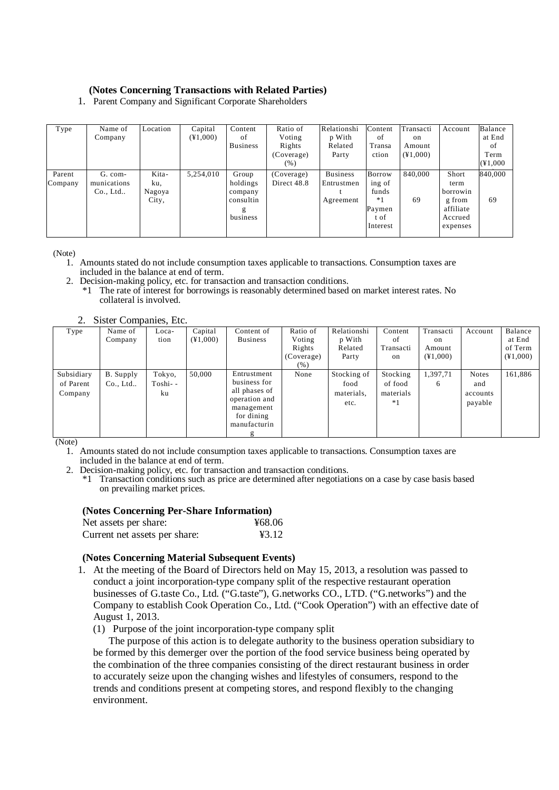### **(Notes Concerning Transactions with Related Parties)**

1. Parent Company and Significant Corporate Shareholders

| Type              | Name of<br>Company                    | Location                        | Capital<br>$(*1,000)$ | Content<br>οf<br><b>Business</b>                           | Ratio of<br>Voting<br>Rights<br>(Coverage)<br>( %) | Relationshi<br>p With<br>Related<br>Party  | Content<br>οf<br>Transa<br>ction                                     | Transacti<br>on<br>Amount<br>$(\yen 1,000)$ | Account                                                                 | Balance<br>at End<br>οf<br>Term<br>(41,000) |
|-------------------|---------------------------------------|---------------------------------|-----------------------|------------------------------------------------------------|----------------------------------------------------|--------------------------------------------|----------------------------------------------------------------------|---------------------------------------------|-------------------------------------------------------------------------|---------------------------------------------|
| Parent<br>Company | G. com-<br>munications<br>$Co.$ , Ltd | Kita-<br>ku,<br>Nagoya<br>City, | 5,254,010             | Group<br>holdings<br>company<br>consultin<br>g<br>business | (Coverage)<br>Direct 48.8                          | <b>Business</b><br>Entrustmen<br>Agreement | <b>Borrow</b><br>ing of<br>funds<br>*1<br>Paymen<br>t of<br>Interest | 840,000<br>69                               | Short<br>term<br>borrowin<br>g from<br>affiliate<br>Accrued<br>expenses | 840,000<br>69                               |

(Note)

- 1. Amounts stated do not include consumption taxes applicable to transactions. Consumption taxes are included in the balance at end of term.
- 2. Decision-making policy, etc. for transaction and transaction conditions.
	- \*1 The rate of interest for borrowings is reasonably determined based on market interest rates. No collateral is involved.

| <u>.</u>   | $\mathbf{S}$ but $\mathbf{S}$ compaints, $\mathbf{D}$ it. |          |                |                 |            |             |           |                |              |                |
|------------|-----------------------------------------------------------|----------|----------------|-----------------|------------|-------------|-----------|----------------|--------------|----------------|
| Type       | Name of                                                   | Loca-    | Capital        | Content of      | Ratio of   | Relationshi | Content   | Transacti      | Account      | Balance        |
|            | Company                                                   | tion     | $(\yen 1,000)$ | <b>Business</b> | Voting     | p With      | of        | on             |              | at End         |
|            |                                                           |          |                |                 | Rights     | Related     | Transacti | Amount         |              | of Term        |
|            |                                                           |          |                |                 | (Coverage) | Party       | on        | $(\yen 1,000)$ |              | $(\yen 1,000)$ |
|            |                                                           |          |                |                 | (% )       |             |           |                |              |                |
| Subsidiary | B. Supply                                                 | Tokyo,   | 50,000         | Entrustment     | None       | Stocking of | Stocking  | 1,397,71       | <b>Notes</b> | 161,886        |
| of Parent  | $Co.$ , Ltd                                               | Toshi- - |                | business for    |            | food        | of food   | 6              | and          |                |
| Company    |                                                           | ku       |                | all phases of   |            | materials,  | materials |                | accounts     |                |
|            |                                                           |          |                | operation and   |            | etc.        | $*1$      |                | payable      |                |
|            |                                                           |          |                | management      |            |             |           |                |              |                |
|            |                                                           |          |                | for dining      |            |             |           |                |              |                |
|            |                                                           |          |                | manufacturin    |            |             |           |                |              |                |
|            |                                                           |          |                |                 |            |             |           |                |              |                |

2. Sister Companies, Etc.

(Note)

- 1. Amounts stated do not include consumption taxes applicable to transactions. Consumption taxes are included in the balance at end of term.
- 2. Decision-making policy, etc. for transaction and transaction conditions.

\*1 Transaction conditions such as price are determined after negotiations on a case by case basis based on prevailing market prices.

#### **(Notes Concerning Per-Share Information)**

| Net assets per share:         | ¥68.06 |
|-------------------------------|--------|
| Current net assets per share: | 43.12  |

### **(Notes Concerning Material Subsequent Events)**

- 1. At the meeting of the Board of Directors held on May 15, 2013, a resolution was passed to conduct a joint incorporation-type company split of the respective restaurant operation businesses of G.taste Co., Ltd. ("G.taste"), G.networks CO., LTD. ("G.networks") and the Company to establish Cook Operation Co., Ltd. ("Cook Operation") with an effective date of August 1, 2013.
	- (1) Purpose of the joint incorporation-type company split

The purpose of this action is to delegate authority to the business operation subsidiary to be formed by this demerger over the portion of the food service business being operated by the combination of the three companies consisting of the direct restaurant business in order to accurately seize upon the changing wishes and lifestyles of consumers, respond to the trends and conditions present at competing stores, and respond flexibly to the changing environment.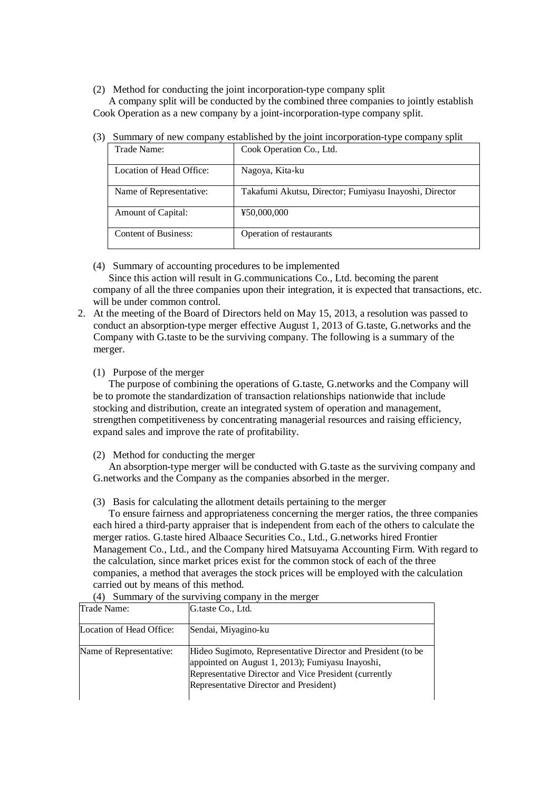(2) Method for conducting the joint incorporation-type company split

A company split will be conducted by the combined three companies to jointly establish Cook Operation as a new company by a joint-incorporation-type company split.

| Trade Name:                 | Cook Operation Co., Ltd.                               |
|-----------------------------|--------------------------------------------------------|
| Location of Head Office:    | Nagoya, Kita-ku                                        |
| Name of Representative:     | Takafumi Akutsu, Director; Fumiyasu Inayoshi, Director |
| <b>Amount of Capital:</b>   | ¥50,000,000                                            |
| <b>Content of Business:</b> | Operation of restaurants                               |

(3) Summary of new company established by the joint incorporation-type company split

(4) Summary of accounting procedures to be implemented

Since this action will result in G.communications Co., Ltd. becoming the parent company of all the three companies upon their integration, it is expected that transactions, etc. will be under common control.

- 2. At the meeting of the Board of Directors held on May 15, 2013, a resolution was passed to conduct an absorption-type merger effective August 1, 2013 of G.taste, G.networks and the Company with G.taste to be the surviving company. The following is a summary of the merger.
	- (1) Purpose of the merger

The purpose of combining the operations of G.taste, G.networks and the Company will be to promote the standardization of transaction relationships nationwide that include stocking and distribution, create an integrated system of operation and management, strengthen competitiveness by concentrating managerial resources and raising efficiency, expand sales and improve the rate of profitability.

(2) Method for conducting the merger

An absorption-type merger will be conducted with G.taste as the surviving company and G.networks and the Company as the companies absorbed in the merger.

(3) Basis for calculating the allotment details pertaining to the merger

To ensure fairness and appropriateness concerning the merger ratios, the three companies each hired a third-party appraiser that is independent from each of the others to calculate the merger ratios. G.taste hired Albaace Securities Co., Ltd., G.networks hired Frontier Management Co., Ltd., and the Company hired Matsuyama Accounting Firm. With regard to the calculation, since market prices exist for the common stock of each of the three companies, a method that averages the stock prices will be employed with the calculation carried out by means of this method.

(4) Summary of the surviving company in the merger

| <b>Trade Name:</b>       | G.taste Co., Ltd.                                                                                                                                                                                                   |
|--------------------------|---------------------------------------------------------------------------------------------------------------------------------------------------------------------------------------------------------------------|
| Location of Head Office: | Sendai, Miyagino-ku                                                                                                                                                                                                 |
| Name of Representative:  | Hideo Sugimoto, Representative Director and President (to be<br>appointed on August 1, 2013); Fumiyasu Inayoshi,<br>Representative Director and Vice President (currently<br>Representative Director and President) |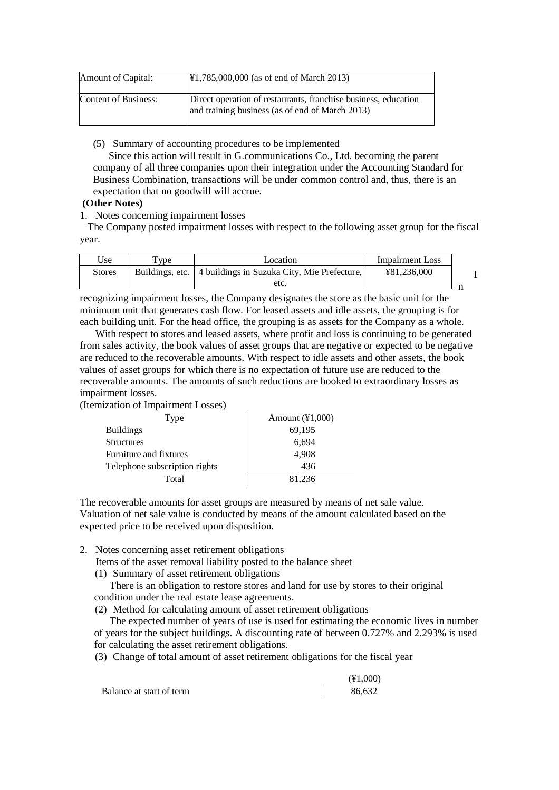| Amount of Capital:   | $\text{\#1,785,000,000}$ (as of end of March 2013)                                                                |
|----------------------|-------------------------------------------------------------------------------------------------------------------|
| Content of Business: | Direct operation of restaurants, franchise business, education<br>and training business (as of end of March 2013) |

(5) Summary of accounting procedures to be implemented

Since this action will result in G.communications Co., Ltd. becoming the parent company of all three companies upon their integration under the Accounting Standard for Business Combination, transactions will be under common control and, thus, there is an expectation that no goodwill will accrue.

### **(Other Notes)**

1. Notes concerning impairment losses

The Company posted impairment losses with respect to the following asset group for the fiscal year.

| Use           | $T$ <sub>VDe</sub> | Location                                                      | <b>Impairment</b> Loss |  |
|---------------|--------------------|---------------------------------------------------------------|------------------------|--|
| <b>Stores</b> |                    | Buildings, etc.   4 buildings in Suzuka City, Mie Prefecture, | ¥81,236,000            |  |
|               |                    | etc.                                                          |                        |  |

recognizing impairment losses, the Company designates the store as the basic unit for the minimum unit that generates cash flow. For leased assets and idle assets, the grouping is for each building unit. For the head office, the grouping is as assets for the Company as a whole.

With respect to stores and leased assets, where profit and loss is continuing to be generated from sales activity, the book values of asset groups that are negative or expected to be negative are reduced to the recoverable amounts. With respect to idle assets and other assets, the book values of asset groups for which there is no expectation of future use are reduced to the recoverable amounts. The amounts of such reductions are booked to extraordinary losses as impairment losses.

(Itemization of Impairment Losses)

| Type                          | Amount $(\text{\&} 1,000)$ |
|-------------------------------|----------------------------|
| <b>Buildings</b>              | 69,195                     |
| Structures                    | 6,694                      |
| Furniture and fixtures        | 4.908                      |
| Telephone subscription rights | 436                        |
| Total                         | 81,236                     |

The recoverable amounts for asset groups are measured by means of net sale value. Valuation of net sale value is conducted by means of the amount calculated based on the expected price to be received upon disposition.

2. Notes concerning asset retirement obligations

Items of the asset removal liability posted to the balance sheet

(1) Summary of asset retirement obligations

There is an obligation to restore stores and land for use by stores to their original condition under the real estate lease agreements.

(2) Method for calculating amount of asset retirement obligations

The expected number of years of use is used for estimating the economic lives in number of years for the subject buildings. A discounting rate of between 0.727% and 2.293% is used for calculating the asset retirement obligations.

(3) Change of total amount of asset retirement obligations for the fiscal year

 (¥1,000) Balance at start of term 86,632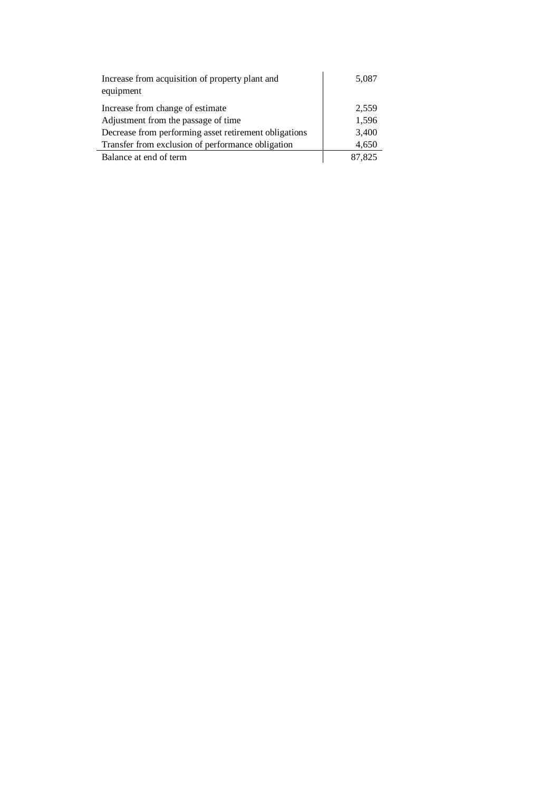| Increase from acquisition of property plant and<br>equipment | 5,087  |
|--------------------------------------------------------------|--------|
| Increase from change of estimate                             | 2,559  |
| Adjustment from the passage of time                          | 1,596  |
| Decrease from performing asset retirement obligations        | 3,400  |
| Transfer from exclusion of performance obligation            | 4,650  |
| Balance at end of term                                       | 87.825 |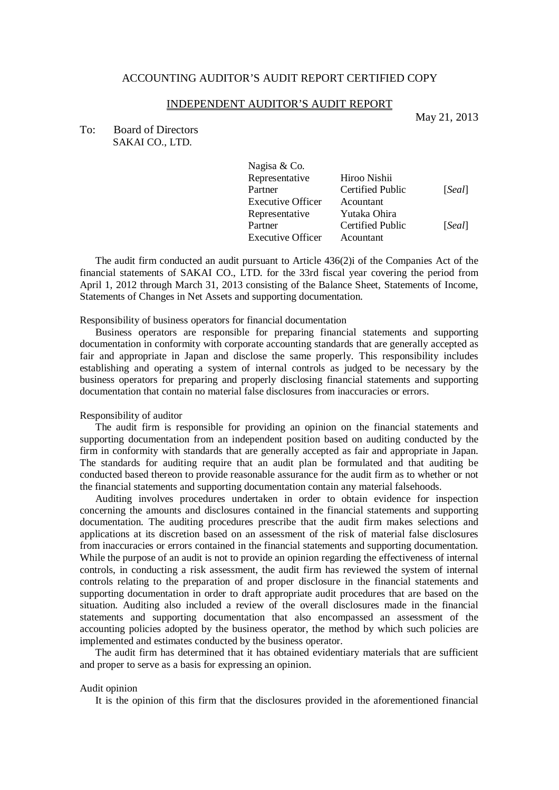#### INDEPENDENT AUDITOR'S AUDIT REPORT

May 21, 2013

To: Board of Directors SAKAI CO., LTD.

| Nagisa & Co.             |                         |        |
|--------------------------|-------------------------|--------|
| Representative           | Hiroo Nishii            |        |
| Partner                  | <b>Certified Public</b> | [Seal] |
| <b>Executive Officer</b> | Acountant               |        |
| Representative           | Yutaka Ohira            |        |
| Partner                  | <b>Certified Public</b> | [Seal] |
| <b>Executive Officer</b> | Acountant               |        |

The audit firm conducted an audit pursuant to Article 436(2)i of the Companies Act of the financial statements of SAKAI CO., LTD. for the 33rd fiscal year covering the period from April 1, 2012 through March 31, 2013 consisting of the Balance Sheet, Statements of Income, Statements of Changes in Net Assets and supporting documentation.

#### Responsibility of business operators for financial documentation

Business operators are responsible for preparing financial statements and supporting documentation in conformity with corporate accounting standards that are generally accepted as fair and appropriate in Japan and disclose the same properly. This responsibility includes establishing and operating a system of internal controls as judged to be necessary by the business operators for preparing and properly disclosing financial statements and supporting documentation that contain no material false disclosures from inaccuracies or errors.

#### Responsibility of auditor

The audit firm is responsible for providing an opinion on the financial statements and supporting documentation from an independent position based on auditing conducted by the firm in conformity with standards that are generally accepted as fair and appropriate in Japan. The standards for auditing require that an audit plan be formulated and that auditing be conducted based thereon to provide reasonable assurance for the audit firm as to whether or not the financial statements and supporting documentation contain any material falsehoods.

Auditing involves procedures undertaken in order to obtain evidence for inspection concerning the amounts and disclosures contained in the financial statements and supporting documentation. The auditing procedures prescribe that the audit firm makes selections and applications at its discretion based on an assessment of the risk of material false disclosures from inaccuracies or errors contained in the financial statements and supporting documentation. While the purpose of an audit is not to provide an opinion regarding the effectiveness of internal controls, in conducting a risk assessment, the audit firm has reviewed the system of internal controls relating to the preparation of and proper disclosure in the financial statements and supporting documentation in order to draft appropriate audit procedures that are based on the situation. Auditing also included a review of the overall disclosures made in the financial statements and supporting documentation that also encompassed an assessment of the accounting policies adopted by the business operator, the method by which such policies are implemented and estimates conducted by the business operator.

The audit firm has determined that it has obtained evidentiary materials that are sufficient and proper to serve as a basis for expressing an opinion.

#### Audit opinion

It is the opinion of this firm that the disclosures provided in the aforementioned financial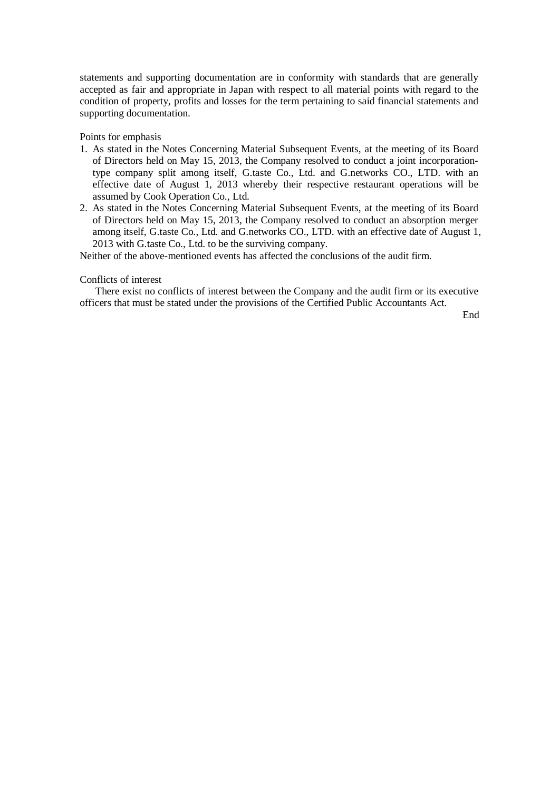statements and supporting documentation are in conformity with standards that are generally accepted as fair and appropriate in Japan with respect to all material points with regard to the condition of property, profits and losses for the term pertaining to said financial statements and supporting documentation.

### Points for emphasis

- 1. As stated in the Notes Concerning Material Subsequent Events, at the meeting of its Board of Directors held on May 15, 2013, the Company resolved to conduct a joint incorporationtype company split among itself, G.taste Co., Ltd. and G.networks CO., LTD. with an effective date of August 1, 2013 whereby their respective restaurant operations will be assumed by Cook Operation Co., Ltd.
- 2. As stated in the Notes Concerning Material Subsequent Events, at the meeting of its Board of Directors held on May 15, 2013, the Company resolved to conduct an absorption merger among itself, G.taste Co., Ltd. and G.networks CO., LTD. with an effective date of August 1, 2013 with G.taste Co., Ltd. to be the surviving company.

Neither of the above-mentioned events has affected the conclusions of the audit firm.

#### Conflicts of interest

There exist no conflicts of interest between the Company and the audit firm or its executive officers that must be stated under the provisions of the Certified Public Accountants Act.

End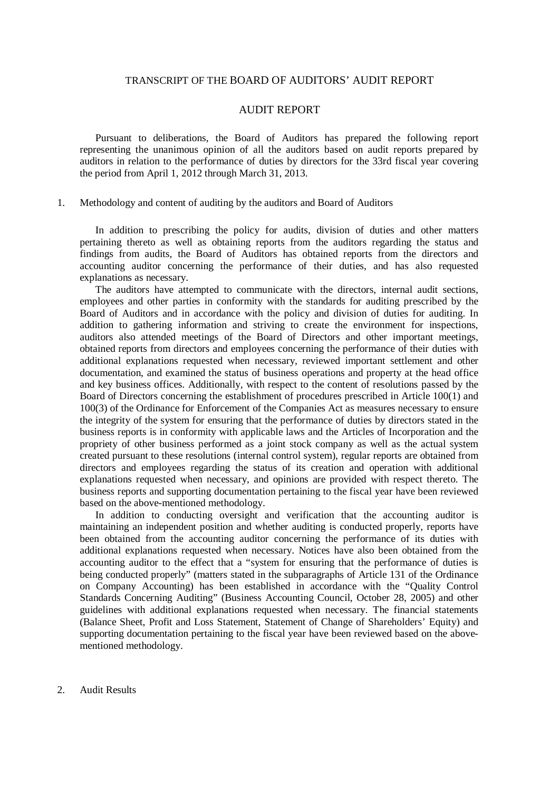### TRANSCRIPT OF THE BOARD OF AUDITORS' AUDIT REPORT

### AUDIT REPORT

Pursuant to deliberations, the Board of Auditors has prepared the following report representing the unanimous opinion of all the auditors based on audit reports prepared by auditors in relation to the performance of duties by directors for the 33rd fiscal year covering the period from April 1, 2012 through March 31, 2013.

#### 1. Methodology and content of auditing by the auditors and Board of Auditors

In addition to prescribing the policy for audits, division of duties and other matters pertaining thereto as well as obtaining reports from the auditors regarding the status and findings from audits, the Board of Auditors has obtained reports from the directors and accounting auditor concerning the performance of their duties, and has also requested explanations as necessary.

The auditors have attempted to communicate with the directors, internal audit sections, employees and other parties in conformity with the standards for auditing prescribed by the Board of Auditors and in accordance with the policy and division of duties for auditing. In addition to gathering information and striving to create the environment for inspections, auditors also attended meetings of the Board of Directors and other important meetings, obtained reports from directors and employees concerning the performance of their duties with additional explanations requested when necessary, reviewed important settlement and other documentation, and examined the status of business operations and property at the head office and key business offices. Additionally, with respect to the content of resolutions passed by the Board of Directors concerning the establishment of procedures prescribed in Article 100(1) and 100(3) of the Ordinance for Enforcement of the Companies Act as measures necessary to ensure the integrity of the system for ensuring that the performance of duties by directors stated in the business reports is in conformity with applicable laws and the Articles of Incorporation and the propriety of other business performed as a joint stock company as well as the actual system created pursuant to these resolutions (internal control system), regular reports are obtained from directors and employees regarding the status of its creation and operation with additional explanations requested when necessary, and opinions are provided with respect thereto. The business reports and supporting documentation pertaining to the fiscal year have been reviewed based on the above-mentioned methodology.

In addition to conducting oversight and verification that the accounting auditor is maintaining an independent position and whether auditing is conducted properly, reports have been obtained from the accounting auditor concerning the performance of its duties with additional explanations requested when necessary. Notices have also been obtained from the accounting auditor to the effect that a "system for ensuring that the performance of duties is being conducted properly" (matters stated in the subparagraphs of Article 131 of the Ordinance on Company Accounting) has been established in accordance with the "Quality Control Standards Concerning Auditing" (Business Accounting Council, October 28, 2005) and other guidelines with additional explanations requested when necessary. The financial statements (Balance Sheet, Profit and Loss Statement, Statement of Change of Shareholders' Equity) and supporting documentation pertaining to the fiscal year have been reviewed based on the abovementioned methodology.

2. Audit Results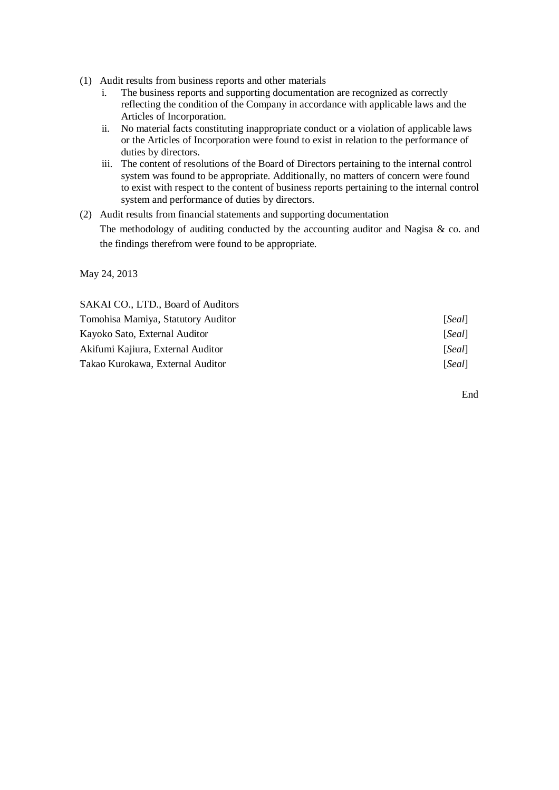- (1) Audit results from business reports and other materials
	- i. The business reports and supporting documentation are recognized as correctly reflecting the condition of the Company in accordance with applicable laws and the Articles of Incorporation.
	- ii. No material facts constituting inappropriate conduct or a violation of applicable laws or the Articles of Incorporation were found to exist in relation to the performance of duties by directors.
	- iii. The content of resolutions of the Board of Directors pertaining to the internal control system was found to be appropriate. Additionally, no matters of concern were found to exist with respect to the content of business reports pertaining to the internal control system and performance of duties by directors.
- (2) Audit results from financial statements and supporting documentation

The methodology of auditing conducted by the accounting auditor and Nagisa  $\&$  co. and the findings therefrom were found to be appropriate.

May 24, 2013

SAKAI CO., LTD., Board of Auditors Tomohisa Mamiya, Statutory Auditor [*Seal*] Kayoko Sato, External Auditor [*Seal*] Akifumi Kajiura, External Auditor [*Seal*] Takao Kurokawa, External Auditor [*Seal*]

End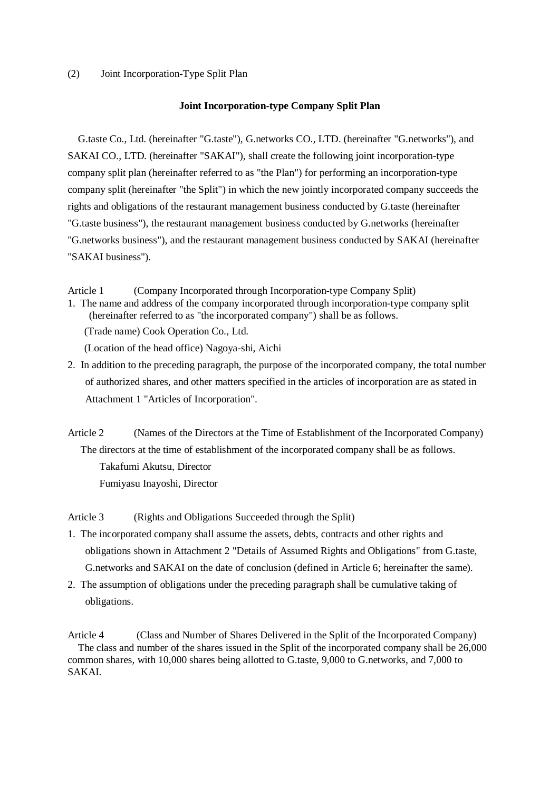#### (2) Joint Incorporation-Type Split Plan

#### **Joint Incorporation-type Company Split Plan**

G.taste Co., Ltd. (hereinafter "G.taste"), G.networks CO., LTD. (hereinafter "G.networks"), and SAKAI CO., LTD. (hereinafter "SAKAI"), shall create the following joint incorporation-type company split plan (hereinafter referred to as "the Plan") for performing an incorporation-type company split (hereinafter "the Split") in which the new jointly incorporated company succeeds the rights and obligations of the restaurant management business conducted by G.taste (hereinafter "G.taste business"), the restaurant management business conducted by G.networks (hereinafter "G.networks business"), and the restaurant management business conducted by SAKAI (hereinafter "SAKAI business").

Article 1 (Company Incorporated through Incorporation-type Company Split)

1. The name and address of the company incorporated through incorporation-type company split (hereinafter referred to as "the incorporated company") shall be as follows.

(Trade name) Cook Operation Co., Ltd.

(Location of the head office) Nagoya-shi, Aichi

2. In addition to the preceding paragraph, the purpose of the incorporated company, the total number of authorized shares, and other matters specified in the articles of incorporation are as stated in Attachment 1 "Articles of Incorporation".

Article 2 (Names of the Directors at the Time of Establishment of the Incorporated Company) The directors at the time of establishment of the incorporated company shall be as follows. Takafumi Akutsu, Director Fumiyasu Inayoshi, Director

Article 3 (Rights and Obligations Succeeded through the Split)

- 1. The incorporated company shall assume the assets, debts, contracts and other rights and obligations shown in Attachment 2 "Details of Assumed Rights and Obligations" from G.taste, G.networks and SAKAI on the date of conclusion (defined in Article 6; hereinafter the same).
- 2. The assumption of obligations under the preceding paragraph shall be cumulative taking of obligations.

Article 4 (Class and Number of Shares Delivered in the Split of the Incorporated Company) The class and number of the shares issued in the Split of the incorporated company shall be 26,000 common shares, with 10,000 shares being allotted to G.taste, 9,000 to G.networks, and 7,000 to SAKAI.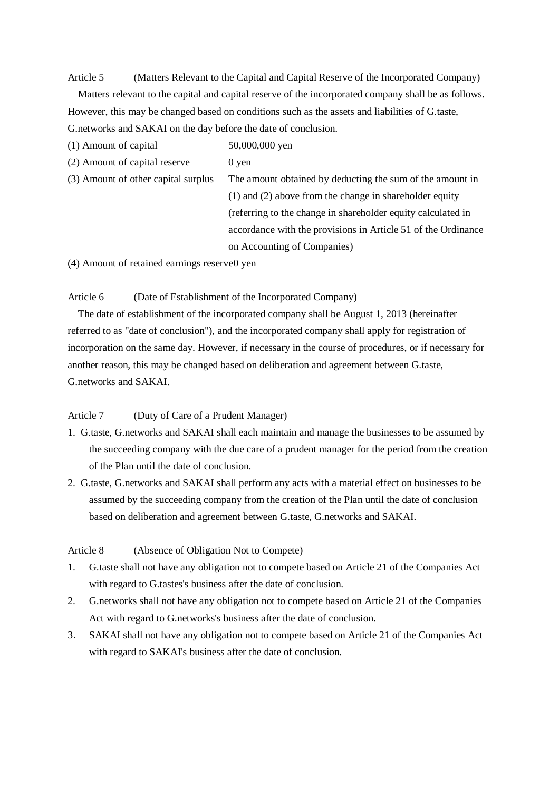Article 5 (Matters Relevant to the Capital and Capital Reserve of the Incorporated Company)

Matters relevant to the capital and capital reserve of the incorporated company shall be as follows. However, this may be changed based on conditions such as the assets and liabilities of G.taste, G.networks and SAKAI on the day before the date of conclusion.

 $(1)$  Amount of capital  $50,000,000$  yen

 $(2)$  Amount of capital reserve  $(2)$  ven

(3) Amount of other capital surplus The amount obtained by deducting the sum of the amount in (1) and (2) above from the change in shareholder equity (referring to the change in shareholder equity calculated in accordance with the provisions in Article 51 of the Ordinance on Accounting of Companies)

 $(4)$  Amount of retained earnings reserve 0 yen

Article 6 (Date of Establishment of the Incorporated Company)

The date of establishment of the incorporated company shall be August 1, 2013 (hereinafter referred to as "date of conclusion"), and the incorporated company shall apply for registration of incorporation on the same day. However, if necessary in the course of procedures, or if necessary for another reason, this may be changed based on deliberation and agreement between G.taste, G.networks and SAKAI.

### Article 7 (Duty of Care of a Prudent Manager)

- 1. G.taste, G.networks and SAKAI shall each maintain and manage the businesses to be assumed by the succeeding company with the due care of a prudent manager for the period from the creation of the Plan until the date of conclusion.
- 2. G.taste, G.networks and SAKAI shall perform any acts with a material effect on businesses to be assumed by the succeeding company from the creation of the Plan until the date of conclusion based on deliberation and agreement between G.taste, G.networks and SAKAI.

### Article 8 (Absence of Obligation Not to Compete)

- 1. G.taste shall not have any obligation not to compete based on Article 21 of the Companies Act with regard to G.tastes's business after the date of conclusion.
- 2. G.networks shall not have any obligation not to compete based on Article 21 of the Companies Act with regard to G.networks's business after the date of conclusion.
- 3. SAKAI shall not have any obligation not to compete based on Article 21 of the Companies Act with regard to SAKAI's business after the date of conclusion.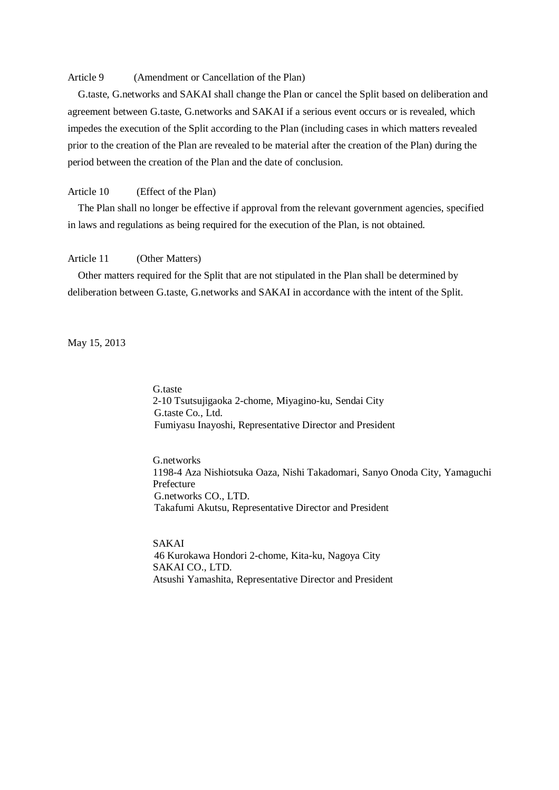### Article 9 (Amendment or Cancellation of the Plan)

G.taste, G.networks and SAKAI shall change the Plan or cancel the Split based on deliberation and agreement between G.taste, G.networks and SAKAI if a serious event occurs or is revealed, which impedes the execution of the Split according to the Plan (including cases in which matters revealed prior to the creation of the Plan are revealed to be material after the creation of the Plan) during the period between the creation of the Plan and the date of conclusion.

### Article 10 (Effect of the Plan)

The Plan shall no longer be effective if approval from the relevant government agencies, specified in laws and regulations as being required for the execution of the Plan, is not obtained.

#### Article 11 (Other Matters)

Other matters required for the Split that are not stipulated in the Plan shall be determined by deliberation between G.taste, G.networks and SAKAI in accordance with the intent of the Split.

May 15, 2013

G.taste 2-10 Tsutsujigaoka 2-chome, Miyagino-ku, Sendai City G.taste Co., Ltd. Fumiyasu Inayoshi, Representative Director and President

G.networks 1198-4 Aza Nishiotsuka Oaza, Nishi Takadomari, Sanyo Onoda City, Yamaguchi Prefecture G.networks CO., LTD. Takafumi Akutsu, Representative Director and President

SAKAI 46 Kurokawa Hondori 2-chome, Kita-ku, Nagoya City SAKAI CO., LTD. Atsushi Yamashita, Representative Director and President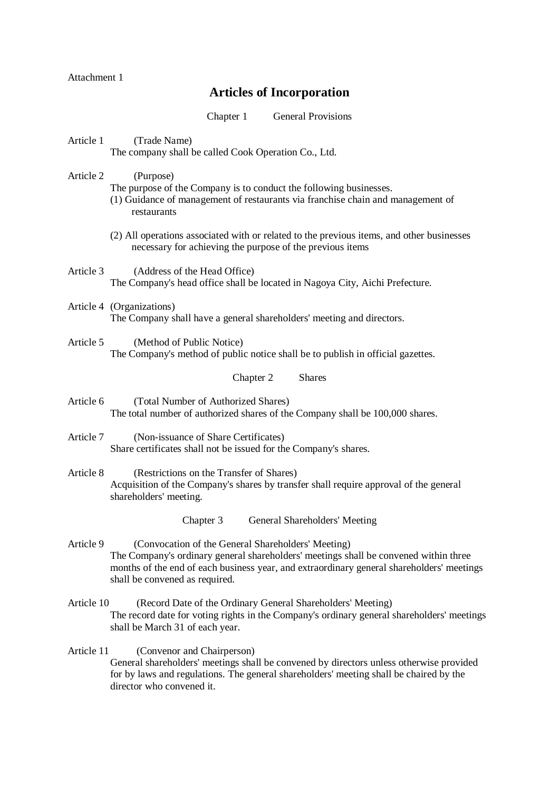Attachment 1

## **Articles of Incorporation**

Chapter 1 General Provisions

Article 1 (Trade Name) The company shall be called Cook Operation Co., Ltd.

Article 2 (Purpose) The purpose of the Company is to conduct the following businesses.

- (1) Guidance of management of restaurants via franchise chain and management of restaurants
- (2) All operations associated with or related to the previous items, and other businesses necessary for achieving the purpose of the previous items
- Article 3 (Address of the Head Office) The Company's head office shall be located in Nagoya City, Aichi Prefecture.
- Article 4 (Organizations) The Company shall have a general shareholders' meeting and directors.
- Article 5 (Method of Public Notice) The Company's method of public notice shall be to publish in official gazettes.

Chapter 2 Shares

- Article 6 (Total Number of Authorized Shares) The total number of authorized shares of the Company shall be 100,000 shares.
- Article 7 (Non-issuance of Share Certificates) Share certificates shall not be issued for the Company's shares.
- Article 8 (Restrictions on the Transfer of Shares) Acquisition of the Company's shares by transfer shall require approval of the general shareholders' meeting.

Chapter 3 General Shareholders' Meeting

- Article 9 (Convocation of the General Shareholders' Meeting) The Company's ordinary general shareholders' meetings shall be convened within three months of the end of each business year, and extraordinary general shareholders' meetings shall be convened as required.
- Article 10 (Record Date of the Ordinary General Shareholders' Meeting) The record date for voting rights in the Company's ordinary general shareholders' meetings shall be March 31 of each year.

### Article 11 (Convenor and Chairperson) General shareholders' meetings shall be convened by directors unless otherwise provided for by laws and regulations. The general shareholders' meeting shall be chaired by the director who convened it.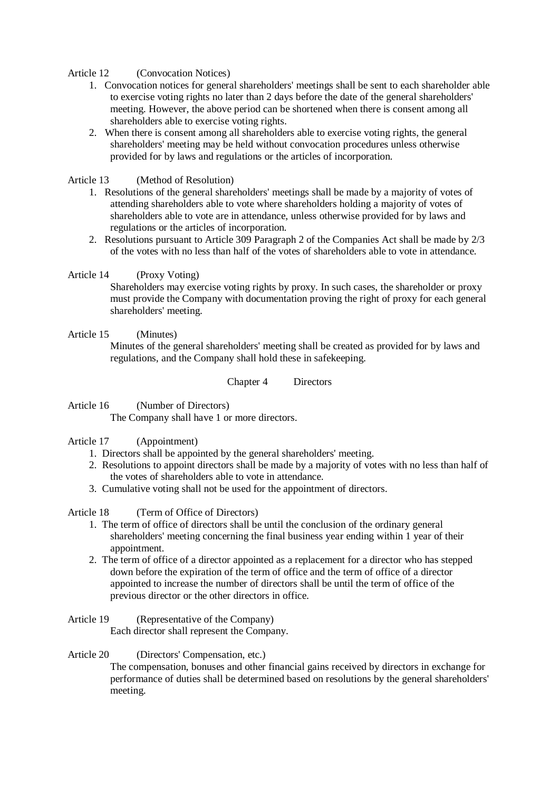Article 12 (Convocation Notices)

- 1. Convocation notices for general shareholders' meetings shall be sent to each shareholder able to exercise voting rights no later than 2 days before the date of the general shareholders' meeting. However, the above period can be shortened when there is consent among all shareholders able to exercise voting rights.
- 2. When there is consent among all shareholders able to exercise voting rights, the general shareholders' meeting may be held without convocation procedures unless otherwise provided for by laws and regulations or the articles of incorporation.

Article 13 (Method of Resolution)

- 1. Resolutions of the general shareholders' meetings shall be made by a majority of votes of attending shareholders able to vote where shareholders holding a majority of votes of shareholders able to vote are in attendance, unless otherwise provided for by laws and regulations or the articles of incorporation.
- 2. Resolutions pursuant to Article 309 Paragraph 2 of the Companies Act shall be made by 2/3 of the votes with no less than half of the votes of shareholders able to vote in attendance.

#### Article 14 (Proxy Voting)

Shareholders may exercise voting rights by proxy. In such cases, the shareholder or proxy must provide the Company with documentation proving the right of proxy for each general shareholders' meeting.

### Article 15 (Minutes)

Minutes of the general shareholders' meeting shall be created as provided for by laws and regulations, and the Company shall hold these in safekeeping.

Chapter 4 Directors

Article 16 (Number of Directors) The Company shall have 1 or more directors.

### Article 17 (Appointment)

- 1. Directors shall be appointed by the general shareholders' meeting.
- 2. Resolutions to appoint directors shall be made by a majority of votes with no less than half of the votes of shareholders able to vote in attendance.
- 3. Cumulative voting shall not be used for the appointment of directors.

Article 18 (Term of Office of Directors)

- 1. The term of office of directors shall be until the conclusion of the ordinary general shareholders' meeting concerning the final business year ending within 1 year of their appointment.
- 2. The term of office of a director appointed as a replacement for a director who has stepped down before the expiration of the term of office and the term of office of a director appointed to increase the number of directors shall be until the term of office of the previous director or the other directors in office.

Article 19 (Representative of the Company)

Each director shall represent the Company.

#### Article 20 (Directors' Compensation, etc.)

The compensation, bonuses and other financial gains received by directors in exchange for performance of duties shall be determined based on resolutions by the general shareholders' meeting.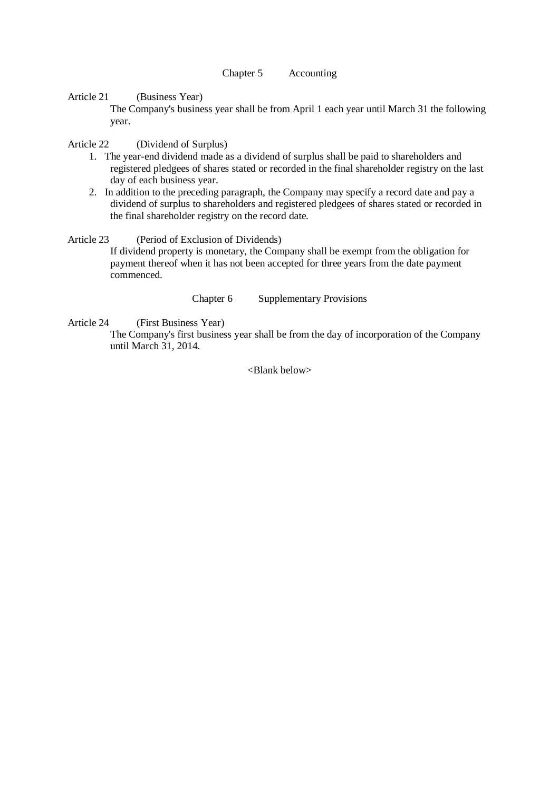#### Chapter 5 Accounting

Article 21 (Business Year)

The Company's business year shall be from April 1 each year until March 31 the following year.

Article 22 (Dividend of Surplus)

- 1. The year-end dividend made as a dividend of surplus shall be paid to shareholders and registered pledgees of shares stated or recorded in the final shareholder registry on the last day of each business year.
- 2. In addition to the preceding paragraph, the Company may specify a record date and pay a dividend of surplus to shareholders and registered pledgees of shares stated or recorded in the final shareholder registry on the record date.

Article 23 (Period of Exclusion of Dividends)

If dividend property is monetary, the Company shall be exempt from the obligation for payment thereof when it has not been accepted for three years from the date payment commenced.

Chapter 6 Supplementary Provisions

Article 24 (First Business Year)

The Company's first business year shall be from the day of incorporation of the Company until March 31, 2014.

<Blank below>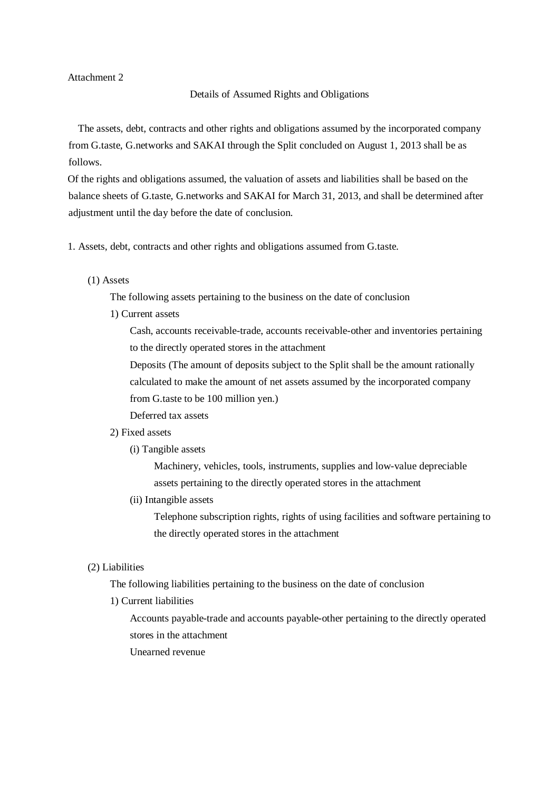Attachment 2

#### Details of Assumed Rights and Obligations

The assets, debt, contracts and other rights and obligations assumed by the incorporated company from G.taste, G.networks and SAKAI through the Split concluded on August 1, 2013 shall be as follows.

Of the rights and obligations assumed, the valuation of assets and liabilities shall be based on the balance sheets of G.taste, G.networks and SAKAI for March 31, 2013, and shall be determined after adjustment until the day before the date of conclusion.

- 1. Assets, debt, contracts and other rights and obligations assumed from G.taste.
	- (1) Assets

The following assets pertaining to the business on the date of conclusion

1) Current assets

Cash, accounts receivable-trade, accounts receivable-other and inventories pertaining to the directly operated stores in the attachment

Deposits (The amount of deposits subject to the Split shall be the amount rationally calculated to make the amount of net assets assumed by the incorporated company from G.taste to be 100 million yen.)

Deferred tax assets

#### 2) Fixed assets

(i) Tangible assets

Machinery, vehicles, tools, instruments, supplies and low-value depreciable assets pertaining to the directly operated stores in the attachment

(ii) Intangible assets

Telephone subscription rights, rights of using facilities and software pertaining to the directly operated stores in the attachment

#### (2) Liabilities

The following liabilities pertaining to the business on the date of conclusion

1) Current liabilities

Accounts payable-trade and accounts payable-other pertaining to the directly operated stores in the attachment

Unearned revenue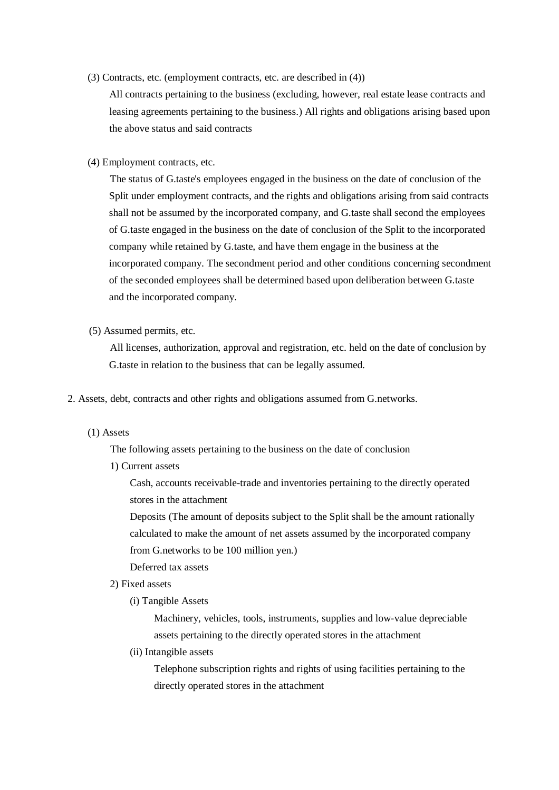(3) Contracts, etc. (employment contracts, etc. are described in (4))

All contracts pertaining to the business (excluding, however, real estate lease contracts and leasing agreements pertaining to the business.) All rights and obligations arising based upon the above status and said contracts

(4) Employment contracts, etc.

The status of G.taste's employees engaged in the business on the date of conclusion of the Split under employment contracts, and the rights and obligations arising from said contracts shall not be assumed by the incorporated company, and G.taste shall second the employees of G.taste engaged in the business on the date of conclusion of the Split to the incorporated company while retained by G.taste, and have them engage in the business at the incorporated company. The secondment period and other conditions concerning secondment of the seconded employees shall be determined based upon deliberation between G.taste and the incorporated company.

(5) Assumed permits, etc.

All licenses, authorization, approval and registration, etc. held on the date of conclusion by G.taste in relation to the business that can be legally assumed.

2. Assets, debt, contracts and other rights and obligations assumed from G.networks.

#### (1) Assets

The following assets pertaining to the business on the date of conclusion

1) Current assets

Cash, accounts receivable-trade and inventories pertaining to the directly operated stores in the attachment

Deposits (The amount of deposits subject to the Split shall be the amount rationally calculated to make the amount of net assets assumed by the incorporated company from G.networks to be 100 million yen.)

Deferred tax assets

- 2) Fixed assets
	- (i) Tangible Assets

Machinery, vehicles, tools, instruments, supplies and low-value depreciable assets pertaining to the directly operated stores in the attachment

(ii) Intangible assets

Telephone subscription rights and rights of using facilities pertaining to the directly operated stores in the attachment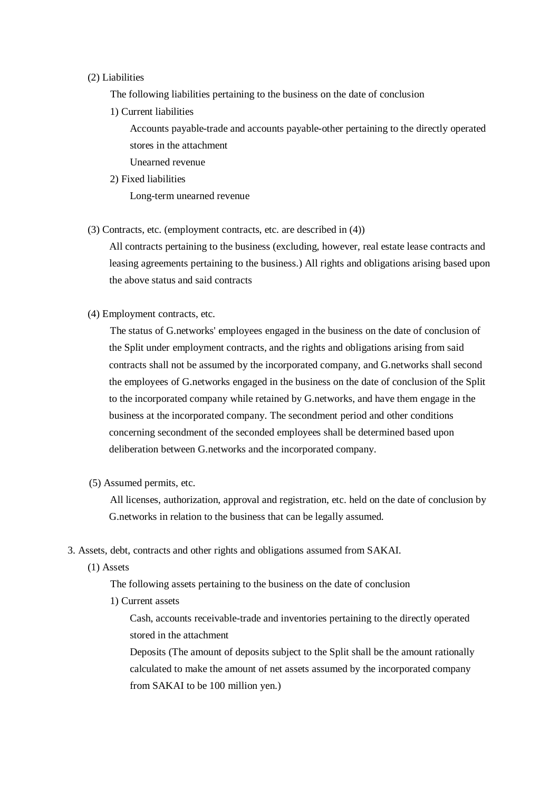### (2) Liabilities

The following liabilities pertaining to the business on the date of conclusion

1) Current liabilities

Accounts payable-trade and accounts payable-other pertaining to the directly operated stores in the attachment

- Unearned revenue
- 2) Fixed liabilities

Long-term unearned revenue

(3) Contracts, etc. (employment contracts, etc. are described in (4))

All contracts pertaining to the business (excluding, however, real estate lease contracts and leasing agreements pertaining to the business.) All rights and obligations arising based upon the above status and said contracts

(4) Employment contracts, etc.

The status of G.networks' employees engaged in the business on the date of conclusion of the Split under employment contracts, and the rights and obligations arising from said contracts shall not be assumed by the incorporated company, and G.networks shall second the employees of G.networks engaged in the business on the date of conclusion of the Split to the incorporated company while retained by G.networks, and have them engage in the business at the incorporated company. The secondment period and other conditions concerning secondment of the seconded employees shall be determined based upon deliberation between G.networks and the incorporated company.

(5) Assumed permits, etc.

All licenses, authorization, approval and registration, etc. held on the date of conclusion by G.networks in relation to the business that can be legally assumed.

- 3. Assets, debt, contracts and other rights and obligations assumed from SAKAI.
	- (1) Assets

The following assets pertaining to the business on the date of conclusion

1) Current assets

Cash, accounts receivable-trade and inventories pertaining to the directly operated stored in the attachment

Deposits (The amount of deposits subject to the Split shall be the amount rationally calculated to make the amount of net assets assumed by the incorporated company from SAKAI to be 100 million yen.)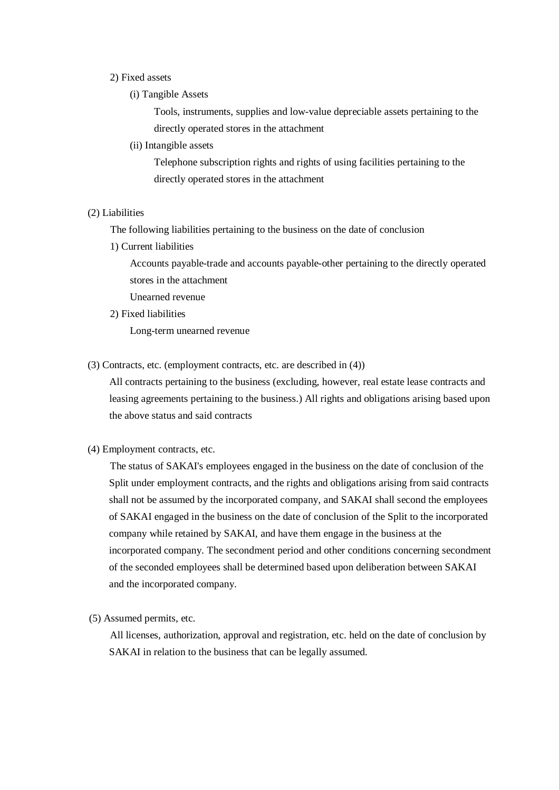### 2) Fixed assets

(i) Tangible Assets

Tools, instruments, supplies and low-value depreciable assets pertaining to the directly operated stores in the attachment

(ii) Intangible assets

Telephone subscription rights and rights of using facilities pertaining to the directly operated stores in the attachment

#### (2) Liabilities

The following liabilities pertaining to the business on the date of conclusion

1) Current liabilities

Accounts payable-trade and accounts payable-other pertaining to the directly operated stores in the attachment

Unearned revenue

2) Fixed liabilities

Long-term unearned revenue

(3) Contracts, etc. (employment contracts, etc. are described in (4))

All contracts pertaining to the business (excluding, however, real estate lease contracts and leasing agreements pertaining to the business.) All rights and obligations arising based upon the above status and said contracts

(4) Employment contracts, etc.

The status of SAKAI's employees engaged in the business on the date of conclusion of the Split under employment contracts, and the rights and obligations arising from said contracts shall not be assumed by the incorporated company, and SAKAI shall second the employees of SAKAI engaged in the business on the date of conclusion of the Split to the incorporated company while retained by SAKAI, and have them engage in the business at the incorporated company. The secondment period and other conditions concerning secondment of the seconded employees shall be determined based upon deliberation between SAKAI and the incorporated company.

(5) Assumed permits, etc.

All licenses, authorization, approval and registration, etc. held on the date of conclusion by SAKAI in relation to the business that can be legally assumed.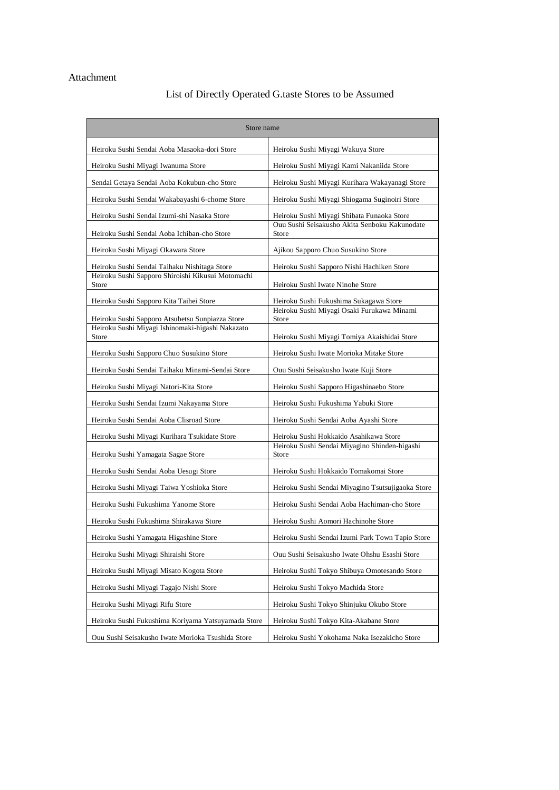### Attachment

# List of Directly Operated G.taste Stores to be Assumed

| Store name                                                 |                                                            |  |
|------------------------------------------------------------|------------------------------------------------------------|--|
| Heiroku Sushi Sendai Aoba Masaoka-dori Store               | Heiroku Sushi Miyagi Wakuya Store                          |  |
| Heiroku Sushi Miyagi Iwanuma Store                         | Heiroku Sushi Miyagi Kami Nakaniida Store                  |  |
| Sendai Getaya Sendai Aoba Kokubun-cho Store                | Heiroku Sushi Miyagi Kurihara Wakayanagi Store             |  |
| Heiroku Sushi Sendai Wakabayashi 6-chome Store             | Heiroku Sushi Miyagi Shiogama Suginoiri Store              |  |
| Heiroku Sushi Sendai Izumi-shi Nasaka Store                | Heiroku Sushi Miyagi Shibata Funaoka Store                 |  |
| Heiroku Sushi Sendai Aoba Ichiban-cho Store                | Ouu Sushi Seisakusho Akita Senboku Kakunodate<br>Store     |  |
| Heiroku Sushi Miyagi Okawara Store                         | Ajikou Sapporo Chuo Susukino Store                         |  |
| Heiroku Sushi Sendai Taihaku Nishitaga Store               | Heiroku Sushi Sapporo Nishi Hachiken Store                 |  |
| Heiroku Sushi Sapporo Shiroishi Kikusui Motomachi<br>Store | Heiroku Sushi Iwate Ninohe Store                           |  |
| Heiroku Sushi Sapporo Kita Taihei Store                    | Heiroku Sushi Fukushima Sukagawa Store                     |  |
| Heiroku Sushi Sapporo Atsubetsu Sunpiazza Store            | Heiroku Sushi Miyagi Osaki Furukawa Minami<br><b>Store</b> |  |
| Heiroku Sushi Miyagi Ishinomaki-higashi Nakazato<br>Store  | Heiroku Sushi Miyagi Tomiya Akaishidai Store               |  |
| Heiroku Sushi Sapporo Chuo Susukino Store                  | Heiroku Sushi Iwate Morioka Mitake Store                   |  |
| Heiroku Sushi Sendai Taihaku Minami-Sendai Store           | Ouu Sushi Seisakusho Iwate Kuji Store                      |  |
| Heiroku Sushi Miyagi Natori-Kita Store                     | Heiroku Sushi Sapporo Higashinaebo Store                   |  |
| Heiroku Sushi Sendai Izumi Nakayama Store                  | Heiroku Sushi Fukushima Yabuki Store                       |  |
| Heiroku Sushi Sendai Aoba Clisroad Store                   | Heiroku Sushi Sendai Aoba Ayashi Store                     |  |
| Heiroku Sushi Miyagi Kurihara Tsukidate Store              | Heiroku Sushi Hokkaido Asahikawa Store                     |  |
| Heiroku Sushi Yamagata Sagae Store                         | Heiroku Sushi Sendai Miyagino Shinden-higashi<br>Store     |  |
| Heiroku Sushi Sendai Aoba Uesugi Store                     | Heiroku Sushi Hokkaido Tomakomai Store                     |  |
| Heiroku Sushi Miyagi Taiwa Yoshioka Store                  | Heiroku Sushi Sendai Miyagino Tsutsujigaoka Store          |  |
| Heiroku Sushi Fukushima Yanome Store                       | Heiroku Sushi Sendai Aoba Hachiman-cho Store               |  |
| Heiroku Sushi Fukushima Shirakawa Store                    | Heiroku Sushi Aomori Hachinohe Store                       |  |
| Heiroku Sushi Yamagata Higashine Store                     | Heiroku Sushi Sendai Izumi Park Town Tapio Store           |  |
| Heiroku Sushi Miyagi Shiraishi Store                       | Ouu Sushi Seisakusho Iwate Ohshu Esashi Store              |  |
| Heiroku Sushi Miyagi Misato Kogota Store                   | Heiroku Sushi Tokyo Shibuya Omotesando Store               |  |
| Heiroku Sushi Miyagi Tagajo Nishi Store                    | Heiroku Sushi Tokyo Machida Store                          |  |
| Heiroku Sushi Miyagi Rifu Store                            | Heiroku Sushi Tokyo Shinjuku Okubo Store                   |  |
| Heiroku Sushi Fukushima Koriyama Yatsuyamada Store         | Heiroku Sushi Tokyo Kita-Akabane Store                     |  |
| Ouu Sushi Seisakusho Iwate Morioka Tsushida Store          | Heiroku Sushi Yokohama Naka Isezakicho Store               |  |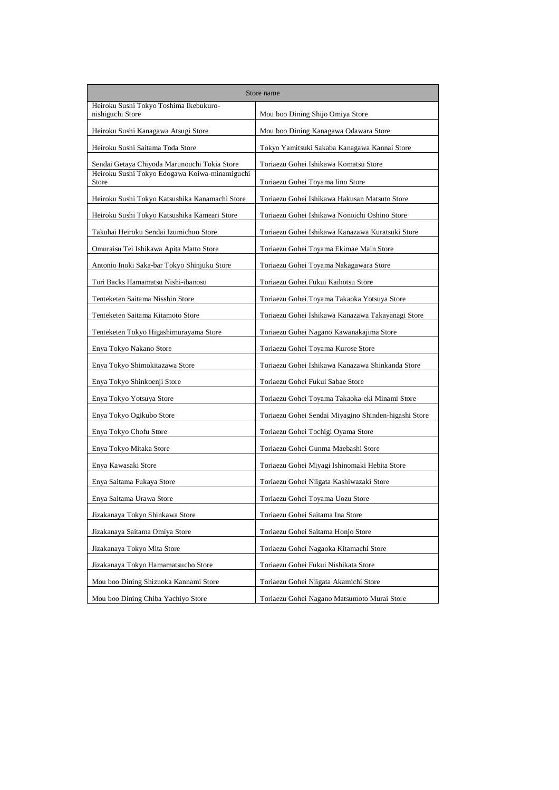| Store name                                                 |                                                      |  |
|------------------------------------------------------------|------------------------------------------------------|--|
| Heiroku Sushi Tokyo Toshima Ikebukuro-<br>nishiguchi Store | Mou boo Dining Shijo Omiya Store                     |  |
| Heiroku Sushi Kanagawa Atsugi Store                        | Mou boo Dining Kanagawa Odawara Store                |  |
| Heiroku Sushi Saitama Toda Store                           | Tokyo Yamitsuki Sakaba Kanagawa Kannai Store         |  |
| Sendai Getaya Chiyoda Marunouchi Tokia Store               | Toriaezu Gohei Ishikawa Komatsu Store                |  |
| Heiroku Sushi Tokyo Edogawa Koiwa-minamiguchi<br>Store     | Toriaezu Gohei Toyama Iino Store                     |  |
| Heiroku Sushi Tokyo Katsushika Kanamachi Store             | Toriaezu Gohei Ishikawa Hakusan Matsuto Store        |  |
| Heiroku Sushi Tokyo Katsushika Kameari Store               | Toriaezu Gohei Ishikawa Nonoichi Oshino Store        |  |
| Takuhai Heiroku Sendai Izumichuo Store                     | Toriaezu Gohei Ishikawa Kanazawa Kuratsuki Store     |  |
| Omuraisu Tei Ishikawa Apita Matto Store                    | Toriaezu Gohei Toyama Ekimae Main Store              |  |
| Antonio Inoki Saka-bar Tokyo Shinjuku Store                | Toriaezu Gohei Toyama Nakagawara Store               |  |
| Tori Backs Hamamatsu Nishi-ibanosu                         | Toriaezu Gohei Fukui Kaihotsu Store                  |  |
| Tenteketen Saitama Nisshin Store                           | Toriaezu Gohei Toyama Takaoka Yotsuya Store          |  |
| Tenteketen Saitama Kitamoto Store                          | Toriaezu Gohei Ishikawa Kanazawa Takayanagi Store    |  |
| Tenteketen Tokyo Higashimurayama Store                     | Toriaezu Gohei Nagano Kawanakajima Store             |  |
| Enya Tokyo Nakano Store                                    | Toriaezu Gohei Toyama Kurose Store                   |  |
| Enya Tokyo Shimokitazawa Store                             | Toriaezu Gohei Ishikawa Kanazawa Shinkanda Store     |  |
| Enya Tokyo Shinkoenji Store                                | Toriaezu Gohei Fukui Sabae Store                     |  |
| Enya Tokyo Yotsuya Store                                   | Toriaezu Gohei Toyama Takaoka-eki Minami Store       |  |
| Enya Tokyo Ogikubo Store                                   | Toriaezu Gohei Sendai Miyagino Shinden-higashi Store |  |
| Enya Tokyo Chofu Store                                     | Toriaezu Gohei Tochigi Oyama Store                   |  |
| Enya Tokyo Mitaka Store                                    | Toriaezu Gohei Gunma Maebashi Store                  |  |
| Enya Kawasaki Store                                        | Toriaezu Gohei Miyagi Ishinomaki Hebita Store        |  |
| Enya Saitama Fukaya Store                                  | Toriaezu Gohei Niigata Kashiwazaki Store             |  |
| Enya Saitama Urawa Store                                   | Toriaezu Gohei Toyama Uozu Store                     |  |
| Jizakanaya Tokyo Shinkawa Store                            | Toriaezu Gohei Saitama Ina Store                     |  |
| Jizakanaya Saitama Omiya Store                             | Toriaezu Gohei Saitama Honjo Store                   |  |
| Jizakanaya Tokyo Mita Store                                | Toriaezu Gohei Nagaoka Kitamachi Store               |  |
| Jizakanaya Tokyo Hamamatsucho Store                        | Toriaezu Gohei Fukui Nishikata Store                 |  |
| Mou boo Dining Shizuoka Kannami Store                      | Toriaezu Gohei Niigata Akamichi Store                |  |
| Mou boo Dining Chiba Yachiyo Store                         | Toriaezu Gohei Nagano Matsumoto Murai Store          |  |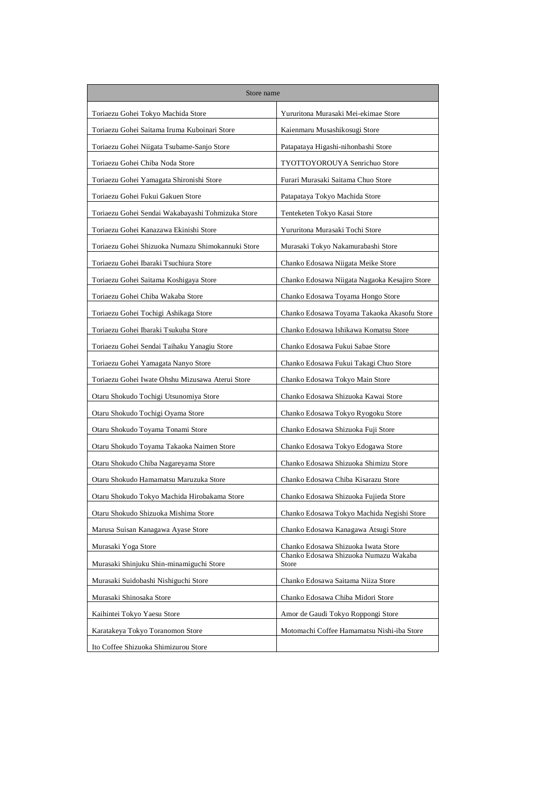| Store name                                        |                                                |  |
|---------------------------------------------------|------------------------------------------------|--|
| Toriaezu Gohei Tokyo Machida Store                | Yururitona Murasaki Mei-ekimae Store           |  |
| Toriaezu Gohei Saitama Iruma Kuboinari Store      | Kaienmaru Musashikosugi Store                  |  |
| Toriaezu Gohei Niigata Tsubame-Sanjo Store        | Patapataya Higashi-nihonbashi Store            |  |
| Toriaezu Gohei Chiba Noda Store                   | TYOTTOYOROUYA Senrichuo Store                  |  |
| Toriaezu Gohei Yamagata Shironishi Store          | Furari Murasaki Saitama Chuo Store             |  |
| Toriaezu Gohei Fukui Gakuen Store                 | Patapataya Tokyo Machida Store                 |  |
| Toriaezu Gohei Sendai Wakabayashi Tohmizuka Store | Tenteketen Tokyo Kasai Store                   |  |
| Toriaezu Gohei Kanazawa Ekinishi Store            | Yururitona Murasaki Tochi Store                |  |
| Toriaezu Gohei Shizuoka Numazu Shimokannuki Store | Murasaki Tokyo Nakamurabashi Store             |  |
| Toriaezu Gohei Ibaraki Tsuchiura Store            | Chanko Edosawa Niigata Meike Store             |  |
| Toriaezu Gohei Saitama Koshigaya Store            | Chanko Edosawa Niigata Nagaoka Kesajiro Store  |  |
| Toriaezu Gohei Chiba Wakaba Store                 | Chanko Edosawa Toyama Hongo Store              |  |
| Toriaezu Gohei Tochigi Ashikaga Store             | Chanko Edosawa Toyama Takaoka Akasofu Store    |  |
| Toriaezu Gohei Ibaraki Tsukuba Store              | Chanko Edosawa Ishikawa Komatsu Store          |  |
| Toriaezu Gohei Sendai Taihaku Yanagiu Store       | Chanko Edosawa Fukui Sabae Store               |  |
| Toriaezu Gohei Yamagata Nanyo Store               | Chanko Edosawa Fukui Takagi Chuo Store         |  |
| Toriaezu Gohei Iwate Ohshu Mizusawa Aterui Store  | Chanko Edosawa Tokyo Main Store                |  |
| Otaru Shokudo Tochigi Utsunomiya Store            | Chanko Edosawa Shizuoka Kawai Store            |  |
| Otaru Shokudo Tochigi Oyama Store                 | Chanko Edosawa Tokyo Ryogoku Store             |  |
| Otaru Shokudo Toyama Tonami Store                 | Chanko Edosawa Shizuoka Fuji Store             |  |
| Otaru Shokudo Toyama Takaoka Naimen Store         | Chanko Edosawa Tokyo Edogawa Store             |  |
| Otaru Shokudo Chiba Nagareyama Store              | Chanko Edosawa Shizuoka Shimizu Store          |  |
| Otaru Shokudo Hamamatsu Maruzuka Store            | Chanko Edosawa Chiba Kisarazu Store            |  |
| Otaru Shokudo Tokyo Machida Hirobakama Store      | Chanko Edosawa Shizuoka Fujieda Store          |  |
| Otaru Shokudo Shizuoka Mishima Store              | Chanko Edosawa Tokyo Machida Negishi Store     |  |
| Marusa Suisan Kanagawa Ayase Store                | Chanko Edosawa Kanagawa Atsugi Store           |  |
| Murasaki Yoga Store                               | Chanko Edosawa Shizuoka Iwata Store            |  |
| Murasaki Shinjuku Shin-minamiguchi Store          | Chanko Edosawa Shizuoka Numazu Wakaba<br>Store |  |
| Murasaki Suidobashi Nishiguchi Store              | Chanko Edosawa Saitama Niiza Store             |  |
| Murasaki Shinosaka Store                          | Chanko Edosawa Chiba Midori Store              |  |
| Kaihintei Tokyo Yaesu Store                       | Amor de Gaudi Tokyo Roppongi Store             |  |
| Karatakeya Tokyo Toranomon Store                  | Motomachi Coffee Hamamatsu Nishi-iba Store     |  |
| Ito Coffee Shizuoka Shimizurou Store              |                                                |  |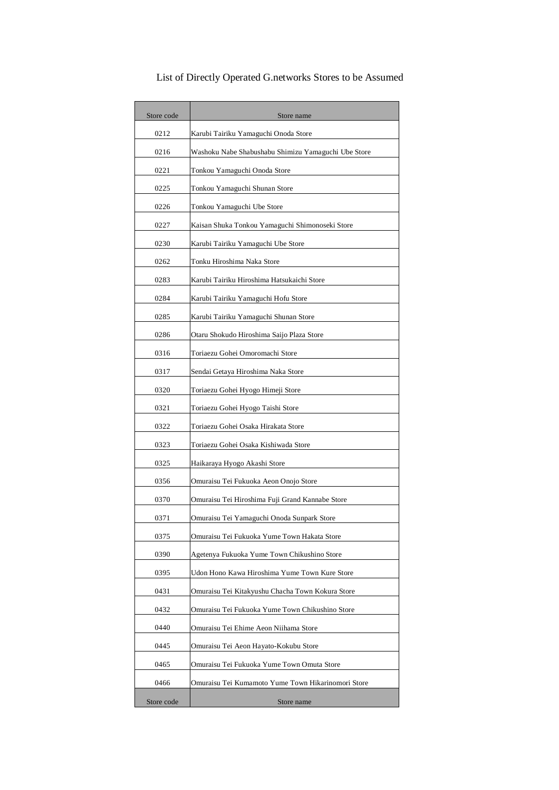| Store code | Store name                                          |  |
|------------|-----------------------------------------------------|--|
| 0212       | Karubi Tairiku Yamaguchi Onoda Store                |  |
| 0216       | Washoku Nabe Shabushabu Shimizu Yamaguchi Ube Store |  |
| 0221       | Tonkou Yamaguchi Onoda Store                        |  |
| 0225       | Tonkou Yamaguchi Shunan Store                       |  |
| 0226       | Tonkou Yamaguchi Ube Store                          |  |
| 0227       | Kaisan Shuka Tonkou Yamaguchi Shimonoseki Store     |  |
| 0230       | Karubi Tairiku Yamaguchi Ube Store                  |  |
| 0262       | Tonku Hiroshima Naka Store                          |  |
| 0283       | Karubi Tairiku Hiroshima Hatsukaichi Store          |  |
| 0284       | Karubi Tairiku Yamaguchi Hofu Store                 |  |
| 0285       | Karubi Tairiku Yamaguchi Shunan Store               |  |
| 0286       | Otaru Shokudo Hiroshima Saijo Plaza Store           |  |
| 0316       | Toriaezu Gohei Omoromachi Store                     |  |
| 0317       | Sendai Getaya Hiroshima Naka Store                  |  |
| 0320       | Toriaezu Gohei Hyogo Himeji Store                   |  |
| 0321       | Toriaezu Gohei Hyogo Taishi Store                   |  |
| 0322       | Toriaezu Gohei Osaka Hirakata Store                 |  |
| 0323       | Toriaezu Gohei Osaka Kishiwada Store                |  |
| 0325       | Haikaraya Hyogo Akashi Store                        |  |
| 0356       | Omuraisu Tei Fukuoka Aeon Onojo Store               |  |
| 0370       | Omuraisu Tei Hiroshima Fuji Grand Kannabe Store     |  |
| 0371       | Omuraisu Tei Yamaguchi Onoda Sunpark Store          |  |
| 0375       | Omuraisu Tei Fukuoka Yume Town Hakata Store         |  |
| 0390       | Agetenya Fukuoka Yume Town Chikushino Store         |  |
| 0395       | Udon Hono Kawa Hiroshima Yume Town Kure Store       |  |
| 0431       | Omuraisu Tei Kitakyushu Chacha Town Kokura Store    |  |
| 0432       | Omuraisu Tei Fukuoka Yume Town Chikushino Store     |  |
| 0440       | Omuraisu Tei Ehime Aeon Niihama Store               |  |
| 0445       | Omuraisu Tei Aeon Hayato-Kokubu Store               |  |
| 0465       | Omuraisu Tei Fukuoka Yume Town Omuta Store          |  |
| 0466       | Omuraisu Tei Kumamoto Yume Town Hikarinomori Store  |  |
| Store code | Store name                                          |  |

List of Directly Operated G.networks Stores to be Assumed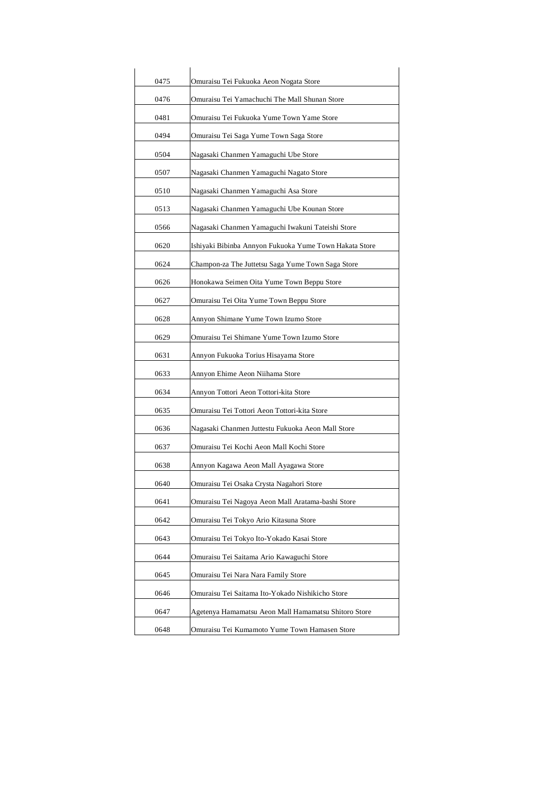| 0475 | Omuraisu Tei Fukuoka Aeon Nogata Store                 |
|------|--------------------------------------------------------|
| 0476 | Omuraisu Tei Yamachuchi The Mall Shunan Store          |
| 0481 | Omuraisu Tei Fukuoka Yume Town Yame Store              |
| 0494 | Omuraisu Tei Saga Yume Town Saga Store                 |
| 0504 | Nagasaki Chanmen Yamaguchi Ube Store                   |
| 0507 | Nagasaki Chanmen Yamaguchi Nagato Store                |
| 0510 | Nagasaki Chanmen Yamaguchi Asa Store                   |
| 0513 | Nagasaki Chanmen Yamaguchi Ube Kounan Store            |
| 0566 | Nagasaki Chanmen Yamaguchi Iwakuni Tateishi Store      |
| 0620 | Ishiyaki Bibinba Annyon Fukuoka Yume Town Hakata Store |
| 0624 | Champon-za The Juttetsu Saga Yume Town Saga Store      |
| 0626 | Honokawa Seimen Oita Yume Town Beppu Store             |
| 0627 | Omuraisu Tei Oita Yume Town Beppu Store                |
| 0628 | Annyon Shimane Yume Town Izumo Store                   |
| 0629 | Omuraisu Tei Shimane Yume Town Izumo Store             |
| 0631 | Annyon Fukuoka Torius Hisayama Store                   |
| 0633 | Annyon Ehime Aeon Niihama Store                        |
| 0634 | Annyon Tottori Aeon Tottori-kita Store                 |
| 0635 | Omuraisu Tei Tottori Aeon Tottori-kita Store           |
| 0636 | Nagasaki Chanmen Juttestu Fukuoka Aeon Mall Store      |
| 0637 | Omuraisu Tei Kochi Aeon Mall Kochi Store               |
| 0638 | Annyon Kagawa Aeon Mall Ayagawa Store                  |
| 0640 | Omuraisu Tei Osaka Crysta Nagahori Store               |
| 0641 | Omuraisu Tei Nagoya Aeon Mall Aratama-bashi Store      |
| 0642 | Omuraisu Tei Tokyo Ario Kitasuna Store                 |
| 0643 | Omuraisu Tei Tokyo Ito-Yokado Kasai Store              |
| 0644 | Omuraisu Tei Saitama Ario Kawaguchi Store              |
| 0645 | Omuraisu Tei Nara Nara Family Store                    |
| 0646 | Omuraisu Tei Saitama Ito-Yokado Nishikicho Store       |
| 0647 | Agetenya Hamamatsu Aeon Mall Hamamatsu Shitoro Store   |
| 0648 | Omuraisu Tei Kumamoto Yume Town Hamasen Store          |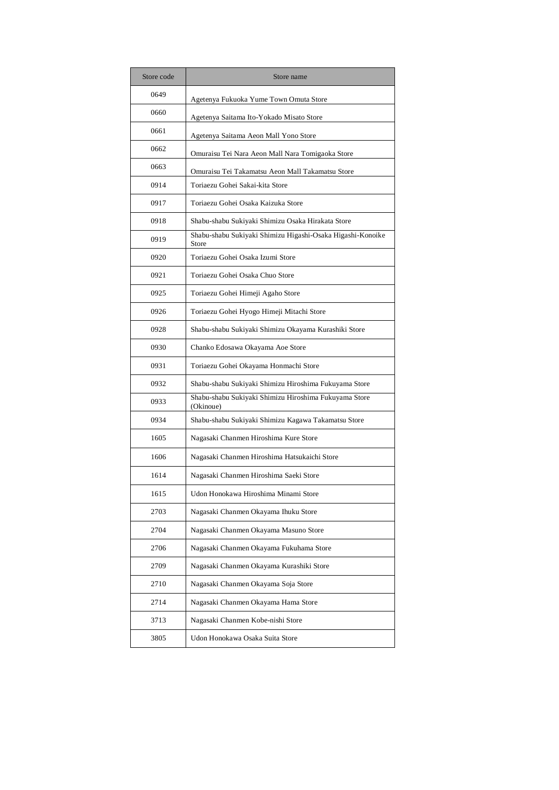| Store code | Store name                                                          |  |
|------------|---------------------------------------------------------------------|--|
| 0649       | Agetenya Fukuoka Yume Town Omuta Store                              |  |
| 0660       | Agetenya Saitama Ito-Yokado Misato Store                            |  |
| 0661       | Agetenya Saitama Aeon Mall Yono Store                               |  |
| 0662       | Omuraisu Tei Nara Aeon Mall Nara Tomigaoka Store                    |  |
| 0663       | Omuraisu Tei Takamatsu Aeon Mall Takamatsu Store                    |  |
| 0914       | Toriaezu Gohei Sakai-kita Store                                     |  |
| 0917       | Toriaezu Gohei Osaka Kaizuka Store                                  |  |
| 0918       | Shabu-shabu Sukiyaki Shimizu Osaka Hirakata Store                   |  |
| 0919       | Shabu-shabu Sukiyaki Shimizu Higashi-Osaka Higashi-Konoike<br>Store |  |
| 0920       | Toriaezu Gohei Osaka Izumi Store                                    |  |
| 0921       | Toriaezu Gohei Osaka Chuo Store                                     |  |
| 0925       | Toriaezu Gohei Himeji Agaho Store                                   |  |
| 0926       | Toriaezu Gohei Hyogo Himeji Mitachi Store                           |  |
| 0928       | Shabu-shabu Sukiyaki Shimizu Okayama Kurashiki Store                |  |
| 0930       | Chanko Edosawa Okayama Aoe Store                                    |  |
| 0931       | Toriaezu Gohei Okayama Honmachi Store                               |  |
| 0932       | Shabu-shabu Sukiyaki Shimizu Hiroshima Fukuyama Store               |  |
| 0933       | Shabu-shabu Sukiyaki Shimizu Hiroshima Fukuyama Store<br>(Okinoue)  |  |
| 0934       | Shabu-shabu Sukiyaki Shimizu Kagawa Takamatsu Store                 |  |
| 1605       | Nagasaki Chanmen Hiroshima Kure Store                               |  |
| 1606       | Nagasaki Chanmen Hiroshima Hatsukaichi Store                        |  |
| 1614       | Nagasaki Chanmen Hiroshima Saeki Store                              |  |
| 1615       | Udon Honokawa Hiroshima Minami Store                                |  |
| 2703       | Nagasaki Chanmen Okayama Ihuku Store                                |  |
| 2704       | Nagasaki Chanmen Okayama Masuno Store                               |  |
| 2706       | Nagasaki Chanmen Okayama Fukuhama Store                             |  |
| 2709       | Nagasaki Chanmen Okayama Kurashiki Store                            |  |
| 2710       | Nagasaki Chanmen Okayama Soja Store                                 |  |
| 2714       | Nagasaki Chanmen Okayama Hama Store                                 |  |
| 3713       | Nagasaki Chanmen Kobe-nishi Store                                   |  |
| 3805       | Udon Honokawa Osaka Suita Store                                     |  |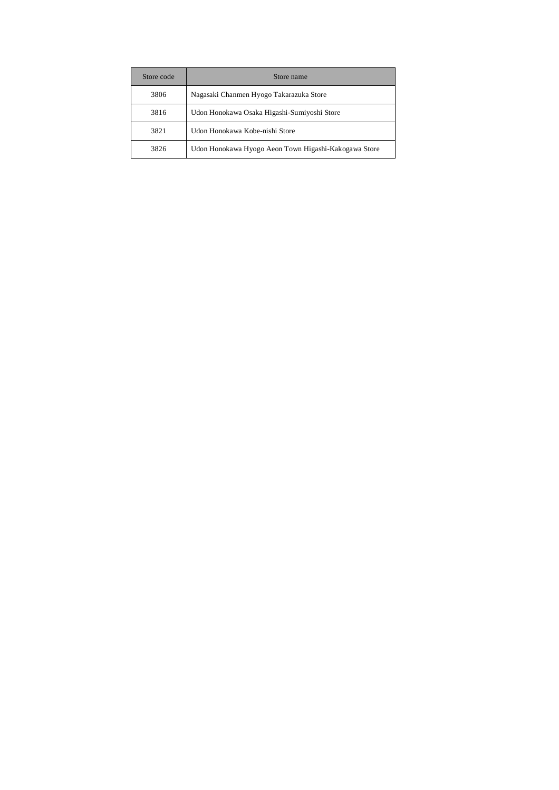| Store code | Store name                                           |  |
|------------|------------------------------------------------------|--|
| 3806       | Nagasaki Chanmen Hyogo Takarazuka Store              |  |
| 3816       | Udon Honokawa Osaka Higashi-Sumiyoshi Store          |  |
| 3821       | Udon Honokawa Kobe-nishi Store                       |  |
| 3826       | Udon Honokawa Hyogo Aeon Town Higashi-Kakogawa Store |  |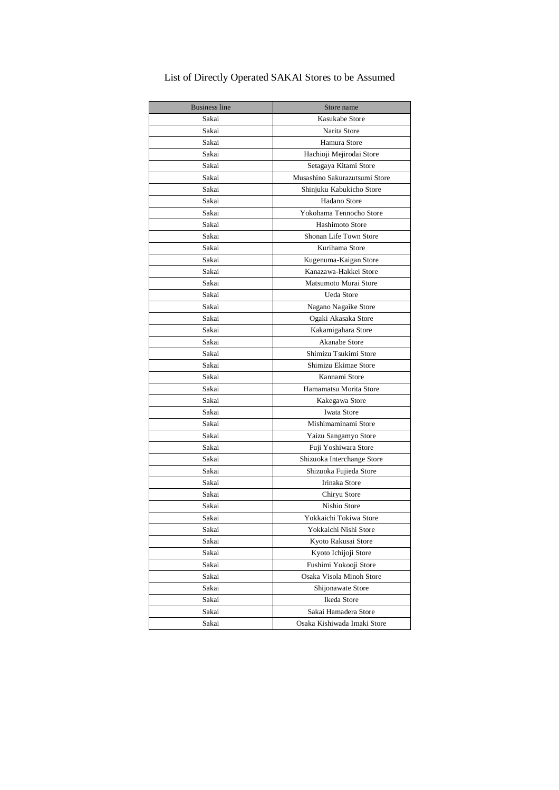| <b>Business line</b> | Store name                    |
|----------------------|-------------------------------|
| Sakai                | Kasukabe Store                |
| Sakai                | Narita Store                  |
| Sakai                | Hamura Store                  |
| Sakai                | Hachioji Mejirodai Store      |
| Sakai                | Setagaya Kitami Store         |
| Sakai                | Musashino Sakurazutsumi Store |
| Sakai                | Shinjuku Kabukicho Store      |
| Sakai                | Hadano Store                  |
| Sakai                | Yokohama Tennocho Store       |
| Sakai                | <b>Hashimoto Store</b>        |
| Sakai                | Shonan Life Town Store        |
| Sakai                | Kurihama Store                |
| Sakai                | Kugenuma-Kaigan Store         |
| Sakai                | Kanazawa-Hakkei Store         |
| Sakai                | Matsumoto Murai Store         |
| Sakai                | Ueda Store                    |
| Sakai                | Nagano Nagaike Store          |
| Sakai                | Ogaki Akasaka Store           |
| Sakai                | Kakamigahara Store            |
| Sakai                | Akanabe Store                 |
| Sakai                | Shimizu Tsukimi Store         |
| Sakai                | Shimizu Ekimae Store          |
| Sakai                | Kannami Store                 |
| Sakai                | Hamamatsu Morita Store        |
| Sakai                | Kakegawa Store                |
| Sakai                | Iwata Store                   |
| Sakai                | Mishimaminami Store           |
| Sakai                | Yaizu Sangamyo Store          |
| Sakai                | Fuji Yoshiwara Store          |
| Sakai                | Shizuoka Interchange Store    |
| Sakai                | Shizuoka Fujieda Store        |
| Sakai                | <b>Irinaka Store</b>          |
| Sakai                | Chiryu Store                  |
| Sakai                | Nishio Store                  |
| Sakai                | Yokkaichi Tokiwa Store        |
| Sakai                | Yokkaichi Nishi Store         |
| Sakai                | Kyoto Rakusai Store           |
| Sakai                | Kyoto Ichijoji Store          |
| Sakai                | Fushimi Yokooji Store         |
| Sakai                | Osaka Visola Minoh Store      |
| Sakai                | Shijonawate Store             |
| Sakai                | Ikeda Store                   |
| Sakai                | Sakai Hamadera Store          |
| Sakai                | Osaka Kishiwada Imaki Store   |

## List of Directly Operated SAKAI Stores to be Assumed